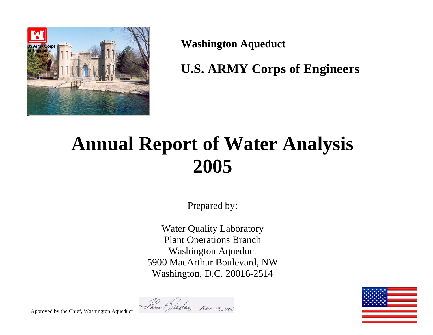

**Washington Aqueduct** 

**U.S. ARMY Corps of Engineers** 

# **Annual Report of Water Analysis 2005**

Prepared by:

Water Quality Laboratory Plant Operations Branch Washington Aqueduct 5900 MacArthur Boulevard, NW Washington, D.C. 20016-2514





Approved by the Chief, Washington Aqueduct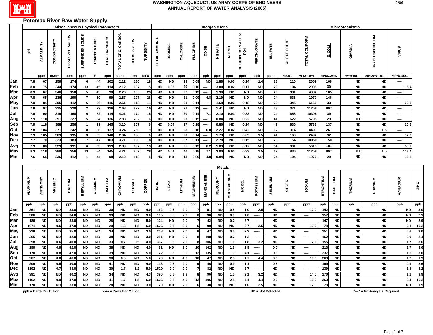

#### **Potomac River Raw Water Supply**

|                   |             |                        |                  | <b>Miscellaneous Physical Parameters</b> |                     |                        |                |                   |                     |                |                        |                        |                 |                     |              | Inorganic lons         |                   |                           |                        |                        |                 |                |           |                        | Microorganisms         |                        |                 |             |
|-------------------|-------------|------------------------|------------------|------------------------------------------|---------------------|------------------------|----------------|-------------------|---------------------|----------------|------------------------|------------------------|-----------------|---------------------|--------------|------------------------|-------------------|---------------------------|------------------------|------------------------|-----------------|----------------|-----------|------------------------|------------------------|------------------------|-----------------|-------------|
|                   | 玉           | ALKALINITY             | CONDUCTIVITY     | SOLIDS<br>DISSOLVED                      | SUSPENDED SOLIDS    | <b>TEMPERATURE</b>     | TOTAL HARDNESS | TOTAL ORG. CARBON | TOTAL SOLIDS        | TURBIDITY      | <b>TOTAL AMMONIA</b>   | BROMIDE                | <b>CHLORIDE</b> | FLUORIDE            | lopide       | <b>NITRATE</b>         | <b>NITRITE</b>    | OR THOPHOSPHATE as<br>PO4 | <b>PERCHLORATE</b>     | <b>SULFATE</b>         | ALGAE COUNT     | TOTAL COLIFORM | 흷         |                        | GIARDIA                | <b>CRYPTOSPORIDIUM</b> | VIRUS           |             |
|                   |             | ppm                    | uS/cm            | ppm                                      | ppm                 | F                      | ppm            | ppm               | ppm                 | NTU            | ppm                    | ppm                    | ppm             | ppm                 | ppb          | ppm                    | ppm               | ppm                       | ppb                    | ppm                    | org/mL          | MPN/100mL      | MPN/100mL |                        | cysts/10L              | oocysts/100L           | <b>MPN/100L</b> |             |
| Jan               | 7.8         | 67                     | 259              | 174                                      | 6                   | 44                     | 102            | 2.12              | 180                 | 18             | <b>ND</b>              | <b>ND</b>              | 13              | 0.09                | <b>ND</b>    | 1.88                   | 0.03              | 0.24                      | 1.4                    | 28                     | 116             | 2669           | 168       |                        | <b>ND</b>              | <b>ND</b>              | -----           |             |
| Feb               | 8.0         | 75                     | 344              | 174                                      | 13                  | 45                     | 114            | 2.12              | 187                 | 5              | <b>ND</b>              | 0.03                   | 40              | 0.10                |              | 3.00                   | 0.02              | 0.17                      | <b>ND</b>              | 29                     | 104             | 2008           | 30        |                        | <b>ND</b>              | <b>ND</b>              | 118.4           |             |
| Mar               | 8.3         | 67                     | 346              | 150                                      | 5 <sub>5</sub>      | 45                     | 98             | 2.26              | 155                 | 23             | <b>ND</b>              | <b>ND</b>              | 27              | 0.12                |              | 1.90                   | <b>ND</b>         | <b>ND</b>                 | <b>ND</b>              | 26                     | 381             | 4382           | 185       |                        | <b>ND</b>              | <b>ND</b>              | -----           |             |
| Apr               | 7.8         | 65                     | 236              | 190                                      | $\overline{7}$      | 60                     | 99             | 2.87              | 197                 | 28             | <b>ND</b>              | <b>ND</b>              | 21              | 0.09                | 4.8          | 2.19                   | <b>ND</b>         | <b>ND</b>                 | <b>ND</b>              | 24                     | 636             | 1970           | 146       |                        | <b>ND</b>              | <b>ND</b>              | -----           |             |
| May               | 7.9         | 84                     | 305              | 112                                      | 6                   | 66                     | 116            | 2.61              | 118                 | 11             | <b>ND</b>              | <b>ND</b>              | 21              | 0.11                | -----        | 1.68                   | 0.02              | 0.18                      | <b>ND</b>              | 26                     | 345             | 6160           | 33        |                        | <b>ND</b>              | <b>ND</b>              | 62.5            |             |
| Jun<br>Jul        | 7.8<br>7.6  | 97<br>90               | 315<br>319       | 220<br>168                               | $\overline{2}$<br>6 | 79<br>82               | 126<br>114     | 2.63<br>4.21      | 222<br>174          | 10<br>15       | <b>ND</b><br><b>ND</b> | <b>ND</b><br><b>ND</b> | 21<br>20        | 0.13<br>0.14        | -----<br>7.1 | 1.41<br>2.10           | <b>ND</b><br>0.03 | <b>ND</b><br>0.33         | <b>ND</b><br><b>ND</b> | 33<br>24               | 371<br>656      | 11258<br>10395 | 897<br>39 |                        | <b>ND</b><br><b>ND</b> | <b>ND</b><br><b>ND</b> | -----<br>-----  |             |
| Aug               | 7.9         | 110                    | 351              | 227                                      | $\overline{5}$      | 84                     | 136            | 2.88              | 232                 | 6              | <b>ND</b>              | <b>ND</b>              | 23              | 0.15                | -----        | 0.84                   | <b>ND</b>         | 0.22                      | <b>ND</b>              | 41                     | 622             | 5795           | 29        |                        | 0.1                    | <b>ND</b>              | -----           |             |
| <b>Sep</b>        | 7.9         | 118                    | 388              | 256                                      |                     | 79                     | 145            | 3.10              | 257                 | 6              | <b>ND</b>              | 0.04                   | 27              | 0.18                | -----        | 0.86                   | <b>ND</b>         | 0.24                      | <b>ND</b>              | 47                     | 836             | 5738           | 137       |                        | <b>ND</b>              | <b>ND</b>              | 15.8            |             |
| Oct               | 7.8         | 104                    | 371              | 242                                      | 8                   | 66                     | 137            | 3.24              | 250                 | 9              | <b>ND</b>              | <b>ND</b>              | 28              | 0.16                | 6.8          | 2.27                   | 0.02              | 0.42                      | <b>ND</b>              | 62                     | 314             | 4493           | 261       |                        | <b>ND</b>              | 1.5                    | -----           |             |
| Nov               | 7.9         | 105                    | 389              | 195                                      | 3                   | 55                     | 140            | 2.94              | 198                 | 6              | <b>ND</b>              | <b>ND</b>              | 20              | 0.14                |              | 1.73                   | <b>ND</b>         | 0.09                      | 1.5                    | 41                     | 160             | 2492           | 92        |                        | <b>ND</b>              | <b>ND</b>              | 37.9            |             |
| Dec               | 7.7         | 70                     | 323              | 183                                      | $\overline{7}$      | 47                     | 103            | 3.71              | 190                 | 18             | <b>ND</b>              | <b>ND</b>              | 37              | 0.11                | -----        | 2.78                   | <b>ND</b>         | 0.15                      | <b>ND</b>              | 26                     | 154             | 10050          | 150       |                        | <b>ND</b>              | <b>ND</b>              | -----           |             |
| Avg               | 7.9         | 88                     | 329              | 191                                      | 6                   | 63                     | 119            | 2.89              | 197                 | 13             | <b>ND</b>              | <b>ND</b>              | 25              | 0.13                | 6.2          | 1.89                   | <b>ND</b>         | 0.17                      | <b>ND</b>              | 34                     | 391             | 5618           | 181       |                        | <b>ND</b>              | <b>ND</b>              | 58.7            |             |
| <b>Max</b>        | 8.3         | 118                    | 389              | 256                                      | 13                  | 84                     | 145            | $4.2^{\circ}$     | 257                 | 28             | <b>ND</b>              | 0.04                   | 40              | 0.18                | 7.1          | 3.00                   | 0.03              | 0.33                      | 1.5                    | 62                     | 836             | 11258          | 897       |                        | 0.1                    | 1.5                    | 118.4           |             |
| <b>Min</b>        | 7.6         | 65                     | 236              | 112                                      | 1                   | 44                     | 98             | 2.12              | 118                 | 5 <sup>1</sup> | <b>ND</b>              | <b>ND</b>              | 13              | 0.09                | 4.8          | 0.84                   | <b>ND</b>         | <b>ND</b>                 | <b>ND</b>              | 24                     | 104             | 1970           | 29        |                        | ND                     | <b>ND</b>              | 15.8            |             |
|                   |             |                        |                  |                                          |                     |                        |                |                   |                     |                |                        |                        |                 |                     |              | <b>Metals</b>          |                   |                           |                        |                        |                 |                |           |                        |                        |                        |                 |             |
|                   |             |                        |                  |                                          |                     |                        |                |                   |                     |                |                        |                        |                 |                     |              |                        |                   |                           |                        |                        |                 |                |           |                        |                        |                        |                 |             |
|                   | ALUMINUM    | ANTIMONY               | ARSENIC          | <b>BARIUM</b>                            | <b>BERYLLIUM</b>    | CADMIUM                | CALCIUM        | CHROMIUM          | <b>COBALT</b>       | COPPER         | <b>IRON</b>            | <b>TEAD</b>            | LITHIUM         | MAGNESIUM           | MANGANESE    | <b>MERCURY</b>         | <b>MOLYBDENUM</b> | <b>NICKEL</b>             | POTASSIUM              | <b>SELENIUM</b>        | <b>SILVER</b>   | SODIUM         | STRONTIUM | THALLIUM               | THORIUM                | URANIUM                | <b>VANADIUM</b> | ZINC        |
|                   | ppb         | ppb                    | ppb              | ppb                                      | ppb                 | ppb                    | ppm            | ppb               | ppb                 | ppb            | ppb                    | ppb                    | ppb             | ppm                 | ppb          | ppb                    | ppb               | ppb                       | ppm                    | ppb                    | ppb             | ppm            | ppb       | ppb                    | ppb                    | ppb                    | ppb             | ppb         |
| Jan               | 261         | <b>ND</b>              | <b>ND</b>        | 33.0                                     | <b>ND</b>           | <b>ND</b>              | 30             | <b>ND</b>         | ${\sf ND}$          | 4.0            | 162                    | 0.6                    | 2.0             | 7                   | 51           | <b>ND</b>              | 0.5               | 1.0                       | 2.5                    | <b>ND</b>              | <b>ND</b>       | 12.0           | 142       | <b>ND</b>              | <b>ND</b>              | <b>ND</b>              | <b>ND</b>       | 3.0         |
| Feb               | 306         | <b>ND</b>              | <b>ND</b>        | 34.0                                     | <b>ND</b>           | <b>ND</b>              | 33             | <b>ND</b>         | <b>ND</b>           | 3.0            | 115                    | 0.5                    | 2.0             | 8<br>$\overline{7}$ | 38           | <b>ND</b>              | 0.9               | 1.0                       | -----                  | <b>ND</b>              | <b>ND</b>       | -----          | 157       | <b>ND</b>              | <b>ND</b>              | <b>ND</b>              | <b>ND</b>       | 2.1         |
| Mar               | 186         | <b>ND</b>              | <b>ND</b>        | 38.0                                     | <b>ND</b>           | <b>ND</b>              | 28             | <b>ND</b>         | <b>ND</b>           | 5.0            | 124                    | <b>ND</b>              | 2.0             |                     | 42<br>90     | <b>ND</b>              | 0.7<br><b>ND</b>  | 2.7                       | $100 - 100 = 100$      | <b>ND</b>              | <b>ND</b>       | -----          | 147       | <b>ND</b><br><b>ND</b> | <b>ND</b>              | <b>ND</b>              | <b>ND</b>       | 2.9         |
| Apr<br><b>May</b> | 1071<br>218 | <b>ND</b><br><b>ND</b> | 0.6<br><b>ND</b> | 47.0<br>35.0                             | ND<br>ND            | <b>ND</b><br><b>ND</b> | 29<br>34       | 1.3<br><b>ND</b>  | $1.5$<br>${\sf ND}$ | 6.0<br>3.0     | 1626<br>208            | 2.8<br><b>ND</b>       | 3.0<br>2.0      | $6 \mid$<br>8       | 47           | <b>ND</b><br><b>ND</b> | 0.5               | 3.7<br>2.2                | 2.5<br>-----           | <b>ND</b><br><b>ND</b> | ND<br><b>ND</b> | 13.0<br>-----  | 78<br>151 | <b>ND</b>              | <b>ND</b><br><b>ND</b> | <b>ND</b><br><b>ND</b> | 2.1<br>0.6      | 10.2<br>3.0 |
| Jun               | 265         | <b>ND</b>              | <b>ND</b>        | 42.0                                     | ND                  | <b>ND</b>              | 38             | <b>ND</b>         | ${\sf ND}$          | 3.0            | 251                    | <b>ND</b>              | 2.0             | 8                   | 108          | <b>ND</b>              | 0.7               | $1.2$                     | -----                  | <b>ND</b>              | <b>ND</b>       | -----          | 162       | <b>ND</b>              | <b>ND</b>              | <b>ND</b>              | 0.9             | 2.4         |
| Jul               | 358         | <b>ND</b>              | 0.6              | 40.0                                     | <b>ND</b>           | ND                     | 33             | 0.7               | 0.5                 | 4.0            | 367                    | 0.6                    | 2.0             | 8                   | 306          | <b>ND</b>              | 1.1               | 1.8                       | 3.2                    | <b>ND</b>              | <b>ND</b>       | 12.0           | 155       | <b>ND</b>              | ${\sf ND}$             | <b>ND</b>              | 1.7             | 3.6         |
| Aug               | 190         | <b>ND</b>              | 0.9              | 42.0                                     | <b>ND</b>           | <b>ND</b>              | 38             | <b>ND</b>         | <b>ND</b>           | 4.0            | 72                     | <b>ND</b>              | 2.0             | 10                  | 162          | ND                     | 1.8               | 1.9                       | -----                  | 0.5                    | <b>ND</b>       | -----          | 213       | <b>ND</b>              | <b>ND</b>              | <b>ND</b>              | 1.7             | 3.6         |
| Sep               | 170         | <b>ND</b>              | 0.8              | 42.0                                     | <b>ND</b>           | <b>ND</b>              | 39             | <b>ND</b>         | ND                  | 5.0            | 122                    | 0.5                    | 3.0             | $12$                | 135          | <b>ND</b>              | 1.9               | 4.1                       | -----                  | 0.6                    | <b>ND</b>       | -----          | 237       | <b>ND</b>              | <b>ND</b>              | <b>ND</b>              | 1.5             | 3.0         |
| Oct               | 267         | <b>ND</b>              | 0.8              | 46.0                                     | <b>ND</b>           | <b>ND</b>              | 38             | 0.5               | ND                  | 5.0            | 70                     | <b>ND</b>              | 4.0             | 10                  | 47           | <b>ND</b>              | 2.8               | $1.7$                     | 4.4                    | 0.6                    | <b>ND</b>       | 19.0           | 263       | <b>ND</b>              | <b>ND</b>              | <b>ND</b>              | $1.2$           | 1.9         |
| Nov               | 209         | <b>ND</b>              | 0.5              | 40.0                                     | <b>ND</b>           | <b>ND</b>              | 41             | <b>ND</b>         | <b>ND</b>           | 4.0            | 113                    | 0.8                    | 2.0             | $\mathbf{9}$        | 46           | <b>ND</b>              | 0.9               | 1.1                       | -----                  | 0.5                    | <b>ND</b>       | -----          | 199       | <b>ND</b>              | <b>ND</b>              | <b>ND</b>              | 0.9             | 2.6         |
| Dec               | 1192        | <b>ND</b>              | 0.7              | 43.0                                     | <b>ND</b>           | <b>ND</b>              | 30             | 1.7               | $1.2$               | 5.0            | 1520                   | 2.0                    | 2.0             | $\overline{7}$      | 82           | <b>ND</b>              | <b>ND</b>         | 2.7                       | -----                  | <b>ND</b>              | <b>ND</b>       | -----          | 139       | <b>ND</b>              | <b>ND</b>              | <b>ND</b>              | 3.4             | 8.2         |
| Avg               | 391         | <b>ND</b>              | <b>ND</b>        | 40.2                                     | <b>ND</b>           | <b>ND</b>              | 34             | <b>ND</b>         | ${\sf ND}$          | 4.3            | 396                    | 0.6                    | 1.9             | 8                   | 96           | <b>ND</b>              | 1.0               | 2.1                       | 3.2                    | <b>ND</b>              | <b>ND</b>       | 14.0           | 170       | <b>ND</b>              | ND                     | <b>ND</b>              | 1.2             | 3.9         |
| Max               | 1192        | <b>ND</b>              | 0.9              | 47.0                                     | <b>ND</b>           | <b>ND</b>              | 41             | 1.7               | $1.5$               | 6.0            | 1626                   | 2.8                    | 4.0             | 12                  | 306          | <b>ND</b>              | 2.8               | 4.1                       | 4.4                    | 0.6                    | <b>ND</b>       | 19.0           | 263       | <b>ND</b>              | <b>ND</b>              | <b>ND</b>              | 3.4             | 10.2        |
| <b>Min</b>        | 170         | <b>ND</b>              | <b>ND</b>        | 33.0                                     | <b>ND</b>           | <b>ND</b>              | 28             | <b>ND</b>         | <b>ND</b>           | 3.0            | 70                     | <b>ND</b>              | 2.0             | 6                   | 38           | <b>ND</b>              | <b>ND</b>         | 1.0                       | 2.5                    | <b>ND</b>              | <b>ND</b>       | 12.0           | 78        | <b>ND</b>              | <b>ND</b>              | <b>ND</b>              | ND              | 1.9         |

**ND = Not Detected**

**"---" = No Analysis Required**

**ppb = Parts Per Billion ppm = Parts Per Million**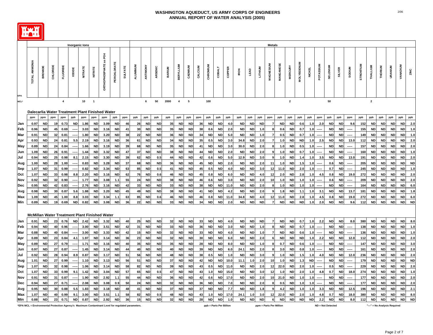

|             |                                                      |                |          |                         |               | <b>Inorganic lons</b> |                          |                                        |             |                |          |           |           |                 |                         |           |         |           |           |        |             |           |           | <b>Metals</b>  |           |                         |            |               |           |                 |           |                          |           |              |           |           |                 |           |
|-------------|------------------------------------------------------|----------------|----------|-------------------------|---------------|-----------------------|--------------------------|----------------------------------------|-------------|----------------|----------|-----------|-----------|-----------------|-------------------------|-----------|---------|-----------|-----------|--------|-------------|-----------|-----------|----------------|-----------|-------------------------|------------|---------------|-----------|-----------------|-----------|--------------------------|-----------|--------------|-----------|-----------|-----------------|-----------|
|             |                                                      |                |          |                         |               |                       |                          |                                        |             |                |          |           |           |                 |                         |           |         |           |           |        |             |           |           |                |           |                         |            |               |           |                 |           |                          |           |              |           |           |                 |           |
|             | <b>TOTAL AMMONIA</b>                                 | <b>BROMIDE</b> | CHLORIDE | <b>FLUORIDE</b>         | <b>IODIDE</b> | <b>NITRATE</b>        | NITRITE                  | PO <sub>4</sub><br>æ<br>ORTHOPHOSPHATE | PERCHLORATE | <b>SULFATE</b> | ALUMINUM | ANTIMONY  | ARSENIC   | <b>BARIUM</b>   | <b>BERYLLIUM</b>        | CADMIUM   | CALCIUM | CHROMIUM  | COBALT    | COPPER | <b>IRON</b> | LEAD      | LITHIUM   | MAGNESIUM      | MANGANES  | <b>MERCURY</b>          | MOLYBDENUM | <b>NICKEL</b> | POTASSIUM | <b>SELENIUM</b> |           | <b>SODIUM</b>            | STRONTIUM | THALLIUM     | THORIUM   | URANIUM   | <b>VANADIUM</b> | ZINC      |
| EPA<br>MCL* |                                                      |                |          | $\overline{\mathbf{4}}$ |               | 10                    | $\overline{\phantom{a}}$ |                                        |             |                |          | 6         | 50        | 2000            | $\overline{\mathbf{4}}$ | ${\bf 5}$ |         | 100       |           |        |             |           |           |                |           | $\overline{\mathbf{2}}$ |            |               |           | 50              |           |                          |           | $\mathbf{2}$ |           |           |                 |           |
|             |                                                      |                |          |                         |               |                       |                          |                                        |             |                |          |           |           |                 |                         |           |         |           |           |        |             |           |           |                |           |                         |            |               |           |                 |           |                          |           |              |           |           |                 |           |
|             | Dalecarlia Water Treatment Plant Finished Water      |                |          |                         |               |                       |                          |                                        |             |                |          |           |           |                 |                         |           |         |           |           |        |             |           |           |                |           |                         |            |               |           |                 |           |                          |           |              |           |           |                 |           |
|             | ppm                                                  | ppm            | ppm      | ppm                     | ppb           | ppm                   | ppm                      | ppm                                    | ppb         | ppm            | ppb      | ppb       | ppb       | ppb             | ppb                     | ppb       | ppm     | ppb       | ppb       | ppb    | ppb         | ppb       | ppb       | ppm            | ppb       | ppb                     | ppb        | ppb           | ppm       | ppb             | ppb       | ppm                      | ppb       | ppb          | ppb       | ppb       | ppb             | ppb       |
| Jan         | 0.97                                                 | <b>ND</b>      | 19       | 0.73                    | <b>ND</b>     | 1.86                  | <b>ND</b>                | 3.09                                   | <b>ND</b>   | 46             | 26       | <b>ND</b> | <b>ND</b> | 35              | <b>ND</b>               | <b>ND</b> | 36      | <b>ND</b> | <b>ND</b> | 4.0    | <b>ND</b>   | <b>ND</b> | <b>ND</b> | -7             | <b>ND</b> | <b>ND</b>               | 0.6        | 1.0           | 2.0       | <b>ND</b>       | <b>ND</b> | 9.6                      | 152       | <b>ND</b>    | <b>ND</b> | <b>ND</b> | <b>ND</b>       | 2.0       |
| Feb         | 0.96                                                 | <b>ND</b>      | 45       | 0.69                    |               | 3.03                  | <b>ND</b>                | 3.16                                   | <b>ND</b>   | 41             | 30       | <b>ND</b> | <b>ND</b> | 35 <sub>1</sub> | ND                      | <b>ND</b> | 38      | 0.6       | <b>ND</b> | 2.0    | <b>ND</b>   | <b>ND</b> | 1.0       |                | 0.6       | <b>ND</b>               | 0.7        | 1.0           |           | <b>ND</b>       | <b>ND</b> |                          | 155       | ND           | <b>ND</b> | <b>ND</b> | <b>ND</b>       | 1.0       |
| Mar         | 0.91                                                 | <b>ND</b>      | 32       | 0.81                    |               | 1.80                  | <b>ND</b>                | 3.20                                   | <b>ND</b>   | 38             | 22       | <b>ND</b> | <b>ND</b> | 36              | <b>ND</b>               | <b>ND</b> | 34      | <b>ND</b> | <b>ND</b> | 5.0    | <b>ND</b>   | <b>ND</b> | 1.0       |                | 0.5       | <b>ND</b>               | 0.7        | 1.0           |           | <b>ND</b>       | <b>ND</b> |                          | 149       | <b>ND</b>    | <b>ND</b> | <b>ND</b> | <b>ND</b>       | 1.0       |
| Apr         | 0.93                                                 | <b>ND</b>      | 24       | 0.81                    | 5.5           | 2.19                  | <b>ND</b>                | 3.16                                   | <b>ND</b>   | 36             | 61       | <b>ND</b> | <b>ND</b> | 34              | <b>ND</b>               | ND        | 35      | 0.5       | <b>ND</b> | 3.0    | 34.8        | <b>ND</b> | 2.0       |                | 1.0       | <b>ND</b>               | <b>ND</b>  | 1.0           | 2.5       | ND              | <b>ND</b> | 13.0                     | 112       | <b>ND</b>    | <b>ND</b> | <b>ND</b> | <b>ND</b>       | 2.0       |
| May         | 0.89                                                 | <b>ND</b>      | 24       | 0.84                    |               | 1.66                  | <b>ND</b>                | 3.19                                   | <b>ND</b>   | 39             | 68       | <b>ND</b> | <b>ND</b> | 35              | <b>ND</b>               | <b>ND</b> | 41      | <b>ND</b> | <b>ND</b> | 3.0    | 30.0        | <b>ND</b> | 2.0       |                | 1.0       | <b>ND</b>               | 0.5        | 1.0           |           | <b>ND</b>       | <b>ND</b> |                          | 157       | <b>ND</b>    | <b>ND</b> | <b>ND</b> | <b>ND</b>       | 2.0       |
| Jun         | 1.09                                                 | ND             | 26       | 0.91                    |               | 1.44                  | ND                       | 3.32                                   | <b>ND</b>   | 47             | 37       | <b>ND</b> | <b>ND</b> | 38              | <b>ND</b>               | ND        | 44      | <b>ND</b> | <b>ND</b> | 2.0    | <b>ND</b>   | <b>ND</b> | 2.0       | 9              | 1.0       | ND                      | 0.7        | 1.0           |           | <b>ND</b>       | <b>ND</b> | ----                     | 160       | <b>ND</b>    | <b>ND</b> | <b>ND</b> | <b>ND</b>       | 1.0       |
| Jul         | 0.94                                                 | <b>ND</b>      | 25       | 0.98                    | 8.1           | 2.15                  | <b>ND</b>                | 3.30                                   | <b>ND</b>   | 39             | 62       | <b>ND</b> | 0.5       | 44              | <b>ND</b>               | <b>ND</b> | 42      | 0.6       | <b>ND</b> | 5.0    | 12.9        | <b>ND</b> | 3.0       | -9             | 1.0       | <b>ND</b>               | 1.4        | 1.0           | 3.5       | <b>ND</b>       | <b>ND</b> | 13.0                     | 191       | <b>ND</b>    | <b>ND</b> | <b>ND</b> | <b>ND</b>       | 2.0       |
| Aug         | 1.00                                                 | <b>ND</b>      | 28       | 1.00                    |               | 0.83                  | <b>ND</b>                | 3.28                                   | <b>ND</b>   | 37             | 68       | <b>ND</b> | <b>ND</b> | 36              | <b>ND</b>               | <b>ND</b> | 45      | <b>ND</b> | <b>ND</b> | 2.0    | <b>ND</b>   | <b>ND</b> | 2.0       | 11             | 1.0       | <b>ND</b>               | 1.5        | 1.0           |           | 0.6             | <b>ND</b> |                          | 205       | <b>ND</b>    | <b>ND</b> | <b>ND</b> | <b>ND</b>       | <b>ND</b> |
| Sep         | 1.07                                                 | <b>ND</b>      | 31       | 0.99                    |               | 0.82                  | <b>ND</b>                | 3.34                                   | <b>ND</b>   | 63             | 85       | <b>ND</b> | 0.5       | 41              | <b>ND</b>               | <b>ND</b> | 45      | 0.5       | <b>ND</b> | 4.0    | <b>ND</b>   | <b>ND</b> | 3.0       | 12             | 11.0      | ND                      | 2.0        | 1.0           |           | 0.7             | <b>ND</b> | $- - - - -$              | 245       | <b>ND</b>    | <b>ND</b> | <b>ND</b> | <b>ND</b>       | 1.0       |
| Oct         | 1.07                                                 | <b>ND</b>      | 33       | 0.98                    | 8.8           | 2.20                  | <b>ND</b>                | 3.16                                   | <b>ND</b>   | 62             | 76       | <b>ND</b> | 0.6       | 46              | <b>ND</b>               | <b>ND</b> | 45      | 0.8       | <b>ND</b> | 6.0    | <b>ND</b>   | <b>ND</b> | 4.0       | 12             | 2.0       | <b>ND</b>               | 2.8        | 1.0           | 4.5       | 0.8             | <b>ND</b> | 19.0                     | 272       | <b>ND</b>    | <b>ND</b> | <b>ND</b> | <b>ND</b>       | 2.0       |
| Nov         | 0.92                                                 | <b>ND</b>      | 32       | 0.90                    |               | 1.77                  | <b>ND</b>                | 3.08                                   | 1.1         | 55             | 24       | <b>ND</b> | <b>ND</b> | 38              | <b>ND</b>               | <b>ND</b> | 46      | 0.6       | <b>ND</b> | 3.0    | <b>ND</b>   | <b>ND</b> | 2.0       | 10             | 1.0       | <b>ND</b>               | 1.0        | 1.0           |           | 0.6             | <b>ND</b> | -----                    | 209       | <b>ND</b>    | <b>ND</b> | <b>ND</b> | <b>ND</b>       | 2.0       |
| Dec         | 0.95                                                 | ND             | 42       | 0.83                    |               | 2.76                  | <b>ND</b>                | 3.16                                   | <b>ND</b>   | 42             | 33       | <b>ND</b> | <b>ND</b> | 33              | <b>ND</b>               | <b>ND</b> | 38      | <b>ND</b> | <b>ND</b> | 11.0   | <b>ND</b>   | <b>ND</b> | 2.0       | -8             | 1.0       | <b>ND</b>               | 1.0        | 1.0           |           | <b>ND</b>       | <b>ND</b> | $\overline{\phantom{a}}$ | 164       | <b>ND</b>    | <b>ND</b> | <b>ND</b> | <b>ND</b>       | 6.0       |
| Avg         | 0.98                                                 | <b>ND</b>      | 30       | 0.87                    | 5.6           | 1.88                  | <b>ND</b>                | 3.20                                   | <b>ND</b>   | 45             | 49       | <b>ND</b> | <b>ND</b> | 38              | <b>ND</b>               | <b>ND</b> | 41      | <b>ND</b> | <b>ND</b> | 4.2    | <b>ND</b>   | <b>ND</b> | 2.0       |                | 1.8       | <b>ND</b>               | 1.1        | 1.0           | 3.1       | <b>ND</b>       | <b>ND</b> | 13.7                     | 181       | <b>ND</b>    | <b>ND</b> | <b>ND</b> | <b>ND</b>       | 1.8       |
| Max         | 1.09                                                 | <b>ND</b>      | 45       | 1.00                    | 8.8           | 3.03                  | <b>ND</b>                | 3.34                                   | 1.1         | 63             | 85       | <b>ND</b> | 0.6       | 46              | <b>ND</b>               | <b>ND</b> | 46      | 0.8       | <b>ND</b> | 11.0   | 34.8        | <b>ND</b> | 4.0       | 12             | 11.0      | <b>ND</b>               | 2.8        | 1.0           | 4.5       | 0.8             | <b>ND</b> | 19.0                     | 272       | <b>ND</b>    | <b>ND</b> | <b>ND</b> | <b>ND</b>       | 6.0       |
| Min         | 0.89                                                 | <b>ND</b>      | 19       | 0.69                    | <b>ND</b>     | 0.82                  | <b>ND</b>                | 3.08                                   | <b>ND</b>   | 36             | 22       | <b>ND</b> | <b>ND</b> | 33              | <b>ND</b>               | <b>ND</b> | 34      | <b>ND</b> | <b>ND</b> | 2.0    | <b>ND</b>   | <b>ND</b> | <b>ND</b> | $\overline{7}$ | <b>ND</b> | <b>ND</b>               | <b>ND</b>  | 1.0           | 2.0       | <b>ND</b>       | <b>ND</b> | 9.6                      | 112       | <b>ND</b>    | <b>ND</b> | <b>ND</b> | <b>ND</b>       | <b>ND</b> |
|             |                                                      |                |          |                         |               |                       |                          |                                        |             |                |          |           |           |                 |                         |           |         |           |           |        |             |           |           |                |           |                         |            |               |           |                 |           |                          |           |              |           |           |                 |           |
|             | <b>McMillan Water Treatment Plant Finished Water</b> |                |          |                         |               |                       |                          |                                        |             |                |          |           |           |                 |                         |           |         |           |           |        |             |           |           |                |           |                         |            |               |           |                 |           |                          |           |              |           |           |                 |           |
| Jan         | 0.91                                                 | <b>ND</b>      | 23       | 0.76                    | <b>ND</b>     | 2.42                  | <b>ND</b>                | 3.32                                   | <b>ND</b>   | 40             | 25       | <b>ND</b> | <b>ND</b> | 32              | <b>ND</b>               | <b>ND</b> | 33      | <b>ND</b> | <b>ND</b> | 4.0    | <b>ND</b>   | <b>ND</b> | <b>ND</b> |                | <b>ND</b> | ND                      | 0.7        | 1.0           | 2.2       | <b>ND</b>       | <b>ND</b> | 8.0                      | 380       | ND           | <b>ND</b> | <b>ND</b> | <b>ND</b>       | 8.0       |
| Feb         | 0.94                                                 | <b>ND</b>      | 40       | 0.96                    |               | 3.00                  | <b>ND</b>                | 3.51                                   | <b>ND</b>   | 42             | 31       | <b>ND</b> | <b>ND</b> | 33              | <b>ND</b>               | <b>ND</b> | 36      | <b>ND</b> | <b>ND</b> | 3.0    | <b>ND</b>   | <b>ND</b> | 1.0       |                | <b>ND</b> | <b>ND</b>               | 0.7        | 1.0           |           | <b>ND</b>       | <b>ND</b> |                          | 138       | <b>ND</b>    | <b>ND</b> | <b>ND</b> | <b>ND</b>       | 1.0       |
| Mar         | 0.88                                                 | <b>ND</b>      | 40       | 0.84                    |               | 3.00                  | <b>ND</b>                | 3.33                                   | <b>ND</b>   | 42             | 15       | <b>ND</b> | <b>ND</b> | 32              | <b>ND</b>               | ND        | 33      | <b>ND</b> | <b>ND</b> | 4.0    | <b>ND</b>   | <b>ND</b> | 1.0       | 7              | <b>ND</b> | ND                      | 0.6        | 1.0           |           | <b>ND</b>       | <b>ND</b> |                          | 136       | ND           | <b>ND</b> | <b>ND</b> | <b>ND</b>       | 1.0       |
| Apr         | 0.89                                                 | <b>ND</b>      | 23       | 0.84                    | 4.1           | 1.97                  | <b>ND</b>                | 3.14                                   | <b>ND</b>   | 36             | 23       | <b>ND</b> | <b>ND</b> | 32              | <b>ND</b>               | <b>ND</b> | 30      | <b>ND</b> | <b>ND</b> | 6.0    | <b>ND</b>   | <b>ND</b> | 2.0       |                | <b>ND</b> | <b>ND</b>               | <b>ND</b>  | 1.0           | 2.2       | <b>ND</b>       | <b>ND</b> | 12.0                     | 112       | <b>ND</b>    | <b>ND</b> | <b>ND</b> | <b>ND</b>       | 2.0       |
| May         | 0.89                                                 | <b>ND</b>      | 27       | 0.79                    |               | 1.71                  | <b>ND</b>                | 3.16                                   | <b>ND</b>   | 40             | 35       | <b>ND</b> | <b>ND</b> | 35              | <b>ND</b>               | ND        | 28      | <b>ND</b> | <b>ND</b> | 8.0    | <b>ND</b>   | <b>ND</b> | 1.0       | 8              | 0.7       | ND                      | 0.6        | 1.0           |           | <b>ND</b>       | <b>ND</b> |                          | 147       | <b>ND</b>    | <b>ND</b> | <b>ND</b> | <b>ND</b>       | 3.0       |
| Jun         | 0.97                                                 | <b>ND</b>      | 27       | 0.87                    |               | 1.45                  | <b>ND</b>                | 3.14                                   | <b>ND</b>   | 44             | 40       | <b>ND</b> | <b>ND</b> | 40              | <b>ND</b>               | <b>ND</b> | 39      | <b>ND</b> | <b>ND</b> | 6.0    | 24.1        | <b>ND</b> | 2.0       | 8              | 3.0       | <b>ND</b>               | 0.8        | 1.0           |           | <b>ND</b>       | <b>ND</b> | $\overline{\phantom{a}}$ | 161       | <b>ND</b>    | <b>ND</b> | <b>ND</b> | <b>ND</b>       | 2.0       |
| Jul         | 0.92                                                 | ND             | 28       | 0.94                    | 8.9           | 0.87                  | <b>ND</b>                | 3.17                                   | <b>ND</b>   | 51             | 56       | <b>ND</b> | <b>ND</b> | 48              | <b>ND</b>               | ND        | 38      | 0.5       | <b>ND</b> | 1.0    | <b>ND</b>   | <b>ND</b> | 3.0       |                | 1.0       | <b>ND</b>               | 1.5        | 1.0           | 4.0       | <b>ND</b>       | <b>ND</b> | 12.0                     | 236       | <b>ND</b>    | <b>ND</b> | ND        | <b>ND</b>       | 2.0       |
| Aug         | 1.01                                                 | ND             | 27       | 0.99                    |               | 1.10                  | <b>ND</b>                | 3.13                                   | <b>ND</b>   | 56             | 51       | <b>ND</b> | <b>ND</b> | 37              | <b>ND</b>               | ND        | 42      | <b>ND</b> | <b>ND</b> | 10.0   | 11.1        | 1.0       | 2.0       | 10             | 1.0       | <b>ND</b>               | 1.3        | <b>ND</b>     |           | <b>ND</b>       | <b>ND</b> |                          | 179       | <b>ND</b>    | <b>ND</b> | <b>ND</b> | <b>ND</b>       | <b>ND</b> |
| Sep         | 1.07                                                 | <b>ND</b>      | 32       | 0.98                    |               | 1.06                  | <b>ND</b>                | 3.14                                   | <b>ND</b>   | 58             | 82       | <b>ND</b> | <b>ND</b> | 39              | <b>ND</b>               | <b>ND</b> | 43      | 0.5       | <b>ND</b> | 11.0   | <b>ND</b>   | <b>ND</b> | 2.0       | 12             | 22.0      | <b>ND</b>               | 2.0        | 1.0           |           | 0.5             | <b>ND</b> |                          | 229       | <b>ND</b>    | <b>ND</b> | <b>ND</b> | <b>ND</b>       | 2.0       |
| Oct         | 1.07                                                 | <b>ND</b>      | 33       | 0.99                    | 9.1           | 1.42                  | <b>ND</b>                | 3.04                                   | <b>ND</b>   | 57             | 65       | <b>ND</b> | 0.5       | 47              | <b>ND</b>               | ND        | 43      | 1.0       | <b>ND</b> | 15.0   | <b>ND</b>   | <b>ND</b> | 3.0       | 12             | 1.0       | <b>ND</b>               | 2.0        | 1.0           | 4.8       | 0.7             | <b>ND</b> | 18.0                     | 274       | <b>ND</b>    | <b>ND</b> | <b>ND</b> | <b>ND</b>       | 1.0       |
| Nov         | 0.91                                                 | <b>ND</b>      | 31       | 0.87                    |               | 1.90                  | <b>ND</b>                | 2.92                                   | 1.1         | 55             | 44       | <b>ND</b> | <b>ND</b> | 36              | <b>ND</b>               | <b>ND</b> | 42      | 0.6       | <b>ND</b> | 17.0   | <b>ND</b>   | <b>ND</b> | 2.0       | 10             | 21.0      | <b>ND</b>               | 1.0        | 1.0           |           | <b>ND</b>       | <b>ND</b> | $- - - - -$              | 177       | <b>ND</b>    | <b>ND</b> | <b>ND</b> | <b>ND</b>       | 2.0       |
| Dec         | 0.94                                                 | ND             | 27       | 0.71                    |               | 2.08                  | <b>ND</b>                | 3.08                                   | 0.9         | 50             | 24       | <b>ND</b> | <b>ND</b> | 32              | <b>ND</b>               | ND        | 36      | <b>ND</b> | <b>ND</b> | 7.0    | <b>ND</b>   | ND        | 2.0       |                | 0.5       | <b>ND</b>               | 1.0        | 1.0           |           | <b>ND</b>       | <b>ND</b> |                          | 177       | <b>ND</b>    | <b>ND</b> | <b>ND</b> | <b>ND</b>       | 2.0       |
| Avg         | 0.95                                                 | <b>ND</b>      | 30       | 0.88                    | 5.5           | 1.83                  | <b>ND</b>                | 3.18                                   | <b>ND</b>   | 48             | 41       | <b>ND</b> | <b>ND</b> | 37              | <b>ND</b>               | <b>ND</b> | 37      | <b>ND</b> | <b>ND</b> | 7.7    | <b>ND</b>   | <b>ND</b> | 1.8       | 9              | 4.2       | <b>ND</b>               | $1.0$      | 1.0           | 3.3       | <b>ND</b>       | <b>ND</b> | 12.5                     | 196       | <b>ND</b>    | <b>ND</b> | <b>ND</b> | <b>ND</b>       | 2.1       |
| <b>Max</b>  | 1.07                                                 | <b>ND</b>      | 40       | 0.99                    | 9.1           | 3.00                  | <b>ND</b>                | 3.51                                   | 1.1         | 58             | 82       | <b>ND</b> | 0.5       | 48              | <b>ND</b>               | ND        | 43      | 1.0       | <b>ND</b> | 17.0   | 24.1        | 1.0       | 3.0       | 12             | 22.0      | <b>ND</b>               | 2.0        | 1.0           | 4.8       | 0.7             | <b>ND</b> | 18.0                     | 380       | <b>ND</b>    | <b>ND</b> | <b>ND</b> | <b>ND</b>       | 8.0       |
| Min         | 0.88                                                 | <b>ND</b>      | 23       | 0.71                    | <b>ND</b>     | 0.87                  | <b>ND</b>                | 2.92                                   | <b>ND</b>   | 36             | 15       | <b>ND</b> | <b>ND</b> | 32              | <b>ND</b>               | <b>ND</b> | 28      | <b>ND</b> | <b>ND</b> | 1.0    | <b>ND</b>   | <b>ND</b> | <b>ND</b> | 6              | <b>ND</b> | <b>ND</b>               | <b>ND</b>  | <b>ND</b>     | 2.2       | <b>ND</b>       | <b>ND</b> | 8.0                      | $112$     | <b>ND</b>    | <b>ND</b> | <b>ND</b> | <b>ND</b>       | <b>ND</b> |

**\*EPA MCL = Environmental Protection Agency's Maximum Contaminant Level for regulated parameters. ppb = Parts Per Billion ppm = Parts Per Million "---" = No Analysis Required**

**ND = Not Detected**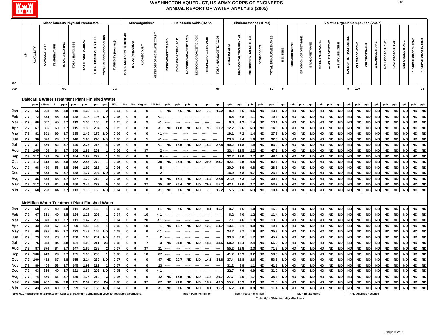

| <b>Miscellaneous Physical Parameters</b><br><b>Microorganisms</b><br><b>Haloacetic Acids (HAAs)</b><br><b>Trihalomethanes (THMs)</b><br><b>Volatile Organic Compounds (VOCs)</b> |     |           |                                                      |                    |               |                |                   |                        |                                  |                                                                                                  |                             |                                |                |                                            |                    |                     |                         |                              |                      |                        |                   |                             |                             |                  |                       |                                                                                                                                                                                                                                                                                                                                                                                                                                                                                                                                                                                                                                                                                                                                                                                                                                                                                                                                                                                                                                                                                                                                                                                                                                                                                                                                                                                                                                                                                                                                                                                                                                                                                                                                                                                                                                                                                                                                                                                                                                                                                                                                                                                                                                                                                                                                                                                                                                                                                                                                                                                                                                                                                                                                                                                                                                                                                                                                                                                                                                                                                                                                                                                                                                                                                                                                                                                                                                                                                                                                                                                                                                                                                                                                                                                                                                                                                                                                                                                                                                                                                                                                                                                                                                                                                                                                                                                                                                                                                                                                                                                                                                                                                                                                                                                                                                                                                            |                    |                           |                     |                   |                  |                       |                             |                      |              |               |                 |                 |                |                   |                     |
|----------------------------------------------------------------------------------------------------------------------------------------------------------------------------------|-----|-----------|------------------------------------------------------|--------------------|---------------|----------------|-------------------|------------------------|----------------------------------|--------------------------------------------------------------------------------------------------|-----------------------------|--------------------------------|----------------|--------------------------------------------|--------------------|---------------------|-------------------------|------------------------------|----------------------|------------------------|-------------------|-----------------------------|-----------------------------|------------------|-----------------------|--------------------------------------------------------------------------------------------------------------------------------------------------------------------------------------------------------------------------------------------------------------------------------------------------------------------------------------------------------------------------------------------------------------------------------------------------------------------------------------------------------------------------------------------------------------------------------------------------------------------------------------------------------------------------------------------------------------------------------------------------------------------------------------------------------------------------------------------------------------------------------------------------------------------------------------------------------------------------------------------------------------------------------------------------------------------------------------------------------------------------------------------------------------------------------------------------------------------------------------------------------------------------------------------------------------------------------------------------------------------------------------------------------------------------------------------------------------------------------------------------------------------------------------------------------------------------------------------------------------------------------------------------------------------------------------------------------------------------------------------------------------------------------------------------------------------------------------------------------------------------------------------------------------------------------------------------------------------------------------------------------------------------------------------------------------------------------------------------------------------------------------------------------------------------------------------------------------------------------------------------------------------------------------------------------------------------------------------------------------------------------------------------------------------------------------------------------------------------------------------------------------------------------------------------------------------------------------------------------------------------------------------------------------------------------------------------------------------------------------------------------------------------------------------------------------------------------------------------------------------------------------------------------------------------------------------------------------------------------------------------------------------------------------------------------------------------------------------------------------------------------------------------------------------------------------------------------------------------------------------------------------------------------------------------------------------------------------------------------------------------------------------------------------------------------------------------------------------------------------------------------------------------------------------------------------------------------------------------------------------------------------------------------------------------------------------------------------------------------------------------------------------------------------------------------------------------------------------------------------------------------------------------------------------------------------------------------------------------------------------------------------------------------------------------------------------------------------------------------------------------------------------------------------------------------------------------------------------------------------------------------------------------------------------------------------------------------------------------------------------------------------------------------------------------------------------------------------------------------------------------------------------------------------------------------------------------------------------------------------------------------------------------------------------------------------------------------------------------------------------------------------------------------------------------------------------------------------------------------------------------------------------|--------------------|---------------------------|---------------------|-------------------|------------------|-----------------------|-----------------------------|----------------------|--------------|---------------|-----------------|-----------------|----------------|-------------------|---------------------|
|                                                                                                                                                                                  |     |           |                                                      |                    |               |                |                   |                        |                                  |                                                                                                  |                             |                                |                |                                            |                    |                     |                         |                              |                      |                        |                   |                             |                             |                  |                       |                                                                                                                                                                                                                                                                                                                                                                                                                                                                                                                                                                                                                                                                                                                                                                                                                                                                                                                                                                                                                                                                                                                                                                                                                                                                                                                                                                                                                                                                                                                                                                                                                                                                                                                                                                                                                                                                                                                                                                                                                                                                                                                                                                                                                                                                                                                                                                                                                                                                                                                                                                                                                                                                                                                                                                                                                                                                                                                                                                                                                                                                                                                                                                                                                                                                                                                                                                                                                                                                                                                                                                                                                                                                                                                                                                                                                                                                                                                                                                                                                                                                                                                                                                                                                                                                                                                                                                                                                                                                                                                                                                                                                                                                                                                                                                                                                                                                                            |                    |                           |                     |                   |                  |                       |                             |                      |              |               |                 |                 |                |                   |                     |
|                                                                                                                                                                                  | 玉   | ALKALNITY | CONDUCTIVITY                                         | <b>TEMPERATURE</b> | TOTAL CHLORIN | TOTAL HARDNESS | TOTAL ORG. CARBON | TOTAL DISSOLVED SOLIDS | <b>SOLIDS</b><br>TOTAL SUSPENDED | TURBIDITY (Average)                                                                              | TOTAL COLIFORM (% positive) | E.COLI <sup>(%</sup> positive) | ALGAE COUNT    | <b>COUNT</b><br><b>HETEROTROPHIC PLATE</b> | DIBROMOACETIC ACID | DICHLOROACETIC ACID | MONOBROMOACETIC ACID    | <b>MONOCHLOROACETIC ACID</b> | TRICHLOROACETIC ACID | TOTAL HALOACETIC ACIDS | <b>CHLOROFORM</b> | <b>BROMODICHLOROMETHANE</b> | <b>CHLORODIBROMOMETHANE</b> | <b>BROMOFORM</b> | TOTAL TRIHALOMETHANES | <b>BENZENE</b>                                                                                                                                                                                                                                                                                                                                                                                                                                                                                                                                                                                                                                                                                                                                                                                                                                                                                                                                                                                                                                                                                                                                                                                                                                                                                                                                                                                                                                                                                                                                                                                                                                                                                                                                                                                                                                                                                                                                                                                                                                                                                                                                                                                                                                                                                                                                                                                                                                                                                                                                                                                                                                                                                                                                                                                                                                                                                                                                                                                                                                                                                                                                                                                                                                                                                                                                                                                                                                                                                                                                                                                                                                                                                                                                                                                                                                                                                                                                                                                                                                                                                                                                                                                                                                                                                                                                                                                                                                                                                                                                                                                                                                                                                                                                                                                                                                                                             | <b>BROMOBENZEN</b> | <b>BROMOCHLOROMETHANE</b> | <b>BROMOMETHANE</b> | tert-BUTYLBENZENE | Sec-BUTYLBENZENE | <b>n-BUTYLBENZENE</b> | <b>CARBON TETRACHLORIDE</b> | <b>CHLOROBENZENE</b> | CHLOROETHANE | CHLOROMETHANE | 2-CHLOROTOLUENE | 4-CHLOROTOLUENE | DIBROMOMETHANE | 3-DICHLOROBENZENE | 1,4-DICHLOROBENZENE |
| MCL*                                                                                                                                                                             |     |           |                                                      |                    | $4.0\,$       |                |                   |                        |                                  | 0.3                                                                                              |                             |                                |                |                                            |                    |                     |                         |                              |                      | 60                     |                   |                             |                             |                  | 80                    | 5                                                                                                                                                                                                                                                                                                                                                                                                                                                                                                                                                                                                                                                                                                                                                                                                                                                                                                                                                                                                                                                                                                                                                                                                                                                                                                                                                                                                                                                                                                                                                                                                                                                                                                                                                                                                                                                                                                                                                                                                                                                                                                                                                                                                                                                                                                                                                                                                                                                                                                                                                                                                                                                                                                                                                                                                                                                                                                                                                                                                                                                                                                                                                                                                                                                                                                                                                                                                                                                                                                                                                                                                                                                                                                                                                                                                                                                                                                                                                                                                                                                                                                                                                                                                                                                                                                                                                                                                                                                                                                                                                                                                                                                                                                                                                                                                                                                                                          |                    |                           |                     |                   |                  |                       | 5                           | 100                  |              |               |                 |                 |                |                   | 75                  |
|                                                                                                                                                                                  |     |           |                                                      |                    |               |                |                   |                        |                                  |                                                                                                  |                             |                                |                |                                            |                    |                     |                         |                              |                      |                        |                   |                             |                             |                  |                       |                                                                                                                                                                                                                                                                                                                                                                                                                                                                                                                                                                                                                                                                                                                                                                                                                                                                                                                                                                                                                                                                                                                                                                                                                                                                                                                                                                                                                                                                                                                                                                                                                                                                                                                                                                                                                                                                                                                                                                                                                                                                                                                                                                                                                                                                                                                                                                                                                                                                                                                                                                                                                                                                                                                                                                                                                                                                                                                                                                                                                                                                                                                                                                                                                                                                                                                                                                                                                                                                                                                                                                                                                                                                                                                                                                                                                                                                                                                                                                                                                                                                                                                                                                                                                                                                                                                                                                                                                                                                                                                                                                                                                                                                                                                                                                                                                                                                                            |                    |                           |                     |                   |                  |                       |                             |                      |              |               |                 |                 |                |                   |                     |
|                                                                                                                                                                                  |     |           | Dalecarlia Water Treatment Plant Finished Water      |                    |               |                |                   |                        |                                  |                                                                                                  |                             |                                |                |                                            |                    |                     |                         |                              |                      |                        |                   |                             |                             |                  |                       |                                                                                                                                                                                                                                                                                                                                                                                                                                                                                                                                                                                                                                                                                                                                                                                                                                                                                                                                                                                                                                                                                                                                                                                                                                                                                                                                                                                                                                                                                                                                                                                                                                                                                                                                                                                                                                                                                                                                                                                                                                                                                                                                                                                                                                                                                                                                                                                                                                                                                                                                                                                                                                                                                                                                                                                                                                                                                                                                                                                                                                                                                                                                                                                                                                                                                                                                                                                                                                                                                                                                                                                                                                                                                                                                                                                                                                                                                                                                                                                                                                                                                                                                                                                                                                                                                                                                                                                                                                                                                                                                                                                                                                                                                                                                                                                                                                                                                            |                    |                           |                     |                   |                  |                       |                             |                      |              |               |                 |                 |                |                   |                     |
|                                                                                                                                                                                  |     | ppm       | uS/cm                                                |                    | ppm           | ppm            | ppm               | ppm                    | ppm                              | <b>NTU</b>                                                                                       | $% +$                       | $% +$                          | Org/mL         | CFU/mL                                     | ppb                | ppb                 | ppb                     | ppb                          | ppb                  | ppb                    | ppb               | ppb                         | ppb                         | ppb              | ppb                   | ppb                                                                                                                                                                                                                                                                                                                                                                                                                                                                                                                                                                                                                                                                                                                                                                                                                                                                                                                                                                                                                                                                                                                                                                                                                                                                                                                                                                                                                                                                                                                                                                                                                                                                                                                                                                                                                                                                                                                                                                                                                                                                                                                                                                                                                                                                                                                                                                                                                                                                                                                                                                                                                                                                                                                                                                                                                                                                                                                                                                                                                                                                                                                                                                                                                                                                                                                                                                                                                                                                                                                                                                                                                                                                                                                                                                                                                                                                                                                                                                                                                                                                                                                                                                                                                                                                                                                                                                                                                                                                                                                                                                                                                                                                                                                                                                                                                                                                                        | ppb                | ppb                       | ppb                 | ppb               | ppb              | ppb                   | ppb                         | ppb                  | ppb          | ppb           | ppb             | ppb             | ppb            | ppb               | ppb                 |
| Jan                                                                                                                                                                              | 7.7 | 66        | 298                                                  | 44                 | 3.8           | 119            | 1.33              | 183                    |                                  | 0.04                                                                                             |                             | $\circ$                        |                |                                            | <b>ND</b>          | 7.6                 | <b>ND</b>               | <b>ND</b>                    | 7.6                  | 15.2                   | 8.9               | 3.6                         | 0.6                         | <b>ND</b>        | 13.1                  | <b>ND</b>                                                                                                                                                                                                                                                                                                                                                                                                                                                                                                                                                                                                                                                                                                                                                                                                                                                                                                                                                                                                                                                                                                                                                                                                                                                                                                                                                                                                                                                                                                                                                                                                                                                                                                                                                                                                                                                                                                                                                                                                                                                                                                                                                                                                                                                                                                                                                                                                                                                                                                                                                                                                                                                                                                                                                                                                                                                                                                                                                                                                                                                                                                                                                                                                                                                                                                                                                                                                                                                                                                                                                                                                                                                                                                                                                                                                                                                                                                                                                                                                                                                                                                                                                                                                                                                                                                                                                                                                                                                                                                                                                                                                                                                                                                                                                                                                                                                                                  | <b>ND</b>          | <b>ND</b>                 | <b>ND</b>           | <b>ND</b>         | <b>ND</b>        | <b>ND</b>             | <b>ND</b>                   | <b>ND</b>            | <b>ND</b>    | <b>ND</b>     | <b>ND</b>       | <b>ND</b>       | <b>ND</b>      | <b>ND</b>         | <b>ND</b>           |
| Feb                                                                                                                                                                              | 7.7 | 72        | 374                                                  | 45                 | 3.8           | 128            | 1.18              | 196                    | <b>ND</b>                        | 0.05                                                                                             |                             |                                |                | $<$ 1                                      |                    |                     |                         |                              |                      | ----                   | 5.5               | 3.8                         | 1.1                         | <b>ND</b>        | 10.4                  | <b>ND</b>                                                                                                                                                                                                                                                                                                                                                                                                                                                                                                                                                                                                                                                                                                                                                                                                                                                                                                                                                                                                                                                                                                                                                                                                                                                                                                                                                                                                                                                                                                                                                                                                                                                                                                                                                                                                                                                                                                                                                                                                                                                                                                                                                                                                                                                                                                                                                                                                                                                                                                                                                                                                                                                                                                                                                                                                                                                                                                                                                                                                                                                                                                                                                                                                                                                                                                                                                                                                                                                                                                                                                                                                                                                                                                                                                                                                                                                                                                                                                                                                                                                                                                                                                                                                                                                                                                                                                                                                                                                                                                                                                                                                                                                                                                                                                                                                                                                                                  | <b>ND</b>          | <b>ND</b>                 | <b>ND</b>           | <b>ND</b>         | <b>ND</b>        | <b>ND</b>             | <b>ND</b>                   | <b>ND</b>            | <b>ND</b>    | <b>ND</b>     | <b>ND</b>       | <b>ND</b>       | <b>ND</b>      | <b>ND</b>         | <b>ND</b>           |
| Mar                                                                                                                                                                              | 7.7 | 60        | 357                                                  | 45                 | 3.7           | 113            | 1.30              | 168                    | 2                                | 0.05                                                                                             |                             | $\Omega$                       |                | $<$ 1                                      |                    |                     |                         |                              |                      |                        | 6.8               | 4.9                         | 1.4                         | <b>ND</b>        | 13.1                  | <b>ND</b>                                                                                                                                                                                                                                                                                                                                                                                                                                                                                                                                                                                                                                                                                                                                                                                                                                                                                                                                                                                                                                                                                                                                                                                                                                                                                                                                                                                                                                                                                                                                                                                                                                                                                                                                                                                                                                                                                                                                                                                                                                                                                                                                                                                                                                                                                                                                                                                                                                                                                                                                                                                                                                                                                                                                                                                                                                                                                                                                                                                                                                                                                                                                                                                                                                                                                                                                                                                                                                                                                                                                                                                                                                                                                                                                                                                                                                                                                                                                                                                                                                                                                                                                                                                                                                                                                                                                                                                                                                                                                                                                                                                                                                                                                                                                                                                                                                                                                  | <b>ND</b>          | <b>ND</b>                 | <b>ND</b>           | <b>ND</b>         | <b>ND</b>        | <b>ND</b>             | <b>ND</b>                   | <b>ND</b>            | <b>ND</b>    | <b>ND</b>     | <b>ND</b>       | <b>ND</b>       | <b>ND</b>      | <b>ND</b>         | <b>ND</b>           |
| Apr                                                                                                                                                                              | 7.7 | 67        | 306                                                  | 60                 | 3.7           | 115            | 1.38              | 204                    |                                  | 0.05                                                                                             |                             | $\mathbf 0$                    | 10             | $<$ 1                                      | <b>ND</b>          | 11.8                | <b>ND</b>               | <b>ND</b>                    | 9.9                  | 21.7                   | 12.2              | 2.6                         | <b>ND</b>                   | <b>ND</b>        | 14.8                  | <b>ND</b>                                                                                                                                                                                                                                                                                                                                                                                                                                                                                                                                                                                                                                                                                                                                                                                                                                                                                                                                                                                                                                                                                                                                                                                                                                                                                                                                                                                                                                                                                                                                                                                                                                                                                                                                                                                                                                                                                                                                                                                                                                                                                                                                                                                                                                                                                                                                                                                                                                                                                                                                                                                                                                                                                                                                                                                                                                                                                                                                                                                                                                                                                                                                                                                                                                                                                                                                                                                                                                                                                                                                                                                                                                                                                                                                                                                                                                                                                                                                                                                                                                                                                                                                                                                                                                                                                                                                                                                                                                                                                                                                                                                                                                                                                                                                                                                                                                                                                  | <b>ND</b>          | <b>ND</b>                 | <b>ND</b>           | <b>ND</b>         | <b>ND</b>        | <b>ND</b>             | <b>ND</b>                   | <b>ND</b>            | <b>ND</b>    | <b>ND</b>     | <b>ND</b>       | <b>ND</b>       | <b>ND</b>      | <b>ND</b>         | <b>ND</b>           |
| May                                                                                                                                                                              | 7.7 | 82        | 351                                                  | 66                 | 3.7           | 135            | 1.45              | 176                    | <b>ND</b>                        | 0.06                                                                                             | $\mathbf{0}$                | $\mathbf 0$                    |                | < 1                                        |                    |                     |                         |                              |                      |                        | 19.1              | 7.2                         | 1.4                         | <b>ND</b>        |                       |                                                                                                                                                                                                                                                                                                                                                                                                                                                                                                                                                                                                                                                                                                                                                                                                                                                                                                                                                                                                                                                                                                                                                                                                                                                                                                                                                                                                                                                                                                                                                                                                                                                                                                                                                                                                                                                                                                                                                                                                                                                                                                                                                                                                                                                                                                                                                                                                                                                                                                                                                                                                                                                                                                                                                                                                                                                                                                                                                                                                                                                                                                                                                                                                                                                                                                                                                                                                                                                                                                                                                                                                                                                                                                                                                                                                                                                                                                                                                                                                                                                                                                                                                                                                                                                                                                                                                                                                                                                                                                                                                                                                                                                                                                                                                                                                                                                                                            | <b>ND</b>          | <b>ND</b>                 | <b>ND</b>           | <b>ND</b>         | <b>ND</b>        | <b>ND</b>             | <b>ND</b>                   | <b>ND</b>            | <b>ND</b>    | <b>ND</b>     |                 | <b>ND</b>       | <b>ND</b>      |                   |                     |
| Jun                                                                                                                                                                              | 7.7 | 96        | 376                                                  | 79                 | 3.7           | 146            | 1.66              | 243                    | <b>ND</b>                        | 0.06                                                                                             |                             | $\mathbf 0$                    |                | $<$ 1                                      |                    |                     |                         |                              |                      |                        | 23.9              | 7.4                         | 1.0                         | <b>ND</b>        |                       |                                                                                                                                                                                                                                                                                                                                                                                                                                                                                                                                                                                                                                                                                                                                                                                                                                                                                                                                                                                                                                                                                                                                                                                                                                                                                                                                                                                                                                                                                                                                                                                                                                                                                                                                                                                                                                                                                                                                                                                                                                                                                                                                                                                                                                                                                                                                                                                                                                                                                                                                                                                                                                                                                                                                                                                                                                                                                                                                                                                                                                                                                                                                                                                                                                                                                                                                                                                                                                                                                                                                                                                                                                                                                                                                                                                                                                                                                                                                                                                                                                                                                                                                                                                                                                                                                                                                                                                                                                                                                                                                                                                                                                                                                                                                                                                                                                                                                            |                    |                           |                     |                   |                  |                       |                             |                      |              |               |                 |                 |                |                   |                     |
| Jul                                                                                                                                                                              | 7.7 | 87        | 369                                                  | 82                 | 3.7           | 140            | 2.26              | 218                    |                                  | 0.06                                                                                             |                             | $\Omega$                       |                | <1                                         | <b>ND</b>          | 18.6                | <b>ND</b>               | <b>ND</b>                    | 18.9                 | 37.5                   | 40.2              | 11.8                        | 1.9                         | <b>ND</b>        |                       |                                                                                                                                                                                                                                                                                                                                                                                                                                                                                                                                                                                                                                                                                                                                                                                                                                                                                                                                                                                                                                                                                                                                                                                                                                                                                                                                                                                                                                                                                                                                                                                                                                                                                                                                                                                                                                                                                                                                                                                                                                                                                                                                                                                                                                                                                                                                                                                                                                                                                                                                                                                                                                                                                                                                                                                                                                                                                                                                                                                                                                                                                                                                                                                                                                                                                                                                                                                                                                                                                                                                                                                                                                                                                                                                                                                                                                                                                                                                                                                                                                                                                                                                                                                                                                                                                                                                                                                                                                                                                                                                                                                                                                                                                                                                                                                                                                                                                            |                    |                           |                     |                   |                  |                       |                             |                      |              |               |                 |                 |                |                   |                     |
| Aug                                                                                                                                                                              | 7.7 | 105       | 406                                                  | 84                 | 3.7           | 156            | 1.81              | 261                    |                                  | 0.06                                                                                             |                             | $\mathbf 0$                    | 37             | 2 <sup>1</sup>                             |                    |                     |                         |                              |                      |                        | 33.4              | 11.5                        | 2.2                         | <b>ND</b>        |                       |                                                                                                                                                                                                                                                                                                                                                                                                                                                                                                                                                                                                                                                                                                                                                                                                                                                                                                                                                                                                                                                                                                                                                                                                                                                                                                                                                                                                                                                                                                                                                                                                                                                                                                                                                                                                                                                                                                                                                                                                                                                                                                                                                                                                                                                                                                                                                                                                                                                                                                                                                                                                                                                                                                                                                                                                                                                                                                                                                                                                                                                                                                                                                                                                                                                                                                                                                                                                                                                                                                                                                                                                                                                                                                                                                                                                                                                                                                                                                                                                                                                                                                                                                                                                                                                                                                                                                                                                                                                                                                                                                                                                                                                                                                                                                                                                                                                                                            |                    |                           |                     |                   |                  |                       |                             |                      |              |               |                 |                 |                |                   |                     |
| Sep                                                                                                                                                                              | 7.7 | 112       | 432                                                  | 79                 | 3.7           | 154            | 1.82              | 273                    |                                  | 0.05                                                                                             |                             | $\mathbf 0$                    |                | 6                                          |                    |                     |                         |                              |                      |                        | 32.7              | 13.0                        | 2.7                         | <b>ND</b>        |                       |                                                                                                                                                                                                                                                                                                                                                                                                                                                                                                                                                                                                                                                                                                                                                                                                                                                                                                                                                                                                                                                                                                                                                                                                                                                                                                                                                                                                                                                                                                                                                                                                                                                                                                                                                                                                                                                                                                                                                                                                                                                                                                                                                                                                                                                                                                                                                                                                                                                                                                                                                                                                                                                                                                                                                                                                                                                                                                                                                                                                                                                                                                                                                                                                                                                                                                                                                                                                                                                                                                                                                                                                                                                                                                                                                                                                                                                                                                                                                                                                                                                                                                                                                                                                                                                                                                                                                                                                                                                                                                                                                                                                                                                                                                                                                                                                                                                                                            |                    |                           |                     |                   |                  |                       |                             |                      |              |               |                 |                 |                |                   |                     |
| Oct                                                                                                                                                                              | 7.7 | 112       | 413                                                  | 66                 | 3.8           | 152            | 2.46              | 279                    |                                  | 0.05                                                                                             |                             | $\mathbf{o}$                   |                | 35 <sup>1</sup>                            | <b>ND</b>          | 26.4                | <b>ND</b>               | <b>ND</b>                    | 29.3                 | 55.7                   | 42.1              | 9.5                         | 0.8                         | <b>ND</b>        |                       |                                                                                                                                                                                                                                                                                                                                                                                                                                                                                                                                                                                                                                                                                                                                                                                                                                                                                                                                                                                                                                                                                                                                                                                                                                                                                                                                                                                                                                                                                                                                                                                                                                                                                                                                                                                                                                                                                                                                                                                                                                                                                                                                                                                                                                                                                                                                                                                                                                                                                                                                                                                                                                                                                                                                                                                                                                                                                                                                                                                                                                                                                                                                                                                                                                                                                                                                                                                                                                                                                                                                                                                                                                                                                                                                                                                                                                                                                                                                                                                                                                                                                                                                                                                                                                                                                                                                                                                                                                                                                                                                                                                                                                                                                                                                                                                                                                                                                            |                    |                           |                     |                   |                  |                       |                             |                      |              |               |                 |                 |                |                   |                     |
| Nov                                                                                                                                                                              | 7.7 | 98        | 420                                                  | 56                 | 3.8           | 156            | 1.97              | 218                    |                                  | 0.06                                                                                             |                             | $\mathbf 0$                    |                | R                                          |                    |                     |                         |                              |                      |                        | 20.9              | 6.9                         | 0.8                         | <b>ND</b>        |                       |                                                                                                                                                                                                                                                                                                                                                                                                                                                                                                                                                                                                                                                                                                                                                                                                                                                                                                                                                                                                                                                                                                                                                                                                                                                                                                                                                                                                                                                                                                                                                                                                                                                                                                                                                                                                                                                                                                                                                                                                                                                                                                                                                                                                                                                                                                                                                                                                                                                                                                                                                                                                                                                                                                                                                                                                                                                                                                                                                                                                                                                                                                                                                                                                                                                                                                                                                                                                                                                                                                                                                                                                                                                                                                                                                                                                                                                                                                                                                                                                                                                                                                                                                                                                                                                                                                                                                                                                                                                                                                                                                                                                                                                                                                                                                                                                                                                                                            |                    |                           |                     |                   |                  |                       |                             |                      |              |               |                 |                 |                |                   |                     |
| Dec                                                                                                                                                                              | 7.7 | 70        | 373                                                  | 47                 | 3.7           | 128            | 1.77              | 204                    | <b>ND</b>                        | 0.05                                                                                             |                             | $\mathbf 0$                    |                |                                            |                    |                     |                         |                              |                      |                        | 16.9              | 5.8                         | 0.7                         | <b>ND</b>        |                       |                                                                                                                                                                                                                                                                                                                                                                                                                                                                                                                                                                                                                                                                                                                                                                                                                                                                                                                                                                                                                                                                                                                                                                                                                                                                                                                                                                                                                                                                                                                                                                                                                                                                                                                                                                                                                                                                                                                                                                                                                                                                                                                                                                                                                                                                                                                                                                                                                                                                                                                                                                                                                                                                                                                                                                                                                                                                                                                                                                                                                                                                                                                                                                                                                                                                                                                                                                                                                                                                                                                                                                                                                                                                                                                                                                                                                                                                                                                                                                                                                                                                                                                                                                                                                                                                                                                                                                                                                                                                                                                                                                                                                                                                                                                                                                                                                                                                                            |                    |                           |                     |                   |                  |                       |                             |                      |              |               |                 |                 |                |                   |                     |
| Avg                                                                                                                                                                              | 7.7 | 86        | 373                                                  | 63                 | 3.7           | 137            | 1.70              | 219                    |                                  | 0.05                                                                                             |                             | $\mathbf 0$                    |                | 5 <sup>1</sup>                             | <b>ND</b>          | 16.1                | <b>ND</b>               | <b>ND</b>                    | 16.4                 | 32.5                   | 21.9              | 7.3                         | $1.2$                       | <b>ND</b>        |                       |                                                                                                                                                                                                                                                                                                                                                                                                                                                                                                                                                                                                                                                                                                                                                                                                                                                                                                                                                                                                                                                                                                                                                                                                                                                                                                                                                                                                                                                                                                                                                                                                                                                                                                                                                                                                                                                                                                                                                                                                                                                                                                                                                                                                                                                                                                                                                                                                                                                                                                                                                                                                                                                                                                                                                                                                                                                                                                                                                                                                                                                                                                                                                                                                                                                                                                                                                                                                                                                                                                                                                                                                                                                                                                                                                                                                                                                                                                                                                                                                                                                                                                                                                                                                                                                                                                                                                                                                                                                                                                                                                                                                                                                                                                                                                                                                                                                                                            |                    |                           |                     |                   |                  |                       |                             |                      |              |               |                 |                 |                |                   |                     |
| Max                                                                                                                                                                              | 7.7 | 112       | 432                                                  | 84                 | 3.8           | 156            | 2.46              | 279                    |                                  | 0.06                                                                                             |                             | $\mathbf{0}$                   | 37             | 35                                         | <b>ND</b>          | 26.4                | <b>ND</b>               | <b>ND</b>                    | 29.3                 | 55.7                   | 42.1              | 13.0                        | 2.7                         | <b>ND</b>        |                       |                                                                                                                                                                                                                                                                                                                                                                                                                                                                                                                                                                                                                                                                                                                                                                                                                                                                                                                                                                                                                                                                                                                                                                                                                                                                                                                                                                                                                                                                                                                                                                                                                                                                                                                                                                                                                                                                                                                                                                                                                                                                                                                                                                                                                                                                                                                                                                                                                                                                                                                                                                                                                                                                                                                                                                                                                                                                                                                                                                                                                                                                                                                                                                                                                                                                                                                                                                                                                                                                                                                                                                                                                                                                                                                                                                                                                                                                                                                                                                                                                                                                                                                                                                                                                                                                                                                                                                                                                                                                                                                                                                                                                                                                                                                                                                                                                                                                                            |                    |                           |                     |                   |                  |                       |                             |                      |              |               |                 |                 |                |                   |                     |
| Min                                                                                                                                                                              | 7.7 | 60        | 298                                                  | 44                 | 3.7           | 113            | 1.18              | 168                    | <b>ND</b>                        | 0.04                                                                                             |                             | $\mathbf 0$                    | $\mathbf{0}$   | $<$ 1                                      | <b>ND</b>          | 7.6                 | <b>ND</b>               | <b>ND</b>                    | 7.6                  | 15.2                   | 5.5               | 2.6                         | <b>ND</b>                   | <b>ND</b>        |                       |                                                                                                                                                                                                                                                                                                                                                                                                                                                                                                                                                                                                                                                                                                                                                                                                                                                                                                                                                                                                                                                                                                                                                                                                                                                                                                                                                                                                                                                                                                                                                                                                                                                                                                                                                                                                                                                                                                                                                                                                                                                                                                                                                                                                                                                                                                                                                                                                                                                                                                                                                                                                                                                                                                                                                                                                                                                                                                                                                                                                                                                                                                                                                                                                                                                                                                                                                                                                                                                                                                                                                                                                                                                                                                                                                                                                                                                                                                                                                                                                                                                                                                                                                                                                                                                                                                                                                                                                                                                                                                                                                                                                                                                                                                                                                                                                                                                                                            |                    |                           |                     |                   |                  |                       |                             |                      |              |               |                 |                 |                |                   |                     |
|                                                                                                                                                                                  |     |           |                                                      |                    |               |                |                   |                        |                                  |                                                                                                  |                             |                                |                |                                            |                    |                     |                         |                              |                      |                        |                   |                             |                             |                  |                       |                                                                                                                                                                                                                                                                                                                                                                                                                                                                                                                                                                                                                                                                                                                                                                                                                                                                                                                                                                                                                                                                                                                                                                                                                                                                                                                                                                                                                                                                                                                                                                                                                                                                                                                                                                                                                                                                                                                                                                                                                                                                                                                                                                                                                                                                                                                                                                                                                                                                                                                                                                                                                                                                                                                                                                                                                                                                                                                                                                                                                                                                                                                                                                                                                                                                                                                                                                                                                                                                                                                                                                                                                                                                                                                                                                                                                                                                                                                                                                                                                                                                                                                                                                                                                                                                                                                                                                                                                                                                                                                                                                                                                                                                                                                                                                                                                                                                                            |                    |                           |                     |                   |                  |                       |                             |                      |              |               |                 |                 |                |                   |                     |
|                                                                                                                                                                                  |     |           |                                                      |                    |               |                |                   |                        |                                  |                                                                                                  |                             |                                |                |                                            |                    |                     |                         |                              |                      |                        |                   |                             |                             |                  |                       |                                                                                                                                                                                                                                                                                                                                                                                                                                                                                                                                                                                                                                                                                                                                                                                                                                                                                                                                                                                                                                                                                                                                                                                                                                                                                                                                                                                                                                                                                                                                                                                                                                                                                                                                                                                                                                                                                                                                                                                                                                                                                                                                                                                                                                                                                                                                                                                                                                                                                                                                                                                                                                                                                                                                                                                                                                                                                                                                                                                                                                                                                                                                                                                                                                                                                                                                                                                                                                                                                                                                                                                                                                                                                                                                                                                                                                                                                                                                                                                                                                                                                                                                                                                                                                                                                                                                                                                                                                                                                                                                                                                                                                                                                                                                                                                                                                                                                            |                    |                           |                     |                   |                  |                       |                             |                      |              |               |                 |                 |                |                   |                     |
|                                                                                                                                                                                  |     |           | <b>McMillan Water Treatment Plant Finished Water</b> |                    |               |                |                   |                        |                                  |                                                                                                  |                             |                                |                |                                            |                    |                     |                         |                              |                      |                        |                   |                             |                             |                  |                       |                                                                                                                                                                                                                                                                                                                                                                                                                                                                                                                                                                                                                                                                                                                                                                                                                                                                                                                                                                                                                                                                                                                                                                                                                                                                                                                                                                                                                                                                                                                                                                                                                                                                                                                                                                                                                                                                                                                                                                                                                                                                                                                                                                                                                                                                                                                                                                                                                                                                                                                                                                                                                                                                                                                                                                                                                                                                                                                                                                                                                                                                                                                                                                                                                                                                                                                                                                                                                                                                                                                                                                                                                                                                                                                                                                                                                                                                                                                                                                                                                                                                                                                                                                                                                                                                                                                                                                                                                                                                                                                                                                                                                                                                                                                                                                                                                                                                                            |                    |                           |                     |                   |                  |                       |                             |                      |              |               |                 |                 |                |                   |                     |
| Jan                                                                                                                                                                              | 7.7 | 58        | 286                                                  | 40                 | 3.8           | 111            | 2.34              | 158                    |                                  | 0.05                                                                                             |                             | $\mathbf 0$                    |                | < 1                                        | <b>ND</b>          | 7.6                 | <b>ND</b>               | <b>ND</b>                    | 8.1                  | 15.7                   | 9.7               | 4.6                         | 1.0                         | <b>ND</b>        |                       |                                                                                                                                                                                                                                                                                                                                                                                                                                                                                                                                                                                                                                                                                                                                                                                                                                                                                                                                                                                                                                                                                                                                                                                                                                                                                                                                                                                                                                                                                                                                                                                                                                                                                                                                                                                                                                                                                                                                                                                                                                                                                                                                                                                                                                                                                                                                                                                                                                                                                                                                                                                                                                                                                                                                                                                                                                                                                                                                                                                                                                                                                                                                                                                                                                                                                                                                                                                                                                                                                                                                                                                                                                                                                                                                                                                                                                                                                                                                                                                                                                                                                                                                                                                                                                                                                                                                                                                                                                                                                                                                                                                                                                                                                                                                                                                                                                                                                            |                    |                           |                     |                   |                  |                       |                             |                      |              |               |                 |                 |                |                   |                     |
| Feb                                                                                                                                                                              | 7.7 | 67        | 361                                                  | 40                 | 3.8           | 124            | 1.26              | 203                    |                                  | 0.04                                                                                             |                             | $\mathbf{0}$                   | 10             | $\leq 1$                                   | ----               | ----                | ----                    | ----                         | ----                 | ----                   | 6.2               | 4.0                         | $1.2$                       | <b>ND</b>        |                       |                                                                                                                                                                                                                                                                                                                                                                                                                                                                                                                                                                                                                                                                                                                                                                                                                                                                                                                                                                                                                                                                                                                                                                                                                                                                                                                                                                                                                                                                                                                                                                                                                                                                                                                                                                                                                                                                                                                                                                                                                                                                                                                                                                                                                                                                                                                                                                                                                                                                                                                                                                                                                                                                                                                                                                                                                                                                                                                                                                                                                                                                                                                                                                                                                                                                                                                                                                                                                                                                                                                                                                                                                                                                                                                                                                                                                                                                                                                                                                                                                                                                                                                                                                                                                                                                                                                                                                                                                                                                                                                                                                                                                                                                                                                                                                                                                                                                                            |                    |                           |                     |                   |                  |                       |                             |                      |              |               |                 |                 |                |                   |                     |
| Mar                                                                                                                                                                              | 7.7 | 56        | 370                                                  | 40                 | 3.7           | 111            | 1.42              | 203                    |                                  | 0.04                                                                                             |                             |                                | 20             | $\leq 1$                                   | ----               | $\overline{a}$      |                         |                              | ----                 | ----                   | 7.1               | 4.6                         | $1.3$                       | <b>ND</b>        |                       |                                                                                                                                                                                                                                                                                                                                                                                                                                                                                                                                                                                                                                                                                                                                                                                                                                                                                                                                                                                                                                                                                                                                                                                                                                                                                                                                                                                                                                                                                                                                                                                                                                                                                                                                                                                                                                                                                                                                                                                                                                                                                                                                                                                                                                                                                                                                                                                                                                                                                                                                                                                                                                                                                                                                                                                                                                                                                                                                                                                                                                                                                                                                                                                                                                                                                                                                                                                                                                                                                                                                                                                                                                                                                                                                                                                                                                                                                                                                                                                                                                                                                                                                                                                                                                                                                                                                                                                                                                                                                                                                                                                                                                                                                                                                                                                                                                                                                            |                    |                           |                     |                   |                  |                       |                             |                      |              |               |                 |                 |                |                   |                     |
| Apr                                                                                                                                                                              | 7.7 | 43        | 273                                                  | 57                 | 3.7           | 99             | 1.45              | 193                    |                                  | 0.05                                                                                             |                             | 0                              | 10             | 1                                          | <b>ND</b>          | 12.7                | <b>ND</b>               | <b>ND</b>                    | 12.0                 | 24.7                   | 13.1              | 5.1                         | 0.9                         | <b>ND</b>        |                       |                                                                                                                                                                                                                                                                                                                                                                                                                                                                                                                                                                                                                                                                                                                                                                                                                                                                                                                                                                                                                                                                                                                                                                                                                                                                                                                                                                                                                                                                                                                                                                                                                                                                                                                                                                                                                                                                                                                                                                                                                                                                                                                                                                                                                                                                                                                                                                                                                                                                                                                                                                                                                                                                                                                                                                                                                                                                                                                                                                                                                                                                                                                                                                                                                                                                                                                                                                                                                                                                                                                                                                                                                                                                                                                                                                                                                                                                                                                                                                                                                                                                                                                                                                                                                                                                                                                                                                                                                                                                                                                                                                                                                                                                                                                                                                                                                                                                                            |                    |                           |                     |                   |                  |                       |                             |                      |              |               |                 |                 |                |                   |                     |
| May                                                                                                                                                                              | 7.7 | 69        | 325                                                  | 65                 | 3.7           | 122            | 1.47              | 155                    | <b>ND</b>                        | 0.08                                                                                             |                             | $\Omega$                       |                | < 1                                        |                    |                     |                         |                              |                      |                        | 24.7              | 8.7                         | 1.9                         | <b>ND</b>        |                       | <b>ND</b>                                                                                                                                                                                                                                                                                                                                                                                                                                                                                                                                                                                                                                                                                                                                                                                                                                                                                                                                                                                                                                                                                                                                                                                                                                                                                                                                                                                                                                                                                                                                                                                                                                                                                                                                                                                                                                                                                                                                                                                                                                                                                                                                                                                                                                                                                                                                                                                                                                                                                                                                                                                                                                                                                                                                                                                                                                                                                                                                                                                                                                                                                                                                                                                                                                                                                                                                                                                                                                                                                                                                                                                                                                                                                                                                                                                                                                                                                                                                                                                                                                                                                                                                                                                                                                                                                                                                                                                                                                                                                                                                                                                                                                                                                                                                                                                                                                                                                  |                    |                           | <b>ND</b>           |                   |                  | <b>ND</b>             |                             |                      |              |               |                 |                 |                |                   |                     |
| Jun                                                                                                                                                                              | 7.7 | 79        | 338                                                  | 78                 | 3.7           | 130            | 1.68              | 231                    | <b>ND</b>                        | 0.07                                                                                             |                             | 0                              |                | $\mathbf{c}$                               |                    |                     |                         |                              | ----                 | ----                   | 33.9              | 9.6                         | 1.7                         | <b>ND</b>        | 45.2                  |                                                                                                                                                                                                                                                                                                                                                                                                                                                                                                                                                                                                                                                                                                                                                                                                                                                                                                                                                                                                                                                                                                                                                                                                                                                                                                                                                                                                                                                                                                                                                                                                                                                                                                                                                                                                                                                                                                                                                                                                                                                                                                                                                                                                                                                                                                                                                                                                                                                                                                                                                                                                                                                                                                                                                                                                                                                                                                                                                                                                                                                                                                                                                                                                                                                                                                                                                                                                                                                                                                                                                                                                                                                                                                                                                                                                                                                                                                                                                                                                                                                                                                                                                                                                                                                                                                                                                                                                                                                                                                                                                                                                                                                                                                                                                                                                                                                                                            | ND                 |                           | <b>ND</b>           | <b>ND</b>         |                  | <b>ND</b>             | <b>ND</b>                   |                      | <b>ND</b>    | <b>ND</b>     | <b>ND</b>       |                 | <b>ND</b>      |                   |                     |
| Jul                                                                                                                                                                              | 7.7 | 75        | 373                                                  | 84                 | 3.8           | 131            | 1.98              | 211                    | 24                               | 0.08                                                                                             |                             | $\mathbf 0$                    | $\overline{7}$ | 3                                          | <b>ND</b>          | 24.8                | <b>ND</b>               | <b>ND</b>                    | 18.7                 | 43.5                   | 50.2              | 13.4                        | 2.4                         | <b>ND</b>        | 66.0                  | <b>ND</b>                                                                                                                                                                                                                                                                                                                                                                                                                                                                                                                                                                                                                                                                                                                                                                                                                                                                                                                                                                                                                                                                                                                                                                                                                                                                                                                                                                                                                                                                                                                                                                                                                                                                                                                                                                                                                                                                                                                                                                                                                                                                                                                                                                                                                                                                                                                                                                                                                                                                                                                                                                                                                                                                                                                                                                                                                                                                                                                                                                                                                                                                                                                                                                                                                                                                                                                                                                                                                                                                                                                                                                                                                                                                                                                                                                                                                                                                                                                                                                                                                                                                                                                                                                                                                                                                                                                                                                                                                                                                                                                                                                                                                                                                                                                                                                                                                                                                                  |                    | <b>ND</b>                 | <b>ND</b>           | <b>ND</b>         | <b>ND</b>        | <b>ND</b>             | <b>ND</b>                   | <b>ND</b>            | <b>ND</b>    | <b>ND</b>     | <b>ND</b>       | ND              | <b>ND</b>      | <b>ND</b>         |                     |
| Aug                                                                                                                                                                              | 7.7 | 87        | 376                                                  | 84                 | 3.7           | 147            | 1.85              | 238                    | -2                               | 0.07                                                                                             |                             |                                | 37             | 11                                         |                    | ----                |                         |                              | ----                 | ----                   | 55.2              | 13.8                        | 2.3                         | <b>ND</b>        | 71.3                  |                                                                                                                                                                                                                                                                                                                                                                                                                                                                                                                                                                                                                                                                                                                                                                                                                                                                                                                                                                                                                                                                                                                                                                                                                                                                                                                                                                                                                                                                                                                                                                                                                                                                                                                                                                                                                                                                                                                                                                                                                                                                                                                                                                                                                                                                                                                                                                                                                                                                                                                                                                                                                                                                                                                                                                                                                                                                                                                                                                                                                                                                                                                                                                                                                                                                                                                                                                                                                                                                                                                                                                                                                                                                                                                                                                                                                                                                                                                                                                                                                                                                                                                                                                                                                                                                                                                                                                                                                                                                                                                                                                                                                                                                                                                                                                                                                                                                                            |                    | <b>ND</b>                 | <b>ND</b>           | <b>ND</b>         | <b>ND</b>        | <b>ND</b>             | <b>ND</b>                   | <b>ND</b>            | <b>ND</b>    | <b>ND</b>     | <b>ND</b>       | <b>ND</b>       | <b>ND</b>      | <b>ND</b>         | <b>ND</b>           |
| Sep                                                                                                                                                                              | 7.7 | 100       | 413                                                  | 79                 | 3.7           | 155            | 1.90              | 266                    |                                  | 0.08                                                                                             |                             | $\mathbf 0$                    | 10             | 67                                         |                    |                     |                         |                              |                      |                        | 41.2              | 13.9                        | 3.2                         | <b>ND</b>        | 58.3                  | <b>ND</b>                                                                                                                                                                                                                                                                                                                                                                                                                                                                                                                                                                                                                                                                                                                                                                                                                                                                                                                                                                                                                                                                                                                                                                                                                                                                                                                                                                                                                                                                                                                                                                                                                                                                                                                                                                                                                                                                                                                                                                                                                                                                                                                                                                                                                                                                                                                                                                                                                                                                                                                                                                                                                                                                                                                                                                                                                                                                                                                                                                                                                                                                                                                                                                                                                                                                                                                                                                                                                                                                                                                                                                                                                                                                                                                                                                                                                                                                                                                                                                                                                                                                                                                                                                                                                                                                                                                                                                                                                                                                                                                                                                                                                                                                                                                                                                                                                                                                                  |                    | <b>ND</b>                 | <b>ND</b>           | <b>ND</b>         | <b>ND</b>        | <b>ND</b>             | <b>ND</b>                   | <b>ND</b>            | <b>ND</b>    | <b>ND</b>     | <b>ND</b>       | <b>ND</b>       | <b>ND</b>      | <b>ND</b>         | <b>ND</b>           |
| Oct                                                                                                                                                                              | 7.7 | 100       | 432                                                  | 67                 | 3.8           | 155            | 2.14              | 239                    | <b>ND</b>                        | 0.07                                                                                             |                             | 0                              |                | 47                                         | <b>ND</b>          | 20.7                | <b>ND</b>               | <b>ND</b>                    | 14.1                 | 34.8                   | 37.4              | 13.8                        | 2.6                         | <b>ND</b>        | 53.8                  | <b>ND</b><br>27.7<br><b>ND</b><br><b>ND</b><br><b>ND</b><br><b>ND</b><br>32.3<br><b>ND</b><br><b>ND</b><br><b>ND</b><br><b>ND</b><br><b>ND</b><br>ND<br><b>ND</b><br><b>ND</b><br><b>ND</b><br><b>ND</b><br><b>ND</b><br><b>ND</b><br><b>ND</b><br><b>ND</b><br><b>ND</b><br><b>ND</b><br>53.9<br><b>ND</b><br><b>ND</b><br><b>ND</b><br><b>ND</b><br><b>ND</b><br><b>ND</b><br><b>ND</b><br><b>ND</b><br><b>ND</b><br><b>ND</b><br><b>ND</b><br>ND<br><b>ND</b><br><b>ND</b><br><b>ND</b><br><b>ND</b><br>47.1<br><b>ND</b><br><b>ND</b><br><b>ND</b><br><b>ND</b><br><b>ND</b><br><b>ND</b><br><b>ND</b><br><b>ND</b><br><b>ND</b><br><b>ND</b><br><b>ND</b><br><b>ND</b><br><b>ND</b><br><b>ND</b><br><b>ND</b><br><b>ND</b><br><b>ND</b><br><b>ND</b><br><b>ND</b><br><b>ND</b><br><b>ND</b><br>48.4<br><b>ND</b><br><b>ND</b><br><b>ND</b><br><b>ND</b><br><b>ND</b><br><b>ND</b><br><b>ND</b><br><b>ND</b><br><b>ND</b><br><b>ND</b><br><b>ND</b><br>52.4<br><b>ND</b><br><b>ND</b><br><b>ND</b><br><b>ND</b><br><b>ND</b><br><b>ND</b><br><b>ND</b><br><b>ND</b><br><b>ND</b><br><b>ND</b><br><b>ND</b><br><b>ND</b><br><b>ND</b><br><b>ND</b><br><b>ND</b><br><b>ND</b><br>28.6<br><b>ND</b><br><b>ND</b><br><b>ND</b><br><b>ND</b><br><b>ND</b><br><b>ND</b><br><b>ND</b><br><b>ND</b><br><b>ND</b><br><b>ND</b><br><b>ND</b><br><b>ND</b><br><b>ND</b><br><b>ND</b><br><b>ND</b><br><b>ND</b><br>23.4<br><b>ND</b><br><b>ND</b><br><b>ND</b><br><b>ND</b><br><b>ND</b><br><b>ND</b><br><b>ND</b><br><b>ND</b><br><b>ND</b><br><b>ND</b><br><b>ND</b><br><b>ND</b><br><b>ND</b><br><b>ND</b><br><b>ND</b><br><b>ND</b><br><b>ND</b><br><b>ND</b><br><b>ND</b><br><b>ND</b><br><b>ND</b><br><b>ND</b><br><b>ND</b><br>ND<br><b>ND</b><br><b>ND</b><br>30.4<br><b>ND</b><br><b>ND</b><br><b>ND</b><br><b>ND</b><br><b>ND</b><br><b>ND</b><br>53.9<br><b>ND</b><br><b>ND</b><br><b>ND</b><br><b>ND</b><br><b>ND</b><br><b>ND</b><br><b>ND</b><br><b>ND</b><br><b>ND</b><br><b>ND</b><br><b>ND</b><br><b>ND</b><br><b>ND</b><br><b>ND</b><br><b>ND</b><br><b>ND</b><br><b>ND</b><br><b>ND</b><br><b>ND</b><br><b>ND</b><br>10.4<br><b>ND</b><br><b>ND</b><br><b>ND</b><br><b>ND</b><br><b>ND</b><br><b>ND</b><br><b>ND</b><br><b>ND</b><br><b>ND</b><br><b>ND</b><br><b>ND</b><br><b>ND</b><br><b>ND</b><br>15.3<br><b>ND</b><br><b>ND</b><br><b>ND</b><br><b>ND</b><br><b>ND</b><br><b>ND</b><br><b>ND</b><br><b>ND</b><br><b>ND</b><br><b>ND</b><br><b>ND</b><br><b>ND</b><br><b>ND</b><br><b>ND</b><br><b>ND</b><br><b>ND</b><br>11.4<br><b>ND</b><br><b>ND</b><br><b>ND</b><br><b>ND</b><br><b>ND</b><br><b>ND</b><br><b>ND</b><br><b>ND</b><br><b>ND</b><br><b>ND</b><br><b>ND</b><br><b>ND</b><br><b>ND</b><br><b>ND</b><br><b>ND</b><br>13.0<br><b>ND</b><br><b>ND</b><br><b>ND</b><br>ND<br><b>ND</b><br><b>ND</b><br><b>ND</b><br><b>ND</b><br><b>ND</b><br><b>ND</b><br><b>ND</b><br><b>ND</b><br><b>ND</b><br><b>ND</b><br><b>ND</b><br><b>ND</b><br><b>ND</b><br>19.1<br><b>ND</b><br><b>ND</b><br><b>ND</b><br><b>ND</b><br><b>ND</b><br><b>ND</b><br><b>ND</b><br><b>ND</b><br><b>ND</b><br><b>ND</b><br><b>ND</b><br><b>ND</b><br><b>ND</b><br><b>ND</b><br><b>ND</b><br><b>ND</b><br><b>ND</b><br>35.3<br><b>ND</b><br><b>ND</b><br><b>ND</b><br><b>ND</b><br><b>ND</b><br><b>ND</b><br><b>ND</b><br><b>ND</b><br><b>ND</b><br><b>ND</b><br><b>ND</b><br><b>ND</b><br><b>ND</b><br><b>ND</b><br><b>ND</b><br><b>ND</b><br><b>ND</b><br><b>ND</b><br><b>ND</b><br><b>ND</b><br><b>ND</b><br><b>ND</b><br><b>ND</b><br><b>ND</b><br><b>ND</b><br><b>ND</b><br><b>ND</b><br><b>ND</b><br><b>ND</b><br><b>ND</b><br><b>ND</b><br><b>ND</b><br><b>ND</b><br><b>ND</b><br><b>ND</b><br><b>ND</b><br>ND<br><b>ND</b><br><b>ND</b><br><b>ND</b><br><b>ND</b><br>41.1<br><b>ND</b><br><b>ND</b><br><b>ND</b><br><b>ND</b><br><b>ND</b><br><b>ND</b><br><b>ND</b><br><b>ND</b><br><b>ND</b><br><b>ND</b><br><b>ND</b><br><b>ND</b><br><b>ND</b><br><b>ND</b><br><b>ND</b><br><b>ND</b><br><b>ND</b><br>31.2<br><b>ND</b><br><b>ND</b><br><b>ND</b><br><b>ND</b><br><b>ND</b><br><b>ND</b><br><b>ND</b><br><b>ND</b><br><b>ND</b><br><b>ND</b><br><b>ND</b><br><b>ND</b><br><b>ND</b><br>38.4<br><b>ND</b><br><b>ND</b><br><b>ND</b><br><b>ND</b><br><b>ND</b><br><b>ND</b><br><b>ND</b><br><b>ND</b><br><b>ND</b><br><b>ND</b><br><b>ND</b><br><b>ND</b><br><b>ND</b><br><b>ND</b><br><b>ND</b><br><b>ND</b><br><b>ND</b><br><b>ND</b><br>71.3<br>ND<br><b>ND</b><br><b>ND</b><br><b>ND</b><br><b>ND</b><br><b>ND</b><br>ND<br><b>ND</b><br><b>ND</b><br><b>ND</b><br><b>ND</b><br><b>ND</b><br>ND<br><b>ND</b><br><b>ND</b><br>11.4<br><b>ND</b><br><b>ND</b><br><b>ND</b><br><b>ND</b><br><b>ND</b><br><b>ND</b><br><b>ND</b><br><b>ND</b><br><b>ND</b><br><b>ND</b><br><b>ND</b><br><b>ND</b><br><b>ND</b><br><b>ND</b><br>ND = Not Detected<br>"---" = No Analysis Required |                    |                           |                     |                   |                  |                       |                             |                      |              |               |                 |                 |                |                   |                     |
| Nov                                                                                                                                                                              | 7.7 | 89        | 405                                                  | 53                 | 3.7           | 145            | 1.99              | 219                    |                                  | 0.07                                                                                             |                             | $\mathbf{0}$                   |                | 13                                         |                    |                     |                         |                              |                      |                        | 31.2              | 8.8                         | 1.1                         | <b>ND</b>        |                       |                                                                                                                                                                                                                                                                                                                                                                                                                                                                                                                                                                                                                                                                                                                                                                                                                                                                                                                                                                                                                                                                                                                                                                                                                                                                                                                                                                                                                                                                                                                                                                                                                                                                                                                                                                                                                                                                                                                                                                                                                                                                                                                                                                                                                                                                                                                                                                                                                                                                                                                                                                                                                                                                                                                                                                                                                                                                                                                                                                                                                                                                                                                                                                                                                                                                                                                                                                                                                                                                                                                                                                                                                                                                                                                                                                                                                                                                                                                                                                                                                                                                                                                                                                                                                                                                                                                                                                                                                                                                                                                                                                                                                                                                                                                                                                                                                                                                                            |                    |                           |                     |                   |                  |                       |                             |                      |              |               |                 |                 |                |                   |                     |
| Dec                                                                                                                                                                              | 7.7 | 63        | 366                                                  | 40                 | 3.7           | 121            | 1.83              | 202                    | <b>ND</b>                        | 0.05                                                                                             |                             | $\mathbf 0$                    |                | 1 >                                        |                    |                     |                         |                              | ----                 | ----                   | 22.7              | 7.6                         | 0.9                         | <b>ND</b>        |                       |                                                                                                                                                                                                                                                                                                                                                                                                                                                                                                                                                                                                                                                                                                                                                                                                                                                                                                                                                                                                                                                                                                                                                                                                                                                                                                                                                                                                                                                                                                                                                                                                                                                                                                                                                                                                                                                                                                                                                                                                                                                                                                                                                                                                                                                                                                                                                                                                                                                                                                                                                                                                                                                                                                                                                                                                                                                                                                                                                                                                                                                                                                                                                                                                                                                                                                                                                                                                                                                                                                                                                                                                                                                                                                                                                                                                                                                                                                                                                                                                                                                                                                                                                                                                                                                                                                                                                                                                                                                                                                                                                                                                                                                                                                                                                                                                                                                                                            |                    |                           |                     |                   |                  |                       |                             |                      |              |               |                 |                 |                |                   |                     |
| Avg                                                                                                                                                                              | 7.7 | 74        | 360                                                  | 61                 | 3.7           | 129            | 1.78              | 210                    |                                  | 0.06                                                                                             |                             | 0                              |                | 12                                         | <b>ND</b>          | 16.5                | <b>ND</b>               | <b>ND</b>                    | 13.2                 | 29.7                   | 27.7              | 9.0                         | 1.7                         | <b>ND</b>        |                       |                                                                                                                                                                                                                                                                                                                                                                                                                                                                                                                                                                                                                                                                                                                                                                                                                                                                                                                                                                                                                                                                                                                                                                                                                                                                                                                                                                                                                                                                                                                                                                                                                                                                                                                                                                                                                                                                                                                                                                                                                                                                                                                                                                                                                                                                                                                                                                                                                                                                                                                                                                                                                                                                                                                                                                                                                                                                                                                                                                                                                                                                                                                                                                                                                                                                                                                                                                                                                                                                                                                                                                                                                                                                                                                                                                                                                                                                                                                                                                                                                                                                                                                                                                                                                                                                                                                                                                                                                                                                                                                                                                                                                                                                                                                                                                                                                                                                                            |                    |                           |                     |                   |                  |                       |                             |                      |              |               |                 |                 |                |                   |                     |
| Max                                                                                                                                                                              | 7.7 | 100       | 432                                                  | 84                 | 3.8           | 155            | 2.34              | 266                    | 24                               | 0.08                                                                                             | $\Omega$                    | $\mathbf{0}$                   | 37             | 67                                         | <b>ND</b>          | 24.8                | <b>ND</b>               | <b>ND</b>                    | 18.7                 | 43.5                   | 55.2              | 13.9                        | 3.2                         | <b>ND</b>        |                       |                                                                                                                                                                                                                                                                                                                                                                                                                                                                                                                                                                                                                                                                                                                                                                                                                                                                                                                                                                                                                                                                                                                                                                                                                                                                                                                                                                                                                                                                                                                                                                                                                                                                                                                                                                                                                                                                                                                                                                                                                                                                                                                                                                                                                                                                                                                                                                                                                                                                                                                                                                                                                                                                                                                                                                                                                                                                                                                                                                                                                                                                                                                                                                                                                                                                                                                                                                                                                                                                                                                                                                                                                                                                                                                                                                                                                                                                                                                                                                                                                                                                                                                                                                                                                                                                                                                                                                                                                                                                                                                                                                                                                                                                                                                                                                                                                                                                                            |                    |                           |                     |                   |                  |                       |                             |                      |              |               |                 |                 |                |                   |                     |
| Min                                                                                                                                                                              | 7.7 | 43        | 273                                                  | 40                 | 3.7           | 99             | 1.26              | 155                    | <b>ND</b>                        | 0.04                                                                                             |                             |                                |                | $<$ 1                                      | <b>ND</b>          | 7.6                 | <b>ND</b>               | <b>ND</b>                    | 8.1                  | 15.7                   | 6.2               | 4.0                         | 0.9                         | <b>ND</b>        |                       |                                                                                                                                                                                                                                                                                                                                                                                                                                                                                                                                                                                                                                                                                                                                                                                                                                                                                                                                                                                                                                                                                                                                                                                                                                                                                                                                                                                                                                                                                                                                                                                                                                                                                                                                                                                                                                                                                                                                                                                                                                                                                                                                                                                                                                                                                                                                                                                                                                                                                                                                                                                                                                                                                                                                                                                                                                                                                                                                                                                                                                                                                                                                                                                                                                                                                                                                                                                                                                                                                                                                                                                                                                                                                                                                                                                                                                                                                                                                                                                                                                                                                                                                                                                                                                                                                                                                                                                                                                                                                                                                                                                                                                                                                                                                                                                                                                                                                            |                    |                           |                     |                   |                  |                       |                             |                      |              |               |                 |                 |                |                   |                     |
|                                                                                                                                                                                  |     |           |                                                      |                    |               |                |                   |                        |                                  | *EPA MCL = Environmental Protection Agency's Maximum Contaminant Level for regulated parameters. |                             |                                |                |                                            |                    |                     | ppb = Parts Per Billion |                              |                      |                        |                   |                             | ppm = Parts Per Million     |                  |                       |                                                                                                                                                                                                                                                                                                                                                                                                                                                                                                                                                                                                                                                                                                                                                                                                                                                                                                                                                                                                                                                                                                                                                                                                                                                                                                                                                                                                                                                                                                                                                                                                                                                                                                                                                                                                                                                                                                                                                                                                                                                                                                                                                                                                                                                                                                                                                                                                                                                                                                                                                                                                                                                                                                                                                                                                                                                                                                                                                                                                                                                                                                                                                                                                                                                                                                                                                                                                                                                                                                                                                                                                                                                                                                                                                                                                                                                                                                                                                                                                                                                                                                                                                                                                                                                                                                                                                                                                                                                                                                                                                                                                                                                                                                                                                                                                                                                                                            |                    |                           |                     |                   |                  |                       |                             |                      |              |               |                 |                 |                |                   |                     |

**Turbidity\* = Water turbidity after filters** 

2/06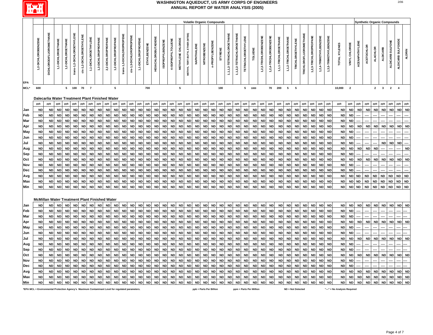

|            |                                                                                                  |                         |                    |                    |                            |                          |                      |                     |                     |                     |                           |                         |                     |              |                            | <b>Volatile Organic Compounds</b> |                    |                    |                                |             |                     |                         |           |                           |                           |                            |                         |                        |                        |                       |                       |                   |                        |                        |                        |                        | <b>Synthetic Organic Compounds</b> |                         |                |                   |                 |                 |                                |                    |               |
|------------|--------------------------------------------------------------------------------------------------|-------------------------|--------------------|--------------------|----------------------------|--------------------------|----------------------|---------------------|---------------------|---------------------|---------------------------|-------------------------|---------------------|--------------|----------------------------|-----------------------------------|--------------------|--------------------|--------------------------------|-------------|---------------------|-------------------------|-----------|---------------------------|---------------------------|----------------------------|-------------------------|------------------------|------------------------|-----------------------|-----------------------|-------------------|------------------------|------------------------|------------------------|------------------------|------------------------------------|-------------------------|----------------|-------------------|-----------------|-----------------|--------------------------------|--------------------|---------------|
| <b>EPA</b> | 1,2-DICHLOROBENZENE                                                                              | DICHLORODIFLUOROMETHANE | 1,1-DICHLOROETHANE | 1,2-DICHLOROETHANE | trans-1,2-DICHLOROETHYLENE | cis-1,2-DICHLOROETHYLENE | 1,1-DICHLOROETHYLENE | 1,3-DICHLOROPROPANE | 2,2-DICHLOROPROPANE | 1,2-DICHLOROPROPANE | trans-1,3-DICHLOROPROPENE | cis-1,3-DICHLOROPROPENE | 1,1-DICHLOROPROPENE | ETHYLBENZENE | <b>HEXACHLOROBUTADIENE</b> | <b>ISOPROPYLBENZENE</b>           | 4-ISOPROPYLTOLUENE | METHYLENE CHLORIDE | METHYL TERT-BUTYL ETHER (MTBE) | NAPHTHALENE | <b>NITROBENZENE</b> | n-PROPYLBENZENE         | STYRENE   | 1,1,1,2-TETRACHLOROETHANE | 1,1,2,2-TETRACHLOROETHANE | <b>TETRACHLOROETHYLENE</b> | <b>OLUENE</b>           | 1,2,3-TRICHLOROBENZENE | 1,2,4-TRICHLOROBENZENE | 1,1,1-TRICHLOROETHANE | 1,1,2-TRICHLOROETHANE | TRICHLOROETHYLENE | TRICHLOROFLUOROMETHANE | 1,2,3-TRICHLOROPROPANE | 1,2,4-TRIMETHYLBENZENE | 1,3,5-TRIMETHYLBENZENE | TOTAL XYLENES                      | VINYL CHLORIDE          | ACENAPHTHYLENE | <b>ACETOCHLOR</b> | <b>ALACHLOR</b> | <b>ALDICARB</b> | ALDICARB SULFONE               | ALDICARB SULFOXIDE | <b>ALDRIN</b> |
| MCL*       | 600                                                                                              |                         |                    |                    | $5 \qquad 100$             | 70 7                     |                      |                     |                     | ${\bf 5}$           |                           |                         |                     | 700          |                            |                                   |                    | ${\bf 5}$          |                                |             |                     |                         | 100       |                           |                           |                            | 5 1000                  |                        | 70                     | 200                   | $5\qquad 5$           |                   |                        |                        |                        |                        | 10,000                             | $\overline{\mathbf{2}}$ |                |                   |                 |                 | $2 \qquad 3 \qquad 2 \qquad 4$ |                    |               |
|            | Dalecarlia Water Treatment Plant Finished Water                                                  |                         |                    |                    |                            |                          |                      |                     |                     |                     |                           |                         |                     |              |                            |                                   |                    |                    |                                |             |                     |                         |           |                           |                           |                            |                         |                        |                        |                       |                       |                   |                        |                        |                        |                        |                                    |                         |                |                   |                 |                 |                                |                    |               |
|            |                                                                                                  | ppb                     | ppb                | ppb                | ppb                        | ppb                      | ppb                  | ppb                 | ppb                 | ppb                 | ppb                       | ppb                     | ppb                 | ppb          | ppb                        | ppb                               | ppb                | ppb                | ppb                            | ppb         | ppb                 | ppb                     | ppb       | ppb                       | ppb                       | ppb                        | ppb                     | ppb                    | ppb                    | ppb                   | ppb                   | ppb               | ppb                    | ppb                    | ppb                    | ppb                    | ppb                                | ppb                     | ppb            | ppb               | ppb             | ppb             | ppb                            | ppb                | ppb           |
|            |                                                                                                  |                         |                    |                    |                            |                          |                      |                     |                     |                     |                           |                         |                     |              |                            |                                   |                    |                    |                                |             |                     |                         |           |                           |                           |                            |                         |                        |                        |                       |                       |                   |                        |                        |                        |                        |                                    |                         |                |                   |                 |                 |                                |                    |               |
| Jan        | <b>ND</b>                                                                                        | <b>ND</b>               | <b>ND</b>          | <b>ND</b>          | <b>ND</b>                  | <b>ND</b>                | <b>ND</b>            | <b>ND</b>           | <b>ND</b>           | <b>ND</b>           | <b>ND</b>                 | <b>ND</b>               | <b>ND</b>           | <b>ND</b>    | <b>ND</b>                  | <b>ND</b>                         | <b>ND</b>          | <b>ND</b>          | <b>ND</b>                      | <b>ND</b>   | <b>ND</b>           | <b>ND</b>               | <b>ND</b> | <b>ND</b>                 | <b>ND</b>                 | <b>ND</b>                  | <b>ND</b>               | <b>ND</b>              | <b>ND</b>              | <b>ND</b>             | <b>ND</b>             | <b>ND</b>         | <b>ND</b>              | <b>ND</b>              | <b>ND</b>              | <b>ND</b>              | ${\sf ND}$                         | <b>ND</b>               | <b>ND</b>      | <b>ND</b>         | <b>ND</b>       | <b>ND</b>       | <b>ND</b>                      | ND                 | <b>ND</b>     |
| Feb        | <b>ND</b>                                                                                        | <b>ND</b>               | <b>ND</b>          | <b>ND</b>          | <b>ND</b>                  | <b>ND</b>                | <b>ND</b>            | <b>ND</b>           | <b>ND</b>           | <b>ND</b>           | <b>ND</b>                 | <b>ND</b>               | <b>ND</b>           | <b>ND</b>    | <b>ND</b>                  | <b>ND</b>                         | <b>ND</b>          | <b>ND</b>          | <b>ND</b>                      | <b>ND</b>   | <b>ND</b>           | <b>ND</b>               | ND        | <b>ND</b>                 | <b>ND</b>                 | <b>ND</b>                  | <b>ND</b>               | <b>ND</b>              | <b>ND</b>              | <b>ND</b>             | <b>ND</b>             | <b>ND</b>         | <b>ND</b>              | <b>ND</b>              | <b>ND</b>              | <b>ND</b>              | <b>ND</b>                          | <b>ND</b>               |                |                   |                 |                 |                                |                    |               |
| Mar        | <b>ND</b>                                                                                        | <b>ND</b>               | <b>ND</b>          | <b>ND</b>          | <b>ND</b>                  | <b>ND</b>                | <b>ND</b>            | <b>ND</b>           | <b>ND</b>           | <b>ND</b>           | <b>ND</b>                 | <b>ND</b>               | <b>ND</b>           | <b>ND</b>    | <b>ND</b>                  | <b>ND</b>                         | <b>ND</b>          | <b>ND</b>          | <b>ND</b>                      | <b>ND</b>   | <b>ND</b>           | <b>ND</b>               | <b>ND</b> | <b>ND</b>                 | <b>ND</b>                 | <b>ND</b>                  | <b>ND</b>               | <b>ND</b>              | <b>ND</b>              | <b>ND</b>             | <b>ND</b>             | <b>ND</b>         | <b>ND</b>              | <b>ND</b>              | <b>ND</b>              | <b>ND</b>              | <b>ND</b>                          | <b>ND</b>               |                |                   |                 |                 |                                |                    |               |
| Apr        | <b>ND</b>                                                                                        | <b>ND</b>               | <b>ND</b>          | <b>ND</b>          | <b>ND</b>                  | <b>ND</b>                | <b>ND</b>            | <b>ND</b>           | <b>ND</b>           | <b>ND</b>           | <b>ND</b>                 | <b>ND</b>               | <b>ND</b>           | <b>ND</b>    | <b>ND</b>                  | <b>ND</b>                         | <b>ND</b>          | <b>ND</b>          | <b>ND</b>                      | <b>ND</b>   | <b>ND</b>           | <b>ND</b>               | <b>ND</b> | <b>ND</b>                 | <b>ND</b>                 | <b>ND</b>                  | <b>ND</b>               | <b>ND</b>              | <b>ND</b>              | <b>ND</b>             | <b>ND</b>             | <b>ND</b>         | <b>ND</b>              | <b>ND</b>              | <b>ND</b>              | <b>ND</b>              | <b>ND</b>                          | <b>ND</b>               | <b>ND</b>      | <b>ND</b>         | <b>ND</b>       | <b>ND</b>       | <b>ND</b>                      | ND                 | <b>ND</b>     |
| <b>May</b> | <b>ND</b>                                                                                        | <b>ND</b>               | <b>ND</b>          | <b>ND</b>          | <b>ND</b>                  | <b>ND</b>                | <b>ND</b>            | <b>ND</b>           | <b>ND</b>           | <b>ND</b>           | <b>ND</b>                 | <b>ND</b>               | <b>ND</b>           | <b>ND</b>    | <b>ND</b>                  | <b>ND</b>                         | <b>ND</b>          | <b>ND</b>          | <b>ND</b>                      | <b>ND</b>   | <b>ND</b>           | <b>ND</b>               | <b>ND</b> | <b>ND</b>                 | <b>ND</b>                 | <b>ND</b>                  | <b>ND</b>               | <b>ND</b>              | <b>ND</b>              | <b>ND</b>             | <b>ND</b>             | <b>ND</b>         | <b>ND</b>              | <b>ND</b>              | <b>ND</b>              | <b>ND</b>              | <b>ND</b>                          | <b>ND</b>               |                |                   |                 |                 |                                |                    |               |
| Jun        | <b>ND</b>                                                                                        | <b>ND</b>               | <b>ND</b>          | <b>ND</b>          | ND                         |                          | <b>ND</b>            | <b>ND</b>           | <b>ND</b>           | <b>ND</b>           | <b>ND</b>                 | ND                      | <b>ND</b>           | <b>ND</b>    | <b>ND</b>                  | <b>ND</b>                         | <b>ND</b>          | <b>ND</b>          | <b>ND</b>                      | <b>ND</b>   | <b>ND</b>           | <b>ND</b>               | ND        | <b>ND</b>                 | <b>ND</b>                 | <b>ND</b>                  | <b>ND</b>               | <b>ND</b>              | <b>ND</b>              | <b>ND</b>             | <b>ND</b>             | <b>ND</b>         | <b>ND</b>              | <b>ND</b>              | <b>ND</b>              | <b>ND</b>              | <b>ND</b>                          | <b>ND</b>               |                |                   |                 |                 |                                |                    |               |
| Jul        | <b>ND</b>                                                                                        | <b>ND</b>               | <b>ND</b>          | <b>ND</b>          | <b>ND</b>                  | <b>ND</b>                | <b>ND</b>            | <b>ND</b>           |                     | <b>ND</b>           | <b>ND</b>                 | <b>ND</b>               | <b>ND</b>           | <b>ND</b>    | <b>ND</b>                  | <b>ND</b>                         | <b>ND</b>          | <b>ND</b>          | <b>ND</b>                      | <b>ND</b>   | <b>ND</b>           | <b>ND</b>               | <b>ND</b> | <b>ND</b>                 | <b>ND</b>                 | <b>ND</b>                  | <b>ND</b>               | <b>ND</b>              | <b>ND</b>              | <b>ND</b>             | <b>ND</b>             | <b>ND</b>         | <b>ND</b>              | <b>ND</b>              | <b>ND</b>              | <b>ND</b>              | <b>ND</b>                          | <b>ND</b>               |                |                   |                 | <b>ND</b>       | <b>ND</b>                      | <b>ND</b>          |               |
| Aug        | <b>ND</b>                                                                                        | <b>ND</b>               | <b>ND</b>          | <b>ND</b>          | <b>ND</b>                  |                          | <b>ND</b>            | <b>ND</b>           | <b>ND</b>           | <b>ND</b>           | <b>ND</b>                 | <b>ND</b>               | <b>ND</b>           | <b>ND</b>    | <b>ND</b>                  | <b>ND</b>                         | <b>ND</b>          | <b>ND</b>          | <b>ND</b>                      | <b>ND</b>   | <b>ND</b>           | <b>ND</b>               | <b>ND</b> | <b>ND</b>                 | ND                        | <b>ND</b>                  | <b>ND</b>               | <b>ND</b>              | <b>ND</b>              | <b>ND</b>             | <b>ND</b>             | <b>ND</b>         | <b>ND</b>              | <b>ND</b>              | <b>ND</b>              | <b>ND</b>              | <b>ND</b>                          | <b>ND</b>               | <b>ND</b>      | <b>ND</b>         | <b>ND</b>       |                 |                                |                    | <b>ND</b>     |
| Sep        | <b>ND</b>                                                                                        | <b>ND</b>               | <b>ND</b>          | <b>ND</b>          | <b>ND</b>                  | <b>ND</b>                | <b>ND</b>            | <b>ND</b>           | <b>ND</b>           | <b>ND</b>           | <b>ND</b>                 | <b>ND</b>               | <b>ND</b>           | <b>ND</b>    | <b>ND</b>                  | <b>ND</b>                         | <b>ND</b>          | <b>ND</b>          | <b>ND</b>                      | <b>ND</b>   | <b>ND</b>           | <b>ND</b>               | <b>ND</b> | <b>ND</b>                 | <b>ND</b>                 | <b>ND</b>                  | <b>ND</b>               | <b>ND</b>              | <b>ND</b>              | <b>ND</b>             | <b>ND</b>             | <b>ND</b>         | <b>ND</b>              | <b>ND</b>              | <b>ND</b>              | <b>ND</b>              | <b>ND</b>                          | <b>ND</b>               |                |                   |                 |                 |                                |                    |               |
| Oct        | <b>ND</b>                                                                                        | <b>ND</b>               | <b>ND</b>          | <b>ND</b>          | <b>ND</b>                  |                          | <b>ND</b>            | <b>ND</b>           | <b>ND</b>           | <b>ND</b>           | <b>ND</b>                 | <b>ND</b>               | <b>ND</b>           | <b>ND</b>    | <b>ND</b>                  | <b>ND</b>                         | <b>ND</b>          | <b>ND</b>          | <b>ND</b>                      | <b>ND</b>   | <b>ND</b>           | <b>ND</b>               | <b>ND</b> | <b>ND</b>                 | <b>ND</b>                 | <b>ND</b>                  | <b>ND</b>               | <b>ND</b>              | <b>ND</b>              | <b>ND</b>             | <b>ND</b>             | <b>ND</b>         | <b>ND</b>              |                        | <b>ND</b>              | <b>ND</b>              | <b>ND</b>                          | <b>ND</b>               | <b>ND</b>      | <b>ND</b>         | <b>ND</b>       | <b>ND</b>       | <b>ND</b>                      | ND                 | <b>ND</b>     |
| Nov        | <b>ND</b>                                                                                        | <b>ND</b>               | <b>ND</b>          | <b>ND</b>          | <b>ND</b>                  |                          | <b>ND</b>            | <b>ND</b>           | <b>ND</b>           | <b>ND</b>           | <b>ND</b>                 | <b>ND</b>               | <b>ND</b>           | <b>ND</b>    | <b>ND</b>                  | <b>ND</b>                         | <b>ND</b>          | <b>ND</b>          | <b>ND</b>                      | <b>ND</b>   | <b>ND</b>           | <b>ND</b>               | <b>ND</b> | <b>ND</b>                 | <b>ND</b>                 | <b>ND</b>                  | <b>ND</b>               | <b>ND</b>              | <b>ND</b>              | <b>ND</b>             | <b>ND</b>             | <b>ND</b>         | <b>ND</b>              |                        | <b>ND</b>              | <b>ND</b>              | <b>ND</b>                          | <b>ND</b>               |                |                   |                 |                 |                                |                    |               |
| Dec        | <b>ND</b>                                                                                        | <b>ND</b>               | <b>ND</b>          | <b>ND</b>          | <b>ND</b>                  |                          | <b>ND</b>            | <b>ND</b>           | <b>ND</b>           | <b>ND</b>           | <b>ND</b>                 | <b>ND</b>               | <b>ND</b>           | <b>ND</b>    | <b>ND</b>                  | <b>ND</b>                         | <b>ND</b>          | <b>ND</b>          | <b>ND</b>                      | <b>ND</b>   | <b>ND</b>           | <b>ND</b>               | <b>ND</b> | <b>ND</b>                 | <b>ND</b>                 | <b>ND</b>                  | <b>ND</b>               | <b>ND</b>              | <b>ND</b>              | <b>ND</b>             | <b>ND</b>             | <b>ND</b>         | ND                     | <b>ND</b>              | <b>ND</b>              | <b>ND</b>              | <b>ND</b>                          | <b>ND</b>               |                |                   |                 |                 |                                |                    |               |
| Avg        | <b>ND</b>                                                                                        | <b>ND</b>               | <b>ND</b>          | <b>ND</b>          | <b>ND</b>                  | <b>ND</b>                | <b>ND</b>            | <b>ND</b>           | <b>ND</b>           | <b>ND</b>           | <b>ND</b>                 | <b>ND</b>               | <b>ND</b>           | <b>ND</b>    | <b>ND</b>                  | <b>ND</b>                         | <b>ND</b>          | <b>ND</b>          | <b>ND</b>                      | <b>ND</b>   | ND                  | <b>ND</b>               | <b>ND</b> | <b>ND</b>                 | <b>ND</b>                 | <b>ND</b>                  | <b>ND</b>               | <b>ND</b>              | <b>ND</b>              | <b>ND</b>             | <b>ND</b>             | <b>ND</b>         | <b>ND</b>              | <b>ND</b>              | <b>ND</b>              | <b>ND</b>              | <b>ND</b>                          | <b>ND</b>               | <b>ND</b>      | <b>ND</b>         | <b>ND</b>       | <b>ND</b>       | <b>ND</b>                      | <b>ND</b>          | ND            |
| Max        | <b>ND</b>                                                                                        | <b>ND</b>               | <b>ND</b>          | <b>ND</b>          | ND                         | <b>ND</b>                | <b>ND</b>            | <b>ND</b>           | <b>ND</b>           | <b>ND</b>           | <b>ND</b>                 | <b>ND</b>               | <b>ND</b>           | <b>ND</b>    | <b>ND</b>                  | <b>ND</b>                         | <b>ND</b>          | <b>ND</b>          | <b>ND</b>                      | <b>ND</b>   | <b>ND</b>           | ${\sf ND}$              | ND        | <b>ND</b>                 | <b>ND</b>                 | <b>ND</b>                  | <b>ND</b>               | <b>ND</b>              | <b>ND</b>              | <b>ND</b>             | <b>ND</b>             | <b>ND</b>         | <b>ND</b>              | <b>ND</b>              | ${\sf ND}$             | <b>ND</b>              | <b>ND</b>                          | <b>ND</b>               | <b>ND</b>      | <b>ND</b>         | <b>ND</b>       | <b>ND</b>       | <b>ND</b>                      | ND                 | <b>ND</b>     |
| Min        | <b>ND</b>                                                                                        | <b>ND</b>               | <b>ND</b>          | <b>ND</b>          | <b>ND</b>                  | <b>ND</b>                | <b>ND</b>            | <b>ND</b>           | <b>ND</b>           | <b>ND</b>           | <b>ND</b>                 | <b>ND</b>               | <b>ND</b>           | <b>ND</b>    | <b>ND</b>                  | <b>ND</b>                         | <b>ND</b>          | <b>ND</b>          | <b>ND</b>                      | <b>ND</b>   | <b>ND</b>           | <b>ND</b>               | <b>ND</b> | <b>ND</b>                 | <b>ND</b>                 | <b>ND</b>                  | <b>ND</b>               | <b>ND</b>              | <b>ND</b>              | <b>ND</b>             | <b>ND</b>             | <b>ND</b>         | <b>ND</b>              | <b>ND</b>              | <b>ND</b>              | <b>ND</b>              | <b>ND</b>                          | ND ND                   |                | <b>ND</b>         | <b>ND</b>       | <b>ND</b>       | <b>ND</b>                      | ND ND              |               |
|            |                                                                                                  |                         |                    |                    |                            |                          |                      |                     |                     |                     |                           |                         |                     |              |                            |                                   |                    |                    |                                |             |                     |                         |           |                           |                           |                            |                         |                        |                        |                       |                       |                   |                        |                        |                        |                        |                                    |                         |                |                   |                 |                 |                                |                    |               |
|            | McMillan Water Treatment Plant Finished Water                                                    |                         |                    |                    |                            |                          |                      |                     |                     |                     |                           |                         |                     |              |                            |                                   |                    |                    |                                |             |                     |                         |           |                           |                           |                            |                         |                        |                        |                       |                       |                   |                        |                        |                        |                        |                                    |                         |                |                   |                 |                 |                                |                    |               |
| Jan        | <b>ND</b>                                                                                        | <b>ND</b>               | <b>ND</b>          | <b>ND</b>          | <b>ND</b>                  | <b>ND</b>                | <b>ND</b>            | <b>ND</b>           | <b>ND</b>           | <b>ND</b>           | <b>ND</b>                 | <b>ND</b>               | <b>ND</b>           | <b>ND</b>    | <b>ND</b>                  | <b>ND</b>                         | <b>ND</b>          | <b>ND</b>          | <b>ND</b>                      | <b>ND</b>   | <b>ND</b>           | <b>ND</b>               | <b>ND</b> | <b>ND</b>                 | <b>ND</b>                 | <b>ND</b>                  | <b>ND</b>               | <b>ND</b>              | <b>ND</b>              | <b>ND</b>             | <b>ND</b>             | <b>ND</b>         | <b>ND</b>              | <b>ND</b>              | <b>ND</b>              | <b>ND</b>              | <b>ND</b>                          | <b>ND</b>               | <b>ND</b>      | <b>ND</b>         | <b>ND</b>       | <b>ND</b>       | <b>ND</b>                      | ND ND              |               |
| Feb        | <b>ND</b>                                                                                        | <b>ND</b>               | <b>ND</b>          | <b>ND</b>          | <b>ND</b>                  | <b>ND</b>                | <b>ND</b>            | <b>ND</b>           | <b>ND</b>           | <b>ND</b>           | <b>ND</b>                 | <b>ND</b>               | <b>ND</b>           | <b>ND</b>    | <b>ND</b>                  | <b>ND</b>                         | <b>ND</b>          | <b>ND</b>          | <b>ND</b>                      | <b>ND</b>   | <b>ND</b>           | <b>ND</b>               | <b>ND</b> | <b>ND</b>                 | <b>ND</b>                 | <b>ND</b>                  | <b>ND</b>               | <b>ND</b>              | <b>ND</b>              | <b>ND</b>             | <b>ND</b>             | <b>ND</b>         | <b>ND</b>              | <b>ND</b>              | <b>ND</b>              | <b>ND</b>              | <b>ND</b>                          | <b>ND</b>               |                |                   |                 |                 |                                |                    |               |
| Mar        | <b>ND</b>                                                                                        | ND                      | <b>ND</b>          | <b>ND</b>          | <b>ND</b>                  | <b>ND</b>                | <b>ND</b>            | <b>ND</b>           | <b>ND</b>           | <b>ND</b>           | <b>ND</b>                 | <b>ND</b>               | <b>ND</b>           | <b>ND</b>    | <b>ND</b>                  | <b>ND</b>                         | <b>ND</b>          | <b>ND</b>          | <b>ND</b>                      | <b>ND</b>   | <b>ND</b>           | <b>ND</b>               | <b>ND</b> | <b>ND</b>                 | <b>ND</b>                 | <b>ND</b>                  | <b>ND</b>               | ND                     | <b>ND</b>              | <b>ND</b>             | <b>ND</b>             | <b>ND</b>         | <b>ND</b>              | <b>ND</b>              | <b>ND</b>              | <b>ND</b>              | <b>ND</b>                          | <b>ND</b>               |                |                   |                 |                 |                                |                    |               |
| Apr        | <b>ND</b>                                                                                        | <b>ND</b>               | <b>ND</b>          | <b>ND</b>          | <b>ND</b>                  | <b>ND</b>                | <b>ND</b>            | <b>ND</b>           | <b>ND</b>           | <b>ND</b>           | <b>ND</b>                 | <b>ND</b>               | <b>ND</b>           | $\sf ND$     | <b>ND</b>                  | <b>ND</b>                         | <b>ND</b>          | <b>ND</b>          | <b>ND</b>                      | <b>ND</b>   | <b>ND</b>           | <b>ND</b>               | $\sf ND$  | <b>ND</b>                 | ND                        | <b>ND</b>                  | <b>ND</b>               | ND                     | <b>ND</b>              | <b>ND</b>             | <b>ND</b>             | <b>ND</b>         | <b>ND</b>              | <b>ND</b>              | <b>ND</b>              | <b>ND</b>              | <b>ND</b>                          | <b>ND</b>               | <b>ND</b>      | <b>ND</b>         | <b>ND</b>       | <b>ND</b>       | <b>ND</b>                      | <b>ND</b>          | <b>ND</b>     |
| May        | <b>ND</b>                                                                                        | <b>ND</b>               | <b>ND</b>          | <b>ND</b>          | <b>ND</b>                  | <b>ND</b>                | <b>ND</b>            | <b>ND</b>           | <b>ND</b>           | <b>ND</b>           | <b>ND</b>                 | <b>ND</b>               | <b>ND</b>           | <b>ND</b>    | <b>ND</b>                  | <b>ND</b>                         | <b>ND</b>          | <b>ND</b>          | <b>ND</b>                      | <b>ND</b>   | <b>ND</b>           | <b>ND</b>               | <b>ND</b> | <b>ND</b>                 | <b>ND</b>                 | <b>ND</b>                  | <b>ND</b>               | <b>ND</b>              | <b>ND</b>              | <b>ND</b>             | <b>ND</b>             | <b>ND</b>         | <b>ND</b>              | <b>ND</b>              | <b>ND</b>              | <b>ND</b>              | <b>ND</b>                          | <b>ND</b>               |                |                   |                 |                 |                                |                    |               |
| Jun        | <b>ND</b>                                                                                        | <b>ND</b>               | <b>ND</b>          | <b>ND</b>          | <b>ND</b>                  | <b>ND</b>                | <b>ND</b>            | <b>ND</b>           | <b>ND</b>           | <b>ND</b>           | <b>ND</b>                 | <b>ND</b>               | <b>ND</b>           | <b>ND</b>    | <b>ND</b>                  | <b>ND</b>                         | <b>ND</b>          | <b>ND</b>          | <b>ND</b>                      | <b>ND</b>   | <b>ND</b>           | <b>ND</b>               | <b>ND</b> | <b>ND</b>                 | <b>ND</b>                 | <b>ND</b>                  | <b>ND</b>               | <b>ND</b>              | <b>ND</b>              | <b>ND</b>             | <b>ND</b>             | <b>ND</b>         | <b>ND</b>              | <b>ND</b>              | <b>ND</b>              | <b>ND</b>              | <b>ND</b>                          | <b>ND</b>               |                |                   |                 |                 |                                |                    |               |
|            |                                                                                                  |                         | <b>ND</b>          | <b>ND</b>          |                            | <b>ND</b>                |                      | <b>ND</b>           |                     | <b>ND</b>           | <b>ND</b>                 | <b>ND</b>               | <b>ND</b>           | <b>ND</b>    | <b>ND</b>                  | <b>ND</b>                         |                    | <b>ND</b>          | <b>ND</b>                      |             | <b>ND</b>           |                         | <b>ND</b> |                           |                           | <b>ND</b>                  |                         | <b>ND</b>              | <b>ND</b>              |                       | <b>ND</b>             | <b>ND</b>         |                        | <b>ND</b>              | <b>ND</b>              | <b>ND</b>              | <b>ND</b>                          | <b>ND</b>               |                | <b>ND</b>         | <b>ND</b>       | <b>ND</b>       | <b>ND</b>                      |                    | ND ND         |
| Jul        | <b>ND</b>                                                                                        | <b>ND</b>               |                    |                    | <b>ND</b>                  |                          | <b>ND</b>            |                     | <b>ND</b>           |                     |                           |                         |                     |              |                            |                                   | <b>ND</b>          |                    |                                | <b>ND</b>   |                     | <b>ND</b>               |           | <b>ND</b>                 | <b>ND</b>                 |                            | <b>ND</b>               |                        |                        | <b>ND</b>             |                       |                   | ND                     |                        |                        |                        |                                    |                         | <b>ND</b>      |                   |                 |                 |                                |                    |               |
| Aug        | <b>ND</b>                                                                                        | <b>ND</b>               | <b>ND</b>          | <b>ND</b>          | <b>ND</b>                  | <b>ND</b>                | <b>ND</b>            | <b>ND</b>           | <b>ND</b>           | <b>ND</b>           | <b>ND</b>                 | <b>ND</b>               | <b>ND</b>           | <b>ND</b>    | <b>ND</b>                  | <b>ND</b>                         | <b>ND</b>          | <b>ND</b>          | <b>ND</b>                      | <b>ND</b>   | <b>ND</b>           | <b>ND</b>               | <b>ND</b> | <b>ND</b>                 | <b>ND</b>                 | <b>ND</b>                  | <b>ND</b>               | <b>ND</b>              | <b>ND</b>              | <b>ND</b>             | <b>ND</b>             | <b>ND</b>         | <b>ND</b>              | <b>ND</b>              | <b>ND</b>              | <b>ND</b>              | <b>ND</b>                          | <b>ND</b>               |                |                   |                 |                 |                                |                    |               |
| Sep        | <b>ND</b>                                                                                        | ND                      | <b>ND</b>          | <b>ND</b>          | <b>ND</b>                  | <b>ND</b>                | <b>ND</b>            | <b>ND</b>           | <b>ND</b>           | <b>ND</b>           | <b>ND</b>                 | <b>ND</b>               | <b>ND</b>           | <b>ND</b>    | <b>ND</b>                  | <b>ND</b>                         | <b>ND</b>          | <b>ND</b>          | <b>ND</b>                      | <b>ND</b>   | <b>ND</b>           | <b>ND</b>               | <b>ND</b> | <b>ND</b>                 | <b>ND</b>                 | <b>ND</b>                  | <b>ND</b>               | ND                     | <b>ND</b>              | <b>ND</b>             | <b>ND</b>             | <b>ND</b>         | ND                     | <b>ND</b>              | <b>ND</b>              | <b>ND</b>              | <b>ND</b>                          | <b>ND</b>               |                |                   |                 |                 |                                |                    |               |
| Oct        | <b>ND</b>                                                                                        | <b>ND</b>               | <b>ND</b>          | <b>ND</b>          | <b>ND</b>                  | <b>ND</b>                | <b>ND</b>            | <b>ND</b>           | <b>ND</b>           | <b>ND</b>           | <b>ND</b>                 | <b>ND</b>               | <b>ND</b>           | <b>ND</b>    | <b>ND</b>                  | <b>ND</b>                         | <b>ND</b>          | <b>ND</b>          | <b>ND</b>                      | <b>ND</b>   | <b>ND</b>           | <b>ND</b>               | <b>ND</b> | <b>ND</b>                 | <b>ND</b>                 | <b>ND</b>                  | <b>ND</b>               | ND                     | <b>ND</b>              | <b>ND</b>             | <b>ND</b>             | <b>ND</b>         | <b>ND</b>              | <b>ND</b>              | <b>ND</b>              | <b>ND</b>              | <b>ND</b>                          | <b>ND</b>               | <b>ND</b>      | <b>ND</b>         | <b>ND</b>       | <b>ND</b>       | <b>ND</b>                      | ND                 | <b>ND</b>     |
| Nov        | <b>ND</b>                                                                                        | <b>ND</b>               | <b>ND</b>          | <b>ND</b>          | <b>ND</b>                  | <b>ND</b>                | <b>ND</b>            | <b>ND</b>           | <b>ND</b>           | <b>ND</b>           | <b>ND</b>                 | <b>ND</b>               | <b>ND</b>           | <b>ND</b>    | <b>ND</b>                  | <b>ND</b>                         | <b>ND</b>          | <b>ND</b>          | <b>ND</b>                      | <b>ND</b>   | <b>ND</b>           | <b>ND</b>               | <b>ND</b> | <b>ND</b>                 | <b>ND</b>                 | <b>ND</b>                  | <b>ND</b>               | <b>ND</b>              | <b>ND</b>              | <b>ND</b>             | <b>ND</b>             | <b>ND</b>         | <b>ND</b>              | <b>ND</b>              | <b>ND</b>              | <b>ND</b>              | <b>ND</b>                          | <b>ND</b>               |                |                   |                 |                 |                                |                    |               |
| Dec        | <b>ND</b>                                                                                        | <b>ND</b>               | <b>ND</b>          | <b>ND</b>          | <b>ND</b>                  | <b>ND</b>                | <b>ND</b>            | <b>ND</b>           | <b>ND</b>           | <b>ND</b>           | <b>ND</b>                 | <b>ND</b>               | <b>ND</b>           | <b>ND</b>    | <b>ND</b>                  | <b>ND</b>                         | <b>ND</b>          | <b>ND</b>          | <b>ND</b>                      | <b>ND</b>   | ND                  | <b>ND</b>               | <b>ND</b> | <b>ND</b>                 | <b>ND</b>                 | <b>ND</b>                  | <b>ND</b>               | <b>ND</b>              | <b>ND</b>              | <b>ND</b>             | <b>ND</b>             | <b>ND</b>         | <b>ND</b>              | <b>ND</b>              | <b>ND</b>              | <b>ND</b>              | <b>ND</b>                          | <b>ND</b>               |                |                   |                 |                 |                                |                    |               |
| Avg        | <b>ND</b>                                                                                        | <b>ND</b>               | <b>ND</b>          | <b>ND</b>          | <b>ND</b>                  | <b>ND</b>                | <b>ND</b>            | <b>ND</b>           | <b>ND</b>           | <b>ND</b>           | <b>ND</b>                 | <b>ND</b>               | <b>ND</b>           | <b>ND</b>    | <b>ND</b>                  | <b>ND</b>                         | ND                 | <b>ND</b>          | <b>ND</b>                      | <b>ND</b>   | <b>ND</b>           | <b>ND</b>               | <b>ND</b> | <b>ND</b>                 | <b>ND</b>                 | <b>ND</b>                  | <b>ND</b>               | ND                     | <b>ND</b>              | <b>ND</b>             | <b>ND</b>             | <b>ND</b>         | <b>ND</b>              | <b>ND</b>              | <b>ND</b>              | <b>ND</b>              | <b>ND</b>                          | <b>ND</b>               | <b>ND</b>      | <b>ND</b>         | <b>ND</b>       | <b>ND</b>       | <b>ND</b>                      |                    | ND ND         |
| Max        | <b>ND</b>                                                                                        | <b>ND</b>               | <b>ND</b>          | <b>ND</b>          | <b>ND</b>                  | <b>ND</b>                | <b>ND</b>            | <b>ND</b>           | <b>ND</b>           | <b>ND</b>           | <b>ND</b>                 | <b>ND</b>               | <b>ND</b>           | <b>ND</b>    | <b>ND</b>                  | <b>ND</b>                         | <b>ND</b>          | <b>ND</b>          | <b>ND</b>                      | <b>ND</b>   | <b>ND</b>           | <b>ND</b>               | <b>ND</b> | <b>ND</b>                 | <b>ND</b>                 | <b>ND</b>                  | <b>ND</b>               | <b>ND</b>              | <b>ND</b>              | <b>ND</b>             | <b>ND</b>             | <b>ND</b>         | ND                     | <b>ND</b>              | <b>ND</b>              | <b>ND</b>              | <b>ND</b>                          | <b>ND</b>               | <b>ND</b>      | <b>ND</b>         | <b>ND</b>       | <b>ND</b>       | <b>ND</b>                      | ND                 | <b>ND</b>     |
| Min        | <b>ND</b>                                                                                        | <b>ND</b>               | <b>ND</b>          | <b>ND</b>          | <b>ND</b>                  | <b>ND</b>                | <b>ND</b>            | <b>ND</b>           | <b>ND</b>           | <b>ND</b>           | <b>ND</b>                 | <b>ND</b>               | <b>ND</b>           | <b>ND</b>    | <b>ND</b>                  | <b>ND</b>                         | <b>ND</b>          | <b>ND</b>          | <b>ND</b>                      | <b>ND</b>   | <b>ND</b>           | <b>ND</b>               | <b>ND</b> | <b>ND</b>                 | <b>ND</b>                 | <b>ND</b>                  | <b>ND</b>               | <b>ND</b>              | <b>ND</b>              | <b>ND</b>             | <b>ND</b>             | <b>ND</b>         | <b>ND</b>              | <b>ND</b>              | <b>ND</b>              | <b>ND</b>              | <b>ND</b>                          | <b>ND</b>               | <b>ND</b>      | <b>ND</b>         | <b>ND</b>       | <b>ND</b>       | <b>ND</b>                      |                    | ND ND         |
|            | *EPA MCL = Environmental Protection Agency's Maximum Contaminant Level for regulated parameters. |                         |                    |                    |                            |                          |                      |                     |                     |                     |                           |                         |                     |              |                            |                                   |                    |                    |                                |             |                     | ppb = Parts Per Billion |           |                           |                           |                            | ppm = Parts Per Million |                        |                        |                       |                       | ND = Not Detected |                        |                        |                        |                        | "---" = No Analysis Required       |                         |                |                   |                 |                 |                                |                    |               |

Page 4 of 7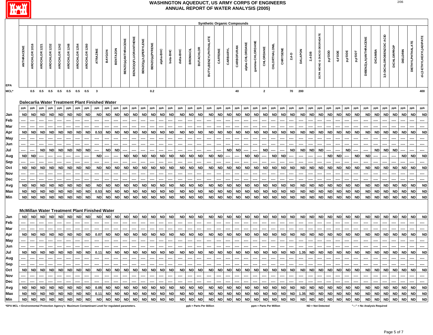

|                                                                                                                                                                                                                                                                                                                                                                                                                                                                                                                                                                                                                                                                                                                                                                                                                                                                                                                                                                                                                                                                                                                                                                                                                                                                                     |                                                                                                                                                                                                                                                                                                                                                                                                                                                                                                                                                                                                                                                                                                                                                                                                                                                                                                                                                                                                                                                                                                                                                                                                                                                                                                                                                                                                                                                                                                                                       |                                                                                                                                                                                                                                                                                                                                                                                                                                                                                                                                                                                                                                                |                                                                                                                                                                                                                                                                                                                                                                                                                                                                                                                                                                                                                                  |                         |                         |               |               |               |                                                 |           |                 |                     |                      |                             |                |           |           |                   |                 |                  | <b>Synthetic Organic Compounds</b> |           |             |            |                 |                 |              |                         |           |           |                |           |                              |                     |           |                            |           |                              |                |                             |                    |                   |                         |                          |
|-------------------------------------------------------------------------------------------------------------------------------------------------------------------------------------------------------------------------------------------------------------------------------------------------------------------------------------------------------------------------------------------------------------------------------------------------------------------------------------------------------------------------------------------------------------------------------------------------------------------------------------------------------------------------------------------------------------------------------------------------------------------------------------------------------------------------------------------------------------------------------------------------------------------------------------------------------------------------------------------------------------------------------------------------------------------------------------------------------------------------------------------------------------------------------------------------------------------------------------------------------------------------------------|---------------------------------------------------------------------------------------------------------------------------------------------------------------------------------------------------------------------------------------------------------------------------------------------------------------------------------------------------------------------------------------------------------------------------------------------------------------------------------------------------------------------------------------------------------------------------------------------------------------------------------------------------------------------------------------------------------------------------------------------------------------------------------------------------------------------------------------------------------------------------------------------------------------------------------------------------------------------------------------------------------------------------------------------------------------------------------------------------------------------------------------------------------------------------------------------------------------------------------------------------------------------------------------------------------------------------------------------------------------------------------------------------------------------------------------------------------------------------------------------------------------------------------------|------------------------------------------------------------------------------------------------------------------------------------------------------------------------------------------------------------------------------------------------------------------------------------------------------------------------------------------------------------------------------------------------------------------------------------------------------------------------------------------------------------------------------------------------------------------------------------------------------------------------------------------------|----------------------------------------------------------------------------------------------------------------------------------------------------------------------------------------------------------------------------------------------------------------------------------------------------------------------------------------------------------------------------------------------------------------------------------------------------------------------------------------------------------------------------------------------------------------------------------------------------------------------------------|-------------------------|-------------------------|---------------|---------------|---------------|-------------------------------------------------|-----------|-----------------|---------------------|----------------------|-----------------------------|----------------|-----------|-----------|-------------------|-----------------|------------------|------------------------------------|-----------|-------------|------------|-----------------|-----------------|--------------|-------------------------|-----------|-----------|----------------|-----------|------------------------------|---------------------|-----------|----------------------------|-----------|------------------------------|----------------|-----------------------------|--------------------|-------------------|-------------------------|--------------------------|
| <b>EPA</b>                                                                                                                                                                                                                                                                                                                                                                                                                                                                                                                                                                                                                                                                                                                                                                                                                                                                                                                                                                                                                                                                                                                                                                                                                                                                          | ANTHRACENE                                                                                                                                                                                                                                                                                                                                                                                                                                                                                                                                                                                                                                                                                                                                                                                                                                                                                                                                                                                                                                                                                                                                                                                                                                                                                                                                                                                                                                                                                                                            | AROCHLOR 1016                                                                                                                                                                                                                                                                                                                                                                                                                                                                                                                                                                                                                                  | AROCHLOR 1221                                                                                                                                                                                                                                                                                                                                                                                                                                                                                                                                                                                                                    | 1232<br><b>AROCHLOR</b> | 1242<br><b>AROCHLOR</b> | AROCHLOR 1248 | AROCHLOR 1254 | AROCHLOR 1260 | ATRAZINE                                        | BAYGON    | <b>BENTAZON</b> | BENZO(a) ANTHRACENE | BENZO(k)FLUORANTHENE | <b>BENZO(g,h,I)PERYLENE</b> | BENZO(a)PYRENE | alpha-BHC | beta-BHC  | delta-BHC         | <b>BROMACIL</b> | <b>BUTACHLOR</b> | <b>BUTYLBENZYLPHTHALATE</b>        | CAFFEINE  | CARBARYL    | CARBOFURAN | alpha-CHLORDANE | gamma-CHLORDANE | CHLORDANE    | CHLORTHALON             | CHRYSENE  | $2,4 - D$ | <b>DALAPON</b> | $2,4-DB$  | DCPA MONO & DIACID DEGRADATE | ada, <sup>d'a</sup> | 4,4'DDE   | <b>BIOLO<sup>ti</sup>o</b> | Taa'aa    | DIBENZ(a,h)ANTHRACENE        | <b>DICAMB.</b> | ACID<br>3,5-DICHLOROBENZOIC | <b>DICHLORPROP</b> | <b>DIELDRIN</b>   | <b>DIETHYLPHTHALATE</b> | di-(2-ETHYLHEXYL)ADIPATE |
| MCL*                                                                                                                                                                                                                                                                                                                                                                                                                                                                                                                                                                                                                                                                                                                                                                                                                                                                                                                                                                                                                                                                                                                                                                                                                                                                                |                                                                                                                                                                                                                                                                                                                                                                                                                                                                                                                                                                                                                                                                                                                                                                                                                                                                                                                                                                                                                                                                                                                                                                                                                                                                                                                                                                                                                                                                                                                                       | 0.5                                                                                                                                                                                                                                                                                                                                                                                                                                                                                                                                                                                                                                            | 0.5                                                                                                                                                                                                                                                                                                                                                                                                                                                                                                                                                                                                                              | 0.5                     | 0.5                     | 0.5           | 0.5           | 0.5           | $\mathbf{3}$                                    |           |                 |                     |                      |                             | $0.2\,$        |           |           |                   |                 |                  |                                    |           |             | 40         |                 |                 | $\mathbf{2}$ |                         |           | 70        | 200            |           |                              |                     |           |                            |           |                              |                |                             |                    |                   |                         | 400                      |
|                                                                                                                                                                                                                                                                                                                                                                                                                                                                                                                                                                                                                                                                                                                                                                                                                                                                                                                                                                                                                                                                                                                                                                                                                                                                                     |                                                                                                                                                                                                                                                                                                                                                                                                                                                                                                                                                                                                                                                                                                                                                                                                                                                                                                                                                                                                                                                                                                                                                                                                                                                                                                                                                                                                                                                                                                                                       |                                                                                                                                                                                                                                                                                                                                                                                                                                                                                                                                                                                                                                                |                                                                                                                                                                                                                                                                                                                                                                                                                                                                                                                                                                                                                                  |                         |                         |               |               |               |                                                 |           |                 |                     |                      |                             |                |           |           |                   |                 |                  |                                    |           |             |            |                 |                 |              |                         |           |           |                |           |                              |                     |           |                            |           |                              |                |                             |                    |                   |                         |                          |
|                                                                                                                                                                                                                                                                                                                                                                                                                                                                                                                                                                                                                                                                                                                                                                                                                                                                                                                                                                                                                                                                                                                                                                                                                                                                                     |                                                                                                                                                                                                                                                                                                                                                                                                                                                                                                                                                                                                                                                                                                                                                                                                                                                                                                                                                                                                                                                                                                                                                                                                                                                                                                                                                                                                                                                                                                                                       |                                                                                                                                                                                                                                                                                                                                                                                                                                                                                                                                                                                                                                                |                                                                                                                                                                                                                                                                                                                                                                                                                                                                                                                                                                                                                                  |                         |                         |               |               |               | Dalecarlia Water Treatment Plant Finished Water |           |                 |                     |                      |                             |                |           |           |                   |                 |                  |                                    |           |             |            |                 |                 |              |                         |           |           |                |           |                              |                     |           |                            |           |                              |                |                             |                    |                   |                         |                          |
|                                                                                                                                                                                                                                                                                                                                                                                                                                                                                                                                                                                                                                                                                                                                                                                                                                                                                                                                                                                                                                                                                                                                                                                                                                                                                     | ppb                                                                                                                                                                                                                                                                                                                                                                                                                                                                                                                                                                                                                                                                                                                                                                                                                                                                                                                                                                                                                                                                                                                                                                                                                                                                                                                                                                                                                                                                                                                                   | ppb                                                                                                                                                                                                                                                                                                                                                                                                                                                                                                                                                                                                                                            | ppb                                                                                                                                                                                                                                                                                                                                                                                                                                                                                                                                                                                                                              | ppb                     | ppb                     | ppb           | ppb           | ppb           | ppb                                             | ppb       | ppb             | ppb                 | ppb                  | ppb                         | ppb            | ppb       | ppb       | ppb               | ppb             | ppb              | ppb                                | ppb       | ppb         | ppb        | ppb             | ppb             | ppb          | ppb                     | ppb       | ppb       | ppb            | ppb       | ppb                          | ppb                 | ppb       | ppb                        | ppb       | ppb                          | ppb            | ppb                         | ppb                | ppb               | ppb                     | ppb                      |
|                                                                                                                                                                                                                                                                                                                                                                                                                                                                                                                                                                                                                                                                                                                                                                                                                                                                                                                                                                                                                                                                                                                                                                                                                                                                                     |                                                                                                                                                                                                                                                                                                                                                                                                                                                                                                                                                                                                                                                                                                                                                                                                                                                                                                                                                                                                                                                                                                                                                                                                                                                                                                                                                                                                                                                                                                                                       |                                                                                                                                                                                                                                                                                                                                                                                                                                                                                                                                                                                                                                                |                                                                                                                                                                                                                                                                                                                                                                                                                                                                                                                                                                                                                                  |                         |                         |               |               |               |                                                 |           |                 |                     |                      |                             |                |           |           |                   |                 |                  |                                    |           |             |            |                 |                 |              |                         |           |           |                |           |                              |                     |           |                            |           |                              |                |                             |                    |                   | <b>ND</b>               | <b>ND</b>                |
| <b>ND</b><br><b>ND</b><br><b>ND</b><br><b>ND</b><br><b>ND</b><br><b>ND</b><br><b>ND</b><br><b>ND</b><br><b>ND</b><br><b>ND</b><br><b>ND</b><br><b>ND</b><br><b>ND</b><br><b>ND</b><br><b>ND</b><br><b>ND</b><br>Jan<br><b>ND</b><br><b>ND</b><br><b>ND</b><br><b>ND</b><br>ND<br><b>ND</b><br><b>ND</b><br><b>ND</b><br><b>ND</b><br><b>ND</b><br><b>ND</b><br><b>ND</b><br><b>ND</b><br><b>ND</b><br><b>ND</b><br><b>ND</b><br><b>ND</b><br><b>ND</b><br><b>ND</b><br><b>ND</b><br><b>ND</b><br><b>ND</b><br><b>ND</b><br><b>ND</b><br><b>ND</b><br><b>ND</b><br>Feb<br>Mar<br>Apr<br><b>ND</b><br>ND<br>ND<br><b>ND</b><br><b>ND</b><br><b>ND</b><br>ND<br>ND<br><b>ND</b><br><b>ND</b><br>ND<br><b>ND</b><br><b>ND</b><br><b>ND</b><br><b>ND</b><br><b>ND</b><br>ND<br>ND<br>ND.<br><b>ND</b><br><b>ND</b><br>ND<br><b>ND</b><br>0.53<br>ND<br>ND<br><b>ND</b><br>ND<br>ND<br><b>ND</b><br>ND<br>ND<br>ND<br>ND<br><b>ND</b><br>ND<br><b>ND</b><br>ND<br><b>ND</b><br><b>ND</b><br>ND<br>ND.<br>May<br>----<br>----<br>---<br>----<br>----<br><br>----<br>----<br>----<br>----<br>----<br><br>----<br>----<br>----<br>----<br>----<br>----<br>----<br>----<br><br>----<br>----<br>---<br>----<br><br>----<br>----<br>----<br><br>----<br>----<br>----<br><br>----<br>---<br>---- |                                                                                                                                                                                                                                                                                                                                                                                                                                                                                                                                                                                                                                                                                                                                                                                                                                                                                                                                                                                                                                                                                                                                                                                                                                                                                                                                                                                                                                                                                                                                       |                                                                                                                                                                                                                                                                                                                                                                                                                                                                                                                                                                                                                                                |                                                                                                                                                                                                                                                                                                                                                                                                                                                                                                                                                                                                                                  |                         |                         |               |               |               |                                                 |           |                 |                     |                      |                             |                |           |           |                   |                 |                  |                                    |           |             |            |                 |                 |              |                         |           |           |                |           |                              |                     |           |                            |           |                              |                |                             |                    |                   |                         |                          |
|                                                                                                                                                                                                                                                                                                                                                                                                                                                                                                                                                                                                                                                                                                                                                                                                                                                                                                                                                                                                                                                                                                                                                                                                                                                                                     |                                                                                                                                                                                                                                                                                                                                                                                                                                                                                                                                                                                                                                                                                                                                                                                                                                                                                                                                                                                                                                                                                                                                                                                                                                                                                                                                                                                                                                                                                                                                       |                                                                                                                                                                                                                                                                                                                                                                                                                                                                                                                                                                                                                                                |                                                                                                                                                                                                                                                                                                                                                                                                                                                                                                                                                                                                                                  |                         |                         |               |               |               |                                                 |           |                 |                     |                      |                             |                |           |           |                   |                 |                  |                                    |           |             |            |                 |                 |              |                         |           |           |                |           |                              |                     |           |                            |           |                              |                |                             |                    |                   |                         |                          |
|                                                                                                                                                                                                                                                                                                                                                                                                                                                                                                                                                                                                                                                                                                                                                                                                                                                                                                                                                                                                                                                                                                                                                                                                                                                                                     |                                                                                                                                                                                                                                                                                                                                                                                                                                                                                                                                                                                                                                                                                                                                                                                                                                                                                                                                                                                                                                                                                                                                                                                                                                                                                                                                                                                                                                                                                                                                       |                                                                                                                                                                                                                                                                                                                                                                                                                                                                                                                                                                                                                                                |                                                                                                                                                                                                                                                                                                                                                                                                                                                                                                                                                                                                                                  |                         |                         |               |               |               |                                                 |           |                 |                     |                      |                             |                |           |           |                   |                 |                  |                                    |           |             |            |                 |                 |              |                         |           |           |                |           |                              |                     |           |                            |           |                              |                |                             |                    |                   | <b>ND</b>               | <b>ND</b>                |
|                                                                                                                                                                                                                                                                                                                                                                                                                                                                                                                                                                                                                                                                                                                                                                                                                                                                                                                                                                                                                                                                                                                                                                                                                                                                                     |                                                                                                                                                                                                                                                                                                                                                                                                                                                                                                                                                                                                                                                                                                                                                                                                                                                                                                                                                                                                                                                                                                                                                                                                                                                                                                                                                                                                                                                                                                                                       |                                                                                                                                                                                                                                                                                                                                                                                                                                                                                                                                                                                                                                                |                                                                                                                                                                                                                                                                                                                                                                                                                                                                                                                                                                                                                                  |                         |                         |               |               |               |                                                 |           |                 |                     |                      |                             |                |           |           |                   |                 |                  |                                    |           |             |            |                 |                 |              |                         |           |           |                |           |                              |                     |           |                            |           |                              |                |                             |                    |                   |                         | $\cdots$                 |
|                                                                                                                                                                                                                                                                                                                                                                                                                                                                                                                                                                                                                                                                                                                                                                                                                                                                                                                                                                                                                                                                                                                                                                                                                                                                                     |                                                                                                                                                                                                                                                                                                                                                                                                                                                                                                                                                                                                                                                                                                                                                                                                                                                                                                                                                                                                                                                                                                                                                                                                                                                                                                                                                                                                                                                                                                                                       |                                                                                                                                                                                                                                                                                                                                                                                                                                                                                                                                                                                                                                                |                                                                                                                                                                                                                                                                                                                                                                                                                                                                                                                                                                                                                                  |                         |                         |               |               |               |                                                 |           |                 |                     |                      |                             |                |           |           |                   |                 |                  |                                    |           |             |            |                 |                 |              |                         |           |           |                |           |                              |                     |           |                            |           |                              |                |                             |                    |                   |                         |                          |
|                                                                                                                                                                                                                                                                                                                                                                                                                                                                                                                                                                                                                                                                                                                                                                                                                                                                                                                                                                                                                                                                                                                                                                                                                                                                                     | <b>ND</b><br><b>ND</b><br><b>ND</b><br><b>ND</b><br><b>ND</b><br><b>ND</b><br><b>ND</b><br><b>ND</b><br><b>ND</b><br><b>ND</b><br><b>ND</b><br><b>ND</b><br><b>ND</b><br><b>ND</b><br><b>ND</b><br><b>ND</b><br><b>ND</b><br><b>ND</b><br><b>ND</b><br>---<br>----<br><br>---<br>---<br><b>ND</b><br><b>ND</b><br><b>ND</b><br><b>ND</b><br><b>ND</b><br><b>ND</b><br><b>ND</b><br><b>ND</b><br><b>ND</b><br><b>ND</b><br><b>ND</b><br><b>ND</b><br><b>ND</b><br><b>ND</b><br><b>ND</b><br><b>ND</b><br><b>ND</b><br><b>ND</b><br><b>ND</b><br><b>ND</b><br><b>ND</b><br><b>ND</b><br><b>ND</b>                                                                                                                                                                                                                                                                                                                                                                                                                                                                                                                                                                                                                                                                                                                                                                                                                                                                                                                                       |                                                                                                                                                                                                                                                                                                                                                                                                                                                                                                                                                                                                                                                |                                                                                                                                                                                                                                                                                                                                                                                                                                                                                                                                                                                                                                  |                         |                         |               |               |               |                                                 |           |                 |                     |                      |                             |                | <b>ND</b> | <b>ND</b> |                   |                 |                  |                                    |           |             |            |                 |                 |              |                         |           |           |                |           |                              |                     |           |                            |           |                              |                |                             |                    |                   |                         |                          |
|                                                                                                                                                                                                                                                                                                                                                                                                                                                                                                                                                                                                                                                                                                                                                                                                                                                                                                                                                                                                                                                                                                                                                                                                                                                                                     | Jun<br>Jul<br>Aug<br>Sep<br><b>ND</b><br><b>ND</b><br><b>ND</b><br><b>ND</b><br><b>ND</b><br><b>ND</b><br><b>ND</b><br><b>ND</b><br><b>ND</b><br><b>ND</b><br><b>ND</b><br><b>ND</b><br><b>ND</b><br><b>ND</b><br><b>ND</b><br><b>ND</b><br><b>ND</b><br><b>ND</b><br><b>ND</b><br>ND<br><b>ND</b><br>ND<br><b>ND</b><br><b>ND</b><br><b>ND</b><br><b>ND</b><br><b>ND</b><br><b>ND</b><br><b>ND</b><br><b>ND</b><br>ND<br><b>ND</b><br><b>ND</b><br><b>ND</b><br><b>ND</b><br><b>ND</b><br><b>ND</b><br><b>ND</b><br><b>ND</b><br><b>ND</b><br><b>ND</b><br>ND                                                                                                                                                                                                                                                                                                                                                                                                                                                                                                                                                                                                                                                                                                                                                                                                                                                                                                                                                                        |                                                                                                                                                                                                                                                                                                                                                                                                                                                                                                                                                                                                                                                |                                                                                                                                                                                                                                                                                                                                                                                                                                                                                                                                                                                                                                  |                         |                         |               |               |               |                                                 |           |                 |                     |                      |                             |                |           |           |                   |                 |                  |                                    |           |             |            |                 |                 |              |                         |           |           |                |           |                              |                     |           |                            |           |                              |                |                             |                    |                   |                         |                          |
| Oct                                                                                                                                                                                                                                                                                                                                                                                                                                                                                                                                                                                                                                                                                                                                                                                                                                                                                                                                                                                                                                                                                                                                                                                                                                                                                 |                                                                                                                                                                                                                                                                                                                                                                                                                                                                                                                                                                                                                                                                                                                                                                                                                                                                                                                                                                                                                                                                                                                                                                                                                                                                                                                                                                                                                                                                                                                                       |                                                                                                                                                                                                                                                                                                                                                                                                                                                                                                                                                                                                                                                |                                                                                                                                                                                                                                                                                                                                                                                                                                                                                                                                                                                                                                  |                         |                         |               |               |               |                                                 |           |                 |                     |                      |                             |                |           |           |                   |                 |                  |                                    |           |             |            |                 |                 |              |                         |           |           |                |           |                              |                     |           |                            |           |                              |                |                             |                    |                   | <b>ND</b>               | <b>ND</b>                |
| Nov                                                                                                                                                                                                                                                                                                                                                                                                                                                                                                                                                                                                                                                                                                                                                                                                                                                                                                                                                                                                                                                                                                                                                                                                                                                                                 |                                                                                                                                                                                                                                                                                                                                                                                                                                                                                                                                                                                                                                                                                                                                                                                                                                                                                                                                                                                                                                                                                                                                                                                                                                                                                                                                                                                                                                                                                                                                       |                                                                                                                                                                                                                                                                                                                                                                                                                                                                                                                                                                                                                                                |                                                                                                                                                                                                                                                                                                                                                                                                                                                                                                                                                                                                                                  |                         |                         |               |               |               |                                                 |           |                 |                     |                      |                             |                |           |           |                   |                 |                  |                                    |           |             |            |                 |                 |              |                         |           |           |                |           |                              |                     |           |                            |           |                              |                |                             |                    |                   |                         |                          |
|                                                                                                                                                                                                                                                                                                                                                                                                                                                                                                                                                                                                                                                                                                                                                                                                                                                                                                                                                                                                                                                                                                                                                                                                                                                                                     |                                                                                                                                                                                                                                                                                                                                                                                                                                                                                                                                                                                                                                                                                                                                                                                                                                                                                                                                                                                                                                                                                                                                                                                                                                                                                                                                                                                                                                                                                                                                       |                                                                                                                                                                                                                                                                                                                                                                                                                                                                                                                                                                                                                                                |                                                                                                                                                                                                                                                                                                                                                                                                                                                                                                                                                                                                                                  |                         |                         |               |               |               |                                                 |           |                 |                     |                      |                             |                |           |           |                   |                 |                  |                                    |           |             |            |                 |                 |              |                         |           |           |                |           |                              |                     |           |                            |           |                              |                |                             |                    |                   |                         |                          |
|                                                                                                                                                                                                                                                                                                                                                                                                                                                                                                                                                                                                                                                                                                                                                                                                                                                                                                                                                                                                                                                                                                                                                                                                                                                                                     |                                                                                                                                                                                                                                                                                                                                                                                                                                                                                                                                                                                                                                                                                                                                                                                                                                                                                                                                                                                                                                                                                                                                                                                                                                                                                                                                                                                                                                                                                                                                       |                                                                                                                                                                                                                                                                                                                                                                                                                                                                                                                                                                                                                                                |                                                                                                                                                                                                                                                                                                                                                                                                                                                                                                                                                                                                                                  |                         |                         |               |               |               |                                                 |           |                 |                     |                      |                             |                |           |           |                   |                 |                  |                                    |           |             |            |                 |                 |              |                         |           |           |                |           |                              |                     |           |                            |           |                              |                |                             |                    |                   | <b>ND</b>               | <b>ND</b>                |
|                                                                                                                                                                                                                                                                                                                                                                                                                                                                                                                                                                                                                                                                                                                                                                                                                                                                                                                                                                                                                                                                                                                                                                                                                                                                                     |                                                                                                                                                                                                                                                                                                                                                                                                                                                                                                                                                                                                                                                                                                                                                                                                                                                                                                                                                                                                                                                                                                                                                                                                                                                                                                                                                                                                                                                                                                                                       |                                                                                                                                                                                                                                                                                                                                                                                                                                                                                                                                                                                                                                                |                                                                                                                                                                                                                                                                                                                                                                                                                                                                                                                                                                                                                                  |                         |                         |               |               |               |                                                 |           |                 |                     |                      |                             |                |           |           |                   |                 |                  |                                    |           |             |            |                 |                 |              |                         |           |           |                |           |                              |                     |           |                            |           |                              |                |                             |                    |                   |                         | <b>ND</b>                |
|                                                                                                                                                                                                                                                                                                                                                                                                                                                                                                                                                                                                                                                                                                                                                                                                                                                                                                                                                                                                                                                                                                                                                                                                                                                                                     | Dec<br><b>ND</b><br><b>ND</b><br><b>ND</b><br><b>ND</b><br><b>ND</b><br><b>ND</b><br><b>ND</b><br><b>ND</b><br><b>ND</b><br><b>ND</b><br><b>ND</b><br><b>ND</b><br><b>ND</b><br><b>ND</b><br><b>ND</b><br><b>ND</b><br><b>ND</b><br><b>ND</b><br><b>ND</b><br><b>ND</b><br><b>ND</b><br><b>ND</b><br><b>ND</b><br><b>ND</b><br><b>ND</b><br><b>ND</b><br>Avg<br><b>ND</b><br>ND.<br><b>ND</b><br><b>ND</b><br><b>ND</b><br><b>ND</b><br>ND<br><b>ND</b><br><b>ND</b><br><b>ND</b><br><b>ND</b><br>ND<br>ND<br><b>ND</b><br>ND<br>ND<br><b>ND</b><br><b>ND</b><br><b>ND</b><br><b>ND</b><br><b>ND</b><br>Max<br><b>ND</b><br>ND<br><b>ND</b><br><b>ND</b><br>ND<br><b>ND</b><br>0.53<br>ND<br><b>ND</b><br>ND<br><b>ND</b><br>ND<br><b>ND</b><br><b>ND</b><br><b>ND</b><br><b>ND</b><br><b>ND</b><br>ND<br><b>ND</b><br>ND<br><b>ND</b><br>ND<br><b>ND</b><br><b>ND</b><br>ND<br><b>ND</b><br><b>ND</b><br><b>ND</b><br><b>ND</b><br>ND<br>ND<br>ND<br><b>ND</b><br>ND<br>ND<br><b>ND</b><br>ND<br><b>ND</b><br>ND<br>Min<br><b>ND</b><br><b>ND</b><br><b>ND</b><br><b>ND</b><br><b>ND</b><br><b>ND</b><br><b>ND</b><br><b>ND</b><br><b>ND</b><br><b>ND</b><br><b>ND</b><br><b>ND</b><br><b>ND</b><br><b>ND</b><br><b>ND</b><br><b>ND</b><br><b>ND</b><br><b>ND</b><br><b>ND</b><br><b>ND</b><br><b>ND</b><br><b>ND</b><br><b>ND</b><br><b>ND</b><br><b>ND</b><br><b>ND</b><br><b>ND</b><br><b>ND</b><br><b>ND</b><br><b>ND</b><br><b>ND</b><br><b>ND</b><br><b>ND</b><br><b>ND</b><br>ND<br><b>ND</b><br><b>ND</b><br><b>ND</b><br>ND |                                                                                                                                                                                                                                                                                                                                                                                                                                                                                                                                                                                                                                                |                                                                                                                                                                                                                                                                                                                                                                                                                                                                                                                                                                                                                                  |                         |                         |               |               |               |                                                 |           |                 |                     |                      |                             |                |           |           |                   |                 |                  |                                    |           |             |            |                 |                 |              |                         |           |           |                |           |                              |                     |           |                            |           |                              |                |                             |                    |                   |                         |                          |
|                                                                                                                                                                                                                                                                                                                                                                                                                                                                                                                                                                                                                                                                                                                                                                                                                                                                                                                                                                                                                                                                                                                                                                                                                                                                                     |                                                                                                                                                                                                                                                                                                                                                                                                                                                                                                                                                                                                                                                                                                                                                                                                                                                                                                                                                                                                                                                                                                                                                                                                                                                                                                                                                                                                                                                                                                                                       |                                                                                                                                                                                                                                                                                                                                                                                                                                                                                                                                                                                                                                                |                                                                                                                                                                                                                                                                                                                                                                                                                                                                                                                                                                                                                                  |                         |                         |               |               |               |                                                 |           |                 |                     |                      |                             |                |           |           |                   |                 |                  |                                    |           |             |            |                 |                 |              |                         |           |           |                |           |                              |                     |           |                            |           |                              |                |                             |                    |                   |                         |                          |
| Jan<br>Feb                                                                                                                                                                                                                                                                                                                                                                                                                                                                                                                                                                                                                                                                                                                                                                                                                                                                                                                                                                                                                                                                                                                                                                                                                                                                          |                                                                                                                                                                                                                                                                                                                                                                                                                                                                                                                                                                                                                                                                                                                                                                                                                                                                                                                                                                                                                                                                                                                                                                                                                                                                                                                                                                                                                                                                                                                                       |                                                                                                                                                                                                                                                                                                                                                                                                                                                                                                                                                                                                                                                | <b>ND</b><br><b>ND</b><br><b>ND</b><br><b>ND</b><br>ND<br><b>ND</b><br><b>ND</b><br><b>ND</b><br><b>ND</b><br>ND<br><b>ND</b><br><b>ND</b><br><b>ND</b><br><b>ND</b><br><b>ND</b><br><b>ND</b><br><b>ND</b><br><b>ND</b><br><b>ND</b><br><b>ND</b><br><b>ND</b><br><b>ND</b><br><b>ND</b><br><b>ND</b><br><b>ND</b><br><b>ND</b><br><b>ND</b><br><b>ND</b><br><b>ND</b><br><b>ND</b><br><b>ND</b><br><b>ND</b><br><b>ND</b><br><b>ND</b><br><b>ND</b><br><b>ND</b><br><b>ND</b><br><b>ND</b><br><b>ND</b><br>ND  <br><b>ND</b><br><b>ND</b><br><b>ND</b><br><b>ND</b><br><b>ND</b><br>ND<br>----<br>----<br>----<br>----<br>---- |                         |                         |               |               |               |                                                 |           |                 |                     |                      |                             |                |           |           |                   |                 |                  |                                    |           |             |            |                 |                 |              |                         |           |           |                |           |                              |                     |           |                            |           |                              |                |                             |                    |                   |                         |                          |
|                                                                                                                                                                                                                                                                                                                                                                                                                                                                                                                                                                                                                                                                                                                                                                                                                                                                                                                                                                                                                                                                                                                                                                                                                                                                                     |                                                                                                                                                                                                                                                                                                                                                                                                                                                                                                                                                                                                                                                                                                                                                                                                                                                                                                                                                                                                                                                                                                                                                                                                                                                                                                                                                                                                                                                                                                                                       |                                                                                                                                                                                                                                                                                                                                                                                                                                                                                                                                                                                                                                                |                                                                                                                                                                                                                                                                                                                                                                                                                                                                                                                                                                                                                                  |                         |                         |               |               |               |                                                 |           |                 |                     |                      |                             |                |           |           |                   |                 |                  |                                    |           |             |            |                 |                 |              |                         |           |           |                |           |                              |                     |           |                            |           |                              |                |                             |                    |                   |                         |                          |
| Mar<br>Apr                                                                                                                                                                                                                                                                                                                                                                                                                                                                                                                                                                                                                                                                                                                                                                                                                                                                                                                                                                                                                                                                                                                                                                                                                                                                          |                                                                                                                                                                                                                                                                                                                                                                                                                                                                                                                                                                                                                                                                                                                                                                                                                                                                                                                                                                                                                                                                                                                                                                                                                                                                                                                                                                                                                                                                                                                                       | McMillan Water Treatment Plant Finished Water<br><b>ND</b><br>ND<br><br><b>ND</b><br><b>ND</b><br><b>ND</b><br><b>ND</b><br><b>ND</b><br><b>ND</b><br><b>ND</b><br><b>ND</b><br><b>ND</b><br><b>ND</b><br><b>ND</b><br><b>ND</b><br><b>ND</b><br><b>ND</b><br><b>ND</b><br><b>ND</b><br><b>ND</b><br><b>ND</b><br><b>ND</b><br><b>ND</b><br><b>ND</b><br><b>ND</b><br><b>ND</b><br><b>ND</b><br><b>ND</b><br><b>ND</b><br><b>ND</b><br><b>ND</b><br><b>ND</b><br><b>ND</b><br>0.07<br><b>ND</b><br><b>ND</b><br><b>ND</b><br><b>ND</b><br><b>ND</b><br><b>ND</b><br><b>ND</b><br><b>ND</b><br><b>ND</b><br><b>ND</b><br><b>ND</b><br><b>ND</b> |                                                                                                                                                                                                                                                                                                                                                                                                                                                                                                                                                                                                                                  |                         |                         |               |               |               |                                                 |           |                 |                     |                      |                             |                |           | <b>ND</b> |                   |                 |                  |                                    |           |             |            |                 |                 |              |                         |           |           |                |           |                              |                     |           |                            |           |                              |                |                             |                    |                   |                         |                          |
|                                                                                                                                                                                                                                                                                                                                                                                                                                                                                                                                                                                                                                                                                                                                                                                                                                                                                                                                                                                                                                                                                                                                                                                                                                                                                     |                                                                                                                                                                                                                                                                                                                                                                                                                                                                                                                                                                                                                                                                                                                                                                                                                                                                                                                                                                                                                                                                                                                                                                                                                                                                                                                                                                                                                                                                                                                                       |                                                                                                                                                                                                                                                                                                                                                                                                                                                                                                                                                                                                                                                |                                                                                                                                                                                                                                                                                                                                                                                                                                                                                                                                                                                                                                  |                         |                         |               |               |               |                                                 |           |                 |                     |                      |                             |                |           |           |                   |                 |                  |                                    |           |             |            |                 |                 |              |                         |           |           |                |           |                              |                     |           |                            |           |                              |                |                             |                    |                   |                         |                          |
| May                                                                                                                                                                                                                                                                                                                                                                                                                                                                                                                                                                                                                                                                                                                                                                                                                                                                                                                                                                                                                                                                                                                                                                                                                                                                                 |                                                                                                                                                                                                                                                                                                                                                                                                                                                                                                                                                                                                                                                                                                                                                                                                                                                                                                                                                                                                                                                                                                                                                                                                                                                                                                                                                                                                                                                                                                                                       | ----                                                                                                                                                                                                                                                                                                                                                                                                                                                                                                                                                                                                                                           |                                                                                                                                                                                                                                                                                                                                                                                                                                                                                                                                                                                                                                  |                         |                         |               |               |               |                                                 |           |                 |                     |                      |                             |                |           |           |                   |                 |                  |                                    |           |             |            |                 |                 |              |                         |           |           |                |           |                              |                     |           |                            |           |                              |                |                             |                    |                   |                         |                          |
| Jun<br>Jul                                                                                                                                                                                                                                                                                                                                                                                                                                                                                                                                                                                                                                                                                                                                                                                                                                                                                                                                                                                                                                                                                                                                                                                                                                                                          | <b>ND</b>                                                                                                                                                                                                                                                                                                                                                                                                                                                                                                                                                                                                                                                                                                                                                                                                                                                                                                                                                                                                                                                                                                                                                                                                                                                                                                                                                                                                                                                                                                                             | <b>ND</b>                                                                                                                                                                                                                                                                                                                                                                                                                                                                                                                                                                                                                                      | <b>ND</b>                                                                                                                                                                                                                                                                                                                                                                                                                                                                                                                                                                                                                        | <b>ND</b>               | ND                      | <b>ND</b>     | <b>ND</b>     | ND            | 0.11                                            | <b>ND</b> | <b>ND</b>       | <b>ND</b>           | <br><b>ND</b>        | ND                          | <b>ND</b>      | <b>ND</b> | <b>ND</b> | <b>ND</b>         | <b>ND</b>       | ND               | <b>ND</b>                          | <b>ND</b> | ND          | <b>ND</b>  | <b>ND</b>       | <b>ND</b>       | <b>ND</b>    | ND                      | <b>ND</b> | <b>ND</b> | 1.35           | <b>ND</b> | <b>ND</b>                    | <b>ND</b>           | <b>ND</b> | ND                         | <b>ND</b> | <b>ND</b>                    | <b>ND</b>      | <b>ND</b>                   | <b>ND</b>          | <b>ND</b>         | <b>ND</b>               | <b>ND</b>                |
|                                                                                                                                                                                                                                                                                                                                                                                                                                                                                                                                                                                                                                                                                                                                                                                                                                                                                                                                                                                                                                                                                                                                                                                                                                                                                     |                                                                                                                                                                                                                                                                                                                                                                                                                                                                                                                                                                                                                                                                                                                                                                                                                                                                                                                                                                                                                                                                                                                                                                                                                                                                                                                                                                                                                                                                                                                                       |                                                                                                                                                                                                                                                                                                                                                                                                                                                                                                                                                                                                                                                |                                                                                                                                                                                                                                                                                                                                                                                                                                                                                                                                                                                                                                  |                         |                         |               |               |               |                                                 |           |                 |                     |                      |                             |                |           |           |                   |                 |                  |                                    |           |             |            |                 |                 |              |                         |           |           |                |           |                              |                     |           |                            |           |                              |                |                             |                    |                   |                         |                          |
| Aug<br>Sep                                                                                                                                                                                                                                                                                                                                                                                                                                                                                                                                                                                                                                                                                                                                                                                                                                                                                                                                                                                                                                                                                                                                                                                                                                                                          |                                                                                                                                                                                                                                                                                                                                                                                                                                                                                                                                                                                                                                                                                                                                                                                                                                                                                                                                                                                                                                                                                                                                                                                                                                                                                                                                                                                                                                                                                                                                       |                                                                                                                                                                                                                                                                                                                                                                                                                                                                                                                                                                                                                                                |                                                                                                                                                                                                                                                                                                                                                                                                                                                                                                                                                                                                                                  |                         |                         |               |               |               |                                                 |           |                 |                     |                      |                             |                |           |           |                   |                 |                  |                                    |           |             |            |                 |                 |              |                         |           |           |                |           |                              |                     |           |                            |           |                              |                |                             |                    |                   |                         |                          |
| Oct                                                                                                                                                                                                                                                                                                                                                                                                                                                                                                                                                                                                                                                                                                                                                                                                                                                                                                                                                                                                                                                                                                                                                                                                                                                                                 | ND.                                                                                                                                                                                                                                                                                                                                                                                                                                                                                                                                                                                                                                                                                                                                                                                                                                                                                                                                                                                                                                                                                                                                                                                                                                                                                                                                                                                                                                                                                                                                   |                                                                                                                                                                                                                                                                                                                                                                                                                                                                                                                                                                                                                                                |                                                                                                                                                                                                                                                                                                                                                                                                                                                                                                                                                                                                                                  | <b>ND</b>               |                         | <b>ND</b>     | <b>ND</b>     |               |                                                 |           | <b>ND</b>       | <b>ND</b>           |                      | <b>ND</b>                   | <b>ND</b>      | <b>ND</b> | ND        |                   | <b>ND</b>       | ND               |                                    | <b>ND</b> |             | <b>ND</b>  | <b>ND</b>       | <b>ND</b>       |              |                         | <b>ND</b> | <b>ND</b> |                | <b>ND</b> | ND                           | <b>ND</b>           | <b>ND</b> | <b>ND</b>                  | <b>ND</b> | <b>ND</b>                    |                | <b>ND</b>                   | <b>ND</b>          |                   | <b>ND</b>               | <b>ND</b>                |
| Nov                                                                                                                                                                                                                                                                                                                                                                                                                                                                                                                                                                                                                                                                                                                                                                                                                                                                                                                                                                                                                                                                                                                                                                                                                                                                                 |                                                                                                                                                                                                                                                                                                                                                                                                                                                                                                                                                                                                                                                                                                                                                                                                                                                                                                                                                                                                                                                                                                                                                                                                                                                                                                                                                                                                                                                                                                                                       | ND I<br>----                                                                                                                                                                                                                                                                                                                                                                                                                                                                                                                                                                                                                                   | <b>ND</b>                                                                                                                                                                                                                                                                                                                                                                                                                                                                                                                                                                                                                        |                         | ND                      |               | ----          | ND            | ND.<br>----                                     | <b>ND</b> | ----            |                     | ND<br>----           | ----                        |                | ----      |           | <b>ND</b><br>---- |                 |                  | <b>ND</b><br>----                  |           | ND.<br>---- |            | ----            |                 | ND<br>----   | ND I                    |           | ----      | ND.<br>----    |           | ----                         |                     | ----      |                            |           |                              | ND.            |                             |                    | <b>ND</b><br>---- |                         | ----                     |
| Dec                                                                                                                                                                                                                                                                                                                                                                                                                                                                                                                                                                                                                                                                                                                                                                                                                                                                                                                                                                                                                                                                                                                                                                                                                                                                                 |                                                                                                                                                                                                                                                                                                                                                                                                                                                                                                                                                                                                                                                                                                                                                                                                                                                                                                                                                                                                                                                                                                                                                                                                                                                                                                                                                                                                                                                                                                                                       | ---                                                                                                                                                                                                                                                                                                                                                                                                                                                                                                                                                                                                                                            |                                                                                                                                                                                                                                                                                                                                                                                                                                                                                                                                                                                                                                  |                         |                         |               |               |               |                                                 |           |                 |                     |                      |                             |                |           |           |                   |                 |                  |                                    |           |             |            |                 |                 |              |                         |           |           |                |           |                              |                     |           |                            |           |                              |                |                             |                    |                   |                         | ----                     |
| Avg                                                                                                                                                                                                                                                                                                                                                                                                                                                                                                                                                                                                                                                                                                                                                                                                                                                                                                                                                                                                                                                                                                                                                                                                                                                                                 | ND.                                                                                                                                                                                                                                                                                                                                                                                                                                                                                                                                                                                                                                                                                                                                                                                                                                                                                                                                                                                                                                                                                                                                                                                                                                                                                                                                                                                                                                                                                                                                   | ND.                                                                                                                                                                                                                                                                                                                                                                                                                                                                                                                                                                                                                                            | <b>ND</b>                                                                                                                                                                                                                                                                                                                                                                                                                                                                                                                                                                                                                        | <b>ND</b>               | ND                      | <b>ND</b>     | ND            | ND            | 0.05                                            | <b>ND</b> | <b>ND</b>       | ND                  | <b>ND</b>            | ND                          | ND             | <b>ND</b> | <b>ND</b> | <b>ND</b>         | <b>ND</b>       | ND               | <b>ND</b>                          | ND        | <b>ND</b>   | ND         | <b>ND</b>       | <b>ND</b>       | <b>ND</b>    | ND                      | <b>ND</b> | <b>ND</b> | <b>ND</b>      | <b>ND</b> | <b>ND</b>                    | ND                  | <b>ND</b> | <b>ND</b>                  | <b>ND</b> | <b>ND</b>                    | ND I           | <b>ND</b>                   | ND                 | <b>ND</b>         | <b>ND</b>               | <b>ND</b>                |
| Max                                                                                                                                                                                                                                                                                                                                                                                                                                                                                                                                                                                                                                                                                                                                                                                                                                                                                                                                                                                                                                                                                                                                                                                                                                                                                 | <b>ND</b>                                                                                                                                                                                                                                                                                                                                                                                                                                                                                                                                                                                                                                                                                                                                                                                                                                                                                                                                                                                                                                                                                                                                                                                                                                                                                                                                                                                                                                                                                                                             |                                                                                                                                                                                                                                                                                                                                                                                                                                                                                                                                                                                                                                                | ND ND                                                                                                                                                                                                                                                                                                                                                                                                                                                                                                                                                                                                                            | <b>ND</b>               | <b>ND</b>               | ND            | <b>ND</b>     | <b>ND</b>     | 0.11                                            | <b>ND</b> | <b>ND</b>       | <b>ND</b>           | <b>ND</b>            | <b>ND</b>                   | <b>ND</b>      | <b>ND</b> | ND        | <b>ND</b>         | <b>ND</b>       | ND               | <b>ND</b>                          | <b>ND</b> | <b>ND</b>   | <b>ND</b>  | <b>ND</b>       | <b>ND</b>       | ND           | <b>ND</b>               | <b>ND</b> | <b>ND</b> | 1.35           | <b>ND</b> | ND                           | ND                  | <b>ND</b> | <b>ND</b>                  | <b>ND</b> | <b>ND</b>                    | <b>NDI</b>     | <b>ND</b>                   | <b>ND</b>          | <b>ND</b>         | <b>ND</b>               | <b>ND</b>                |
| Min                                                                                                                                                                                                                                                                                                                                                                                                                                                                                                                                                                                                                                                                                                                                                                                                                                                                                                                                                                                                                                                                                                                                                                                                                                                                                 | <b>ND</b>                                                                                                                                                                                                                                                                                                                                                                                                                                                                                                                                                                                                                                                                                                                                                                                                                                                                                                                                                                                                                                                                                                                                                                                                                                                                                                                                                                                                                                                                                                                             | <b>ND</b>                                                                                                                                                                                                                                                                                                                                                                                                                                                                                                                                                                                                                                      | <b>ND</b>                                                                                                                                                                                                                                                                                                                                                                                                                                                                                                                                                                                                                        | <b>ND</b>               | ND                      | <b>ND</b>     | ND            | <b>ND</b>     | <b>ND</b>                                       | <b>ND</b> | <b>ND</b>       | <b>ND</b>           | <b>ND</b>            | <b>ND</b>                   | <b>ND</b>      | <b>ND</b> | <b>ND</b> | <b>ND</b>         | <b>ND</b>       | ND               | <b>ND</b>                          | <b>ND</b> | <b>ND</b>   | <b>ND</b>  | <b>ND</b>       | ND              | <b>ND</b>    | ND I                    | <b>ND</b> | <b>ND</b> | <b>ND</b>      | <b>ND</b> | <b>ND</b>                    | <b>ND</b>           | ND        | <b>ND</b>                  | <b>ND</b> | <b>ND</b>                    | <b>ND</b>      | ND                          | ND                 | <b>ND</b>         | <b>ND</b>               | <b>ND</b>                |
| *EPA MCL = Environmental Protection Agency's Maximum Contaminant Level for regulated parameters.                                                                                                                                                                                                                                                                                                                                                                                                                                                                                                                                                                                                                                                                                                                                                                                                                                                                                                                                                                                                                                                                                                                                                                                    |                                                                                                                                                                                                                                                                                                                                                                                                                                                                                                                                                                                                                                                                                                                                                                                                                                                                                                                                                                                                                                                                                                                                                                                                                                                                                                                                                                                                                                                                                                                                       |                                                                                                                                                                                                                                                                                                                                                                                                                                                                                                                                                                                                                                                |                                                                                                                                                                                                                                                                                                                                                                                                                                                                                                                                                                                                                                  |                         |                         |               |               |               |                                                 |           |                 |                     |                      |                             |                |           |           |                   |                 |                  | ppb = Parts Per Billion            |           |             |            |                 |                 |              | ppm = Parts Per Million |           |           |                |           | ND = Not Detected            |                     |           |                            |           | "---" = No Analysis Required |                |                             |                    |                   |                         |                          |

2/06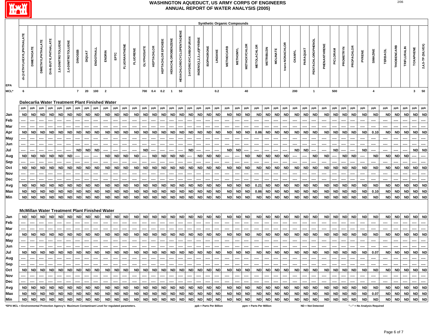

| <b>Synthetic Organic Compounds</b>                                                                                                                                                                                                                                                                                                                                                                                                                                                                                                                                                          |                                                                                                                                                                                                                                                                                                                                                                                                                                                                                                                                                                                                                                                                                                                                                                                                                                                                                                                                                                                                                                                                                                                                                                                                                                                                                                                                                                                                                                                                                                                                                                                                                |                   |                          |                     |                    |                    |                |               |           |                         |           |              |                 |                   |            |                        |                          |                                  |                     |                         |                   |                         |                   |                 |                     |                         |                   |                 |                 |               |           |                          |             |           |                  |            |                              |                         |                 |             |                    |                  |                   |
|---------------------------------------------------------------------------------------------------------------------------------------------------------------------------------------------------------------------------------------------------------------------------------------------------------------------------------------------------------------------------------------------------------------------------------------------------------------------------------------------------------------------------------------------------------------------------------------------|----------------------------------------------------------------------------------------------------------------------------------------------------------------------------------------------------------------------------------------------------------------------------------------------------------------------------------------------------------------------------------------------------------------------------------------------------------------------------------------------------------------------------------------------------------------------------------------------------------------------------------------------------------------------------------------------------------------------------------------------------------------------------------------------------------------------------------------------------------------------------------------------------------------------------------------------------------------------------------------------------------------------------------------------------------------------------------------------------------------------------------------------------------------------------------------------------------------------------------------------------------------------------------------------------------------------------------------------------------------------------------------------------------------------------------------------------------------------------------------------------------------------------------------------------------------------------------------------------------------|-------------------|--------------------------|---------------------|--------------------|--------------------|----------------|---------------|-----------|-------------------------|-----------|--------------|-----------------|-------------------|------------|------------------------|--------------------------|----------------------------------|---------------------|-------------------------|-------------------|-------------------------|-------------------|-----------------|---------------------|-------------------------|-------------------|-----------------|-----------------|---------------|-----------|--------------------------|-------------|-----------|------------------|------------|------------------------------|-------------------------|-----------------|-------------|--------------------|------------------|-------------------|
| EPA                                                                                                                                                                                                                                                                                                                                                                                                                                                                                                                                                                                         | di-(2-ETHYLHEXYL)PHTHALATE                                                                                                                                                                                                                                                                                                                                                                                                                                                                                                                                                                                                                                                                                                                                                                                                                                                                                                                                                                                                                                                                                                                                                                                                                                                                                                                                                                                                                                                                                                                                                                                     | <b>DIMETHOATE</b> | <b>DIMETHYLPHTHALATE</b> | DI-N-BUTYLPHTHALATE | 2,6-DINITROTOLUENE | 2,4-DINITROTOLUENE | <b>DINOSEB</b> | <b>DIQUAT</b> | ENDOTHALL | ENDRIN                  |           | FLUORANTHENE | <b>FLUORENE</b> | <b>GLYPHOSATE</b> | HEPTACHLOR | HEPTACHLOR EPOXIDE     | <b>HEXACHLOROBENZENE</b> | <b>HEXACHLOROCYCLOPENTADIENE</b> | 3-HYDROXYCARBOFURAN | INDENO(1,2,3,c,d)PYRENE | <b>ISOPHORONE</b> | LINDANE                 | <b>METHIOCARB</b> | <b>METHOMYL</b> | <b>METHOXYCHLOR</b> | <b>METOLACHLOR</b>      | <b>METRIBUZIN</b> | <b>MOLINATE</b> | trans-NONACHLOR | <b>OXAMYL</b> | PARAQUAT  | PENTACHLOROPHENOL        | PHENANTHREN | PICLORAM  | <b>PROMETRYN</b> | PROPACHLOR | PYRENE                       | SIMAZINE                | <b>TERBACIL</b> | THIOBENCARB | <b>TRIFLURALIN</b> | <b>TOXAPHENE</b> | 2,4,5-TP (SILVEX) |
| MCL*                                                                                                                                                                                                                                                                                                                                                                                                                                                                                                                                                                                        | 6                                                                                                                                                                                                                                                                                                                                                                                                                                                                                                                                                                                                                                                                                                                                                                                                                                                                                                                                                                                                                                                                                                                                                                                                                                                                                                                                                                                                                                                                                                                                                                                                              |                   |                          |                     |                    |                    |                | - 20          | 100       | $\overline{\mathbf{2}}$ |           |              |                 | 700               | 0.4        | 0.2                    | $\overline{1}$           | 50                               |                     |                         |                   | 0.2                     |                   |                 | 40                  |                         |                   |                 |                 | 200           |           | $\overline{1}$           |             | 500       |                  |            |                              | $\overline{\mathbf{4}}$ |                 |             |                    |                  | $3 \qquad 50$     |
| $7^{\circ}$<br>Dalecarlia Water Treatment Plant Finished Water<br>ppb<br>ppb<br>ppb<br>ppb<br>ppb<br>ppb<br>ppb<br>ppb<br>ppb<br>ppb<br>ppb<br>ppb<br>ppb<br>ppb<br>ppb<br>ppb<br>ppb<br>ppb<br>ppb<br>ppb<br>ppb<br>ppb<br>ppb<br>ppb<br>ppb<br>ppb<br>ppb<br>ppb<br>ppb<br>ppb<br>ppb<br>ppb<br>ppb<br>ppb<br>ppb<br>ppb<br>ppb<br>ppb<br>ppb<br>ppb<br>ppb                                                                                                                                                                                                                               |                                                                                                                                                                                                                                                                                                                                                                                                                                                                                                                                                                                                                                                                                                                                                                                                                                                                                                                                                                                                                                                                                                                                                                                                                                                                                                                                                                                                                                                                                                                                                                                                                |                   |                          |                     |                    |                    |                |               |           |                         |           |              |                 |                   |            |                        |                          |                                  |                     |                         |                   |                         |                   |                 |                     |                         |                   |                 |                 |               |           |                          |             |           |                  |            |                              |                         |                 |             |                    |                  |                   |
|                                                                                                                                                                                                                                                                                                                                                                                                                                                                                                                                                                                             |                                                                                                                                                                                                                                                                                                                                                                                                                                                                                                                                                                                                                                                                                                                                                                                                                                                                                                                                                                                                                                                                                                                                                                                                                                                                                                                                                                                                                                                                                                                                                                                                                |                   |                          |                     |                    |                    |                |               |           |                         |           |              |                 |                   |            |                        |                          |                                  |                     |                         |                   |                         |                   |                 |                     |                         |                   |                 |                 |               |           |                          |             |           |                  |            |                              |                         |                 |             |                    | ppb              | ppb               |
| Jan                                                                                                                                                                                                                                                                                                                                                                                                                                                                                                                                                                                         | <b>ND</b>                                                                                                                                                                                                                                                                                                                                                                                                                                                                                                                                                                                                                                                                                                                                                                                                                                                                                                                                                                                                                                                                                                                                                                                                                                                                                                                                                                                                                                                                                                                                                                                                      |                   |                          |                     | <b>ND</b>          |                    |                |               |           |                         |           | <b>ND</b>    |                 | <b>ND</b>         | <b>ND</b>  | <b>ND</b>              |                          |                                  |                     | <b>ND</b>               |                   |                         |                   |                 |                     |                         | <b>ND</b>         | <b>ND</b>       | <b>ND</b>       |               |           | <b>ND</b>                |             | <b>ND</b> | <b>ND</b>        | <b>ND</b>  | <b>ND</b>                    | <b>ND</b>               |                 | <b>ND</b>   |                    |                  | <b>ND</b>         |
| Feb                                                                                                                                                                                                                                                                                                                                                                                                                                                                                                                                                                                         | <b>ND</b><br><b>ND</b><br><b>ND</b><br><b>ND</b><br><b>ND</b><br><b>ND</b><br><b>ND</b><br><b>ND</b><br><b>ND</b><br><b>ND</b><br><b>ND</b><br><b>ND</b><br><b>ND</b><br><b>ND</b><br><b>ND</b><br><b>ND</b><br><b>ND</b><br>ND<br><b>ND</b><br><b>ND</b><br><b>ND</b><br><b>ND</b><br><b>ND</b><br>ND<br><b>ND</b><br><b>ND</b><br>ND<br>ND<br><b>ND</b><br><b>ND</b><br><b>ND</b><br><b>ND</b><br><b>ND</b><br><b>ND</b><br><b>ND</b><br><b>ND</b><br>ND<br><b>ND</b><br><b>ND</b><br><b>ND</b><br><b>ND</b><br><b>ND</b><br>ND<br><b>ND</b><br><b>ND</b><br>ND<br>ND<br><b>ND</b><br><b>ND</b><br><b>ND</b><br><b>ND</b><br><b>ND</b><br><b>ND</b><br><b>ND</b><br><b>ND</b><br><b>ND</b><br><b>ND</b><br><b>ND</b><br><b>ND</b><br><b>ND</b><br><b>ND</b><br>0.86<br><b>ND</b><br>ND<br>ND<br>0.10<br><b>ND</b>                                                                                                                                                                                                                                                                                                                                                                                                                                                                                                                                                                                                                                                                                                                                                                                            |                   |                          |                     |                    |                    |                |               |           |                         |           |              |                 |                   |            |                        |                          |                                  |                     |                         |                   |                         |                   |                 |                     |                         |                   |                 |                 |               |           |                          |             |           |                  |            |                              |                         |                 |             |                    |                  |                   |
| Mar                                                                                                                                                                                                                                                                                                                                                                                                                                                                                                                                                                                         |                                                                                                                                                                                                                                                                                                                                                                                                                                                                                                                                                                                                                                                                                                                                                                                                                                                                                                                                                                                                                                                                                                                                                                                                                                                                                                                                                                                                                                                                                                                                                                                                                |                   |                          |                     |                    |                    |                |               |           |                         |           |              |                 |                   |            |                        |                          |                                  |                     |                         |                   |                         |                   |                 |                     |                         |                   |                 |                 |               |           |                          |             |           |                  |            |                              |                         |                 |             |                    |                  |                   |
| Apr                                                                                                                                                                                                                                                                                                                                                                                                                                                                                                                                                                                         |                                                                                                                                                                                                                                                                                                                                                                                                                                                                                                                                                                                                                                                                                                                                                                                                                                                                                                                                                                                                                                                                                                                                                                                                                                                                                                                                                                                                                                                                                                                                                                                                                |                   |                          |                     |                    |                    |                |               |           |                         |           |              |                 |                   |            |                        |                          |                                  |                     |                         |                   |                         |                   |                 |                     |                         |                   |                 |                 |               |           |                          |             |           |                  |            |                              |                         |                 |             |                    |                  | <b>ND</b>         |
| <b>May</b>                                                                                                                                                                                                                                                                                                                                                                                                                                                                                                                                                                                  |                                                                                                                                                                                                                                                                                                                                                                                                                                                                                                                                                                                                                                                                                                                                                                                                                                                                                                                                                                                                                                                                                                                                                                                                                                                                                                                                                                                                                                                                                                                                                                                                                |                   |                          |                     |                    |                    |                |               | ---       |                         | ---       |              | ----            | ----              |            |                        |                          |                                  |                     |                         | ----              | ---                     |                   | ---             |                     | ----                    |                   | ----            |                 |               |           | ---                      | ----        |           | ----             | ---        | ----                         | ----                    |                 |             | ----               |                  | ----              |
| Jun                                                                                                                                                                                                                                                                                                                                                                                                                                                                                                                                                                                         |                                                                                                                                                                                                                                                                                                                                                                                                                                                                                                                                                                                                                                                                                                                                                                                                                                                                                                                                                                                                                                                                                                                                                                                                                                                                                                                                                                                                                                                                                                                                                                                                                |                   |                          |                     |                    |                    |                |               |           |                         |           |              |                 |                   |            |                        |                          |                                  |                     |                         |                   |                         |                   |                 |                     |                         |                   |                 |                 |               |           |                          |             |           |                  |            |                              |                         |                 |             |                    |                  |                   |
| Jul                                                                                                                                                                                                                                                                                                                                                                                                                                                                                                                                                                                         | <b>ND</b><br><b>ND</b><br><b>ND</b><br><b>ND</b><br><b>ND</b><br><b>ND</b><br>ND<br><b>ND</b><br><b>ND</b><br><b>ND</b><br><b>ND</b><br><b>ND</b><br>----                                                                                                                                                                                                                                                                                                                                                                                                                                                                                                                                                                                                                                                                                                                                                                                                                                                                                                                                                                                                                                                                                                                                                                                                                                                                                                                                                                                                                                                      |                   |                          |                     |                    |                    |                |               |           |                         |           |              |                 |                   |            | <b>ND</b>              |                          |                                  |                     |                         |                   |                         |                   |                 |                     |                         |                   |                 |                 |               |           |                          |             |           |                  |            |                              |                         |                 |             |                    |                  |                   |
| Aug                                                                                                                                                                                                                                                                                                                                                                                                                                                                                                                                                                                         | <b>ND</b><br><b>ND</b><br><b>ND</b><br><b>ND</b><br><b>ND</b><br><b>ND</b><br><b>ND</b><br><b>ND</b><br><b>ND</b><br><b>ND</b><br><b>ND</b><br><b>ND</b><br><b>ND</b><br><b>ND</b><br><b>ND</b><br><b>ND</b><br><b>ND</b><br><b>ND</b><br><b>ND</b><br><b>ND</b><br><b>ND</b><br><b>ND</b><br><b>ND</b><br><b>ND</b><br><b>ND</b><br><b>ND</b><br><b>ND</b><br><b>ND</b><br><b>ND</b><br><b>ND</b><br>----<br>----<br>----<br>---<br>----                                                                                                                                                                                                                                                                                                                                                                                                                                                                                                                                                                                                                                                                                                                                                                                                                                                                                                                                                                                                                                                                                                                                                                      |                   |                          |                     |                    |                    |                |               |           |                         |           |              |                 |                   |            |                        |                          |                                  |                     |                         |                   |                         |                   |                 |                     |                         |                   |                 |                 |               |           |                          |             |           |                  |            |                              |                         |                 |             |                    |                  |                   |
| <b>Sep</b>                                                                                                                                                                                                                                                                                                                                                                                                                                                                                                                                                                                  |                                                                                                                                                                                                                                                                                                                                                                                                                                                                                                                                                                                                                                                                                                                                                                                                                                                                                                                                                                                                                                                                                                                                                                                                                                                                                                                                                                                                                                                                                                                                                                                                                |                   |                          |                     |                    |                    |                |               |           |                         |           |              |                 |                   |            |                        |                          |                                  |                     |                         |                   |                         |                   |                 |                     |                         |                   |                 |                 |               |           |                          |             |           |                  |            |                              |                         |                 |             |                    |                  |                   |
|                                                                                                                                                                                                                                                                                                                                                                                                                                                                                                                                                                                             | <b>ND</b><br><b>ND</b><br><b>ND</b><br><b>ND</b><br><b>ND</b><br><b>ND</b><br><b>ND</b><br><b>ND</b><br><b>ND</b><br><b>ND</b><br><b>ND</b><br><b>ND</b><br>ND<br><b>ND</b><br><b>ND</b><br><b>ND</b><br><b>ND</b><br><b>ND</b><br><b>ND</b><br><b>ND</b><br><b>ND</b><br><b>ND</b><br><b>ND</b><br><b>ND</b><br><b>ND</b><br><b>ND</b><br>ND<br><b>ND</b><br><b>ND</b><br><b>ND</b><br><b>ND</b><br><b>ND</b><br><b>ND</b><br><b>ND</b><br><b>ND</b><br><b>ND</b><br>ND<br><b>ND</b><br><b>ND</b><br><b>ND</b><br><b>ND</b><br><b>ND</b>                                                                                                                                                                                                                                                                                                                                                                                                                                                                                                                                                                                                                                                                                                                                                                                                                                                                                                                                                                                                                                                                      |                   |                          |                     |                    |                    |                |               |           |                         |           |              |                 |                   |            | <b>ND</b>              |                          |                                  |                     |                         |                   |                         |                   |                 |                     |                         |                   |                 |                 |               |           |                          |             |           |                  |            |                              |                         |                 |             |                    |                  |                   |
|                                                                                                                                                                                                                                                                                                                                                                                                                                                                                                                                                                                             |                                                                                                                                                                                                                                                                                                                                                                                                                                                                                                                                                                                                                                                                                                                                                                                                                                                                                                                                                                                                                                                                                                                                                                                                                                                                                                                                                                                                                                                                                                                                                                                                                |                   |                          |                     |                    |                    |                |               |           |                         |           |              |                 |                   |            |                        |                          |                                  |                     |                         |                   |                         |                   |                 |                     |                         |                   |                 |                 |               |           |                          |             |           |                  |            |                              |                         |                 |             |                    |                  |                   |
|                                                                                                                                                                                                                                                                                                                                                                                                                                                                                                                                                                                             |                                                                                                                                                                                                                                                                                                                                                                                                                                                                                                                                                                                                                                                                                                                                                                                                                                                                                                                                                                                                                                                                                                                                                                                                                                                                                                                                                                                                                                                                                                                                                                                                                |                   |                          |                     |                    |                    |                |               |           |                         |           |              |                 |                   |            |                        |                          |                                  |                     |                         |                   |                         |                   |                 |                     |                         |                   |                 |                 |               |           |                          |             |           |                  |            |                              |                         |                 |             |                    |                  |                   |
|                                                                                                                                                                                                                                                                                                                                                                                                                                                                                                                                                                                             |                                                                                                                                                                                                                                                                                                                                                                                                                                                                                                                                                                                                                                                                                                                                                                                                                                                                                                                                                                                                                                                                                                                                                                                                                                                                                                                                                                                                                                                                                                                                                                                                                |                   |                          |                     |                    |                    |                |               |           |                         |           |              |                 |                   |            |                        |                          |                                  |                     |                         |                   |                         |                   |                 |                     |                         |                   |                 |                 |               |           |                          |             |           |                  |            |                              |                         |                 |             |                    |                  | <b>ND</b>         |
|                                                                                                                                                                                                                                                                                                                                                                                                                                                                                                                                                                                             | ----<br><b>ND</b><br><b>ND</b><br><b>ND</b><br><b>ND</b><br><b>ND</b><br><b>ND</b><br><b>ND</b><br><b>ND</b><br><b>ND</b><br><b>ND</b><br><b>ND</b><br><b>ND</b><br><b>ND</b><br><b>ND</b><br><b>ND</b><br><b>ND</b><br><b>ND</b><br><b>ND</b><br><b>ND</b><br><b>ND</b><br><b>ND</b><br><b>ND</b><br>0.21<br><b>ND</b><br><b>ND</b><br><b>ND</b><br><b>ND</b><br><b>ND</b><br><b>ND</b><br><b>ND</b><br><b>ND</b><br><b>ND</b><br><b>ND</b><br><b>ND</b><br>ND<br><b>ND</b><br><b>ND</b><br><b>ND</b><br><b>ND</b><br><b>ND</b><br><b>ND</b><br>ND<br><b>ND</b><br><b>ND</b><br><b>ND</b><br><b>ND</b><br><b>ND</b><br><b>ND</b><br><b>ND</b><br><b>ND</b><br>ND<br><b>ND</b><br><b>ND</b><br><b>ND</b><br><b>ND</b><br>ND<br><b>ND</b><br><b>ND</b><br><b>ND</b><br><b>ND</b><br><b>ND</b><br><b>ND</b><br><b>ND</b><br><b>ND</b><br><b>ND</b><br><b>ND</b><br><b>ND</b><br><b>ND</b><br><b>ND</b><br>0.86<br>ND<br><b>ND</b><br><b>ND</b><br><b>ND</b><br>ND<br>ND<br><b>ND</b><br><b>ND</b><br>ND<br>0.10<br><b>ND</b><br><b>ND</b><br>ND<br>ND<br><b>ND</b><br><b>ND</b><br><b>ND</b><br><b>ND</b><br><b>ND</b><br><b>ND</b><br><b>ND</b><br><b>ND</b><br><b>ND</b><br><b>ND</b><br><b>ND</b><br>ND<br><b>ND</b><br><b>ND</b><br><b>ND</b><br><b>ND</b><br><b>ND</b><br><b>ND</b><br><b>ND</b><br><b>ND</b><br><b>ND</b><br><b>ND</b><br><b>ND</b><br><b>ND</b><br><b>ND</b><br><b>ND</b><br><b>ND</b><br><b>ND</b><br><b>ND</b><br><b>ND</b><br><b>ND</b><br><b>ND</b><br><b>ND</b><br><b>ND</b><br><b>ND</b><br><b>ND</b><br><b>ND</b><br><b>ND</b><br><b>ND</b><br><b>ND</b><br><b>ND</b><br><b>ND</b> |                   |                          |                     |                    |                    |                |               |           |                         |           |              |                 |                   |            | <b>ND</b><br><b>ND</b> |                          |                                  |                     |                         |                   |                         |                   |                 |                     |                         |                   |                 |                 |               |           |                          |             |           |                  |            |                              |                         |                 |             |                    |                  |                   |
|                                                                                                                                                                                                                                                                                                                                                                                                                                                                                                                                                                                             |                                                                                                                                                                                                                                                                                                                                                                                                                                                                                                                                                                                                                                                                                                                                                                                                                                                                                                                                                                                                                                                                                                                                                                                                                                                                                                                                                                                                                                                                                                                                                                                                                |                   |                          |                     |                    |                    |                |               |           |                         |           |              |                 |                   |            |                        |                          |                                  |                     |                         |                   |                         |                   |                 |                     |                         |                   |                 |                 |               |           |                          |             |           |                  |            |                              |                         |                 |             |                    |                  |                   |
| Oct<br>Nov<br>Dec<br>Avg<br>Max<br>Min                                                                                                                                                                                                                                                                                                                                                                                                                                                                                                                                                      |                                                                                                                                                                                                                                                                                                                                                                                                                                                                                                                                                                                                                                                                                                                                                                                                                                                                                                                                                                                                                                                                                                                                                                                                                                                                                                                                                                                                                                                                                                                                                                                                                |                   |                          |                     |                    |                    |                |               |           |                         |           |              |                 |                   |            |                        |                          |                                  |                     |                         |                   |                         |                   |                 |                     |                         |                   |                 |                 |               |           |                          |             |           |                  |            |                              |                         |                 |             |                    |                  |                   |
| <b>McMillan Water Treatment Plant Finished Water</b><br><b>ND</b><br><b>ND</b><br><b>ND</b><br><b>ND</b><br><b>ND</b><br>ND<br><b>ND</b><br><b>ND</b><br><b>ND</b><br><b>ND</b><br><b>ND</b><br><b>ND</b><br><b>ND</b><br><b>ND</b><br><b>ND</b><br><b>ND</b><br><b>ND</b><br><b>ND</b><br><b>ND</b><br><b>ND</b><br><b>ND</b><br><b>ND</b><br><b>ND</b><br><b>ND</b><br><b>ND</b><br><b>ND</b><br><b>ND</b><br><b>ND</b><br><b>ND</b><br><b>ND</b><br><b>ND</b><br><b>ND</b><br><b>ND</b><br>ND<br><b>ND</b><br><b>ND</b><br><b>ND</b><br><b>ND</b><br><b>ND</b><br><b>ND</b><br><b>ND</b> |                                                                                                                                                                                                                                                                                                                                                                                                                                                                                                                                                                                                                                                                                                                                                                                                                                                                                                                                                                                                                                                                                                                                                                                                                                                                                                                                                                                                                                                                                                                                                                                                                |                   |                          |                     |                    |                    |                |               |           |                         |           |              |                 |                   |            |                        |                          |                                  |                     |                         |                   |                         |                   |                 |                     |                         |                   |                 |                 |               |           |                          |             |           |                  |            |                              |                         |                 |             |                    |                  |                   |
| Jan                                                                                                                                                                                                                                                                                                                                                                                                                                                                                                                                                                                         |                                                                                                                                                                                                                                                                                                                                                                                                                                                                                                                                                                                                                                                                                                                                                                                                                                                                                                                                                                                                                                                                                                                                                                                                                                                                                                                                                                                                                                                                                                                                                                                                                |                   |                          |                     |                    |                    |                |               |           |                         |           |              |                 |                   |            |                        |                          |                                  |                     |                         |                   |                         |                   |                 |                     |                         |                   |                 |                 |               |           |                          |             |           |                  |            |                              |                         |                 |             |                    | <b>ND</b>        | <b>ND</b>         |
| Feb                                                                                                                                                                                                                                                                                                                                                                                                                                                                                                                                                                                         |                                                                                                                                                                                                                                                                                                                                                                                                                                                                                                                                                                                                                                                                                                                                                                                                                                                                                                                                                                                                                                                                                                                                                                                                                                                                                                                                                                                                                                                                                                                                                                                                                |                   |                          |                     |                    |                    |                |               |           | ----                    | ----      |              |                 |                   |            |                        |                          |                                  |                     |                         |                   |                         | ----              |                 |                     |                         |                   |                 |                 |               |           |                          |             |           |                  |            | ----                         | ----                    |                 |             |                    |                  |                   |
| Mar                                                                                                                                                                                                                                                                                                                                                                                                                                                                                                                                                                                         | <b>ND</b>                                                                                                                                                                                                                                                                                                                                                                                                                                                                                                                                                                                                                                                                                                                                                                                                                                                                                                                                                                                                                                                                                                                                                                                                                                                                                                                                                                                                                                                                                                                                                                                                      | <b>ND</b>         | <b>ND</b>                | <b>ND</b>           | <b>ND</b>          | <b>ND</b>          | <b>ND</b>      | <b>ND</b>     | <b>ND</b> | <b>ND</b>               | <b>ND</b> | <b>ND</b>    | <b>ND</b>       | <b>ND</b>         | <b>ND</b>  | <b>ND</b>              | <b>ND</b>                | <b>ND</b>                        | <b>ND</b>           | <b>ND</b>               | <b>ND</b>         | <b>ND</b>               | <b>ND</b>         | <b>ND</b>       | <b>ND</b>           | <b>ND</b>               | <b>ND</b>         | <b>ND</b>       | <b>ND</b>       | <b>ND</b>     | <b>ND</b> | <b>ND</b>                | <b>ND</b>   | <b>ND</b> | <b>ND</b>        | <b>ND</b>  | <b>ND</b>                    | <b>ND</b>               | <b>ND</b>       | <b>ND</b>   | <b>ND</b>          | <b>ND</b>        | <b>ND</b>         |
| Apr<br><b>May</b>                                                                                                                                                                                                                                                                                                                                                                                                                                                                                                                                                                           |                                                                                                                                                                                                                                                                                                                                                                                                                                                                                                                                                                                                                                                                                                                                                                                                                                                                                                                                                                                                                                                                                                                                                                                                                                                                                                                                                                                                                                                                                                                                                                                                                |                   |                          |                     |                    |                    |                |               |           |                         |           |              |                 |                   |            |                        |                          |                                  |                     |                         |                   |                         |                   |                 |                     |                         |                   |                 |                 |               |           |                          |             |           |                  |            |                              |                         |                 |             |                    |                  |                   |
| Jun                                                                                                                                                                                                                                                                                                                                                                                                                                                                                                                                                                                         |                                                                                                                                                                                                                                                                                                                                                                                                                                                                                                                                                                                                                                                                                                                                                                                                                                                                                                                                                                                                                                                                                                                                                                                                                                                                                                                                                                                                                                                                                                                                                                                                                |                   |                          |                     |                    |                    |                |               |           |                         |           |              |                 |                   |            |                        |                          |                                  |                     |                         |                   |                         |                   |                 |                     |                         |                   |                 |                 |               |           |                          |             |           |                  |            |                              |                         |                 |             |                    |                  |                   |
|                                                                                                                                                                                                                                                                                                                                                                                                                                                                                                                                                                                             |                                                                                                                                                                                                                                                                                                                                                                                                                                                                                                                                                                                                                                                                                                                                                                                                                                                                                                                                                                                                                                                                                                                                                                                                                                                                                                                                                                                                                                                                                                                                                                                                                |                   |                          |                     |                    |                    |                |               |           |                         |           |              |                 |                   |            |                        |                          |                                  |                     |                         |                   |                         |                   |                 |                     |                         |                   |                 |                 |               |           |                          |             |           |                  |            |                              |                         |                 |             |                    | <b>ND</b>        | <b>ND</b>         |
|                                                                                                                                                                                                                                                                                                                                                                                                                                                                                                                                                                                             |                                                                                                                                                                                                                                                                                                                                                                                                                                                                                                                                                                                                                                                                                                                                                                                                                                                                                                                                                                                                                                                                                                                                                                                                                                                                                                                                                                                                                                                                                                                                                                                                                |                   |                          |                     |                    |                    |                |               |           |                         |           |              |                 |                   |            |                        |                          |                                  |                     |                         |                   |                         |                   |                 |                     |                         |                   |                 |                 |               |           |                          |             |           |                  |            |                              |                         |                 |             |                    |                  |                   |
|                                                                                                                                                                                                                                                                                                                                                                                                                                                                                                                                                                                             | ----<br>----<br>----<br>---<br><b>ND</b><br><b>ND</b><br><b>ND</b><br><b>ND</b><br><b>ND</b><br><b>ND</b><br><b>ND</b><br><b>ND</b><br><b>ND</b><br><b>ND</b><br><b>ND</b><br><b>ND</b><br><b>ND</b><br>ND<br>ND<br><b>ND</b><br><b>ND</b><br>ND<br><b>ND</b><br><b>ND</b><br><b>ND</b><br><b>ND</b><br>ND<br>ND<br>ND<br><b>ND</b><br>ND<br><b>ND</b><br><b>ND</b><br><b>ND</b><br><b>ND</b><br><b>ND</b><br><b>ND</b><br>ND<br><b>ND</b><br>ND<br><b>ND</b><br>0.07<br><b>ND</b><br><b>ND</b><br>ND                                                                                                                                                                                                                                                                                                                                                                                                                                                                                                                                                                                                                                                                                                                                                                                                                                                                                                                                                                                                                                                                                                          |                   |                          |                     |                    |                    |                |               |           |                         |           |              |                 |                   |            |                        |                          |                                  |                     |                         |                   |                         |                   |                 |                     |                         |                   |                 |                 |               |           |                          |             |           |                  |            |                              |                         |                 |             |                    |                  |                   |
| Jul<br>Aug<br>Sep<br><b>ND</b><br>Oct<br><b>ND</b><br>ND  <br><b>ND</b><br><b>ND</b><br>ND  <br><b>ND</b><br><b>ND</b><br><b>ND</b><br><b>ND</b><br><b>ND</b><br>ND<br><b>ND</b><br><b>ND</b><br><b>ND</b><br><b>ND</b><br><b>ND</b><br><b>ND</b><br>ND  <br>ND<br><b>ND</b><br><b>ND</b><br>ND<br><b>ND</b><br>ND  <br><b>ND</b><br>ND<br><b>ND</b><br>ND<br><b>ND</b><br><b>ND</b><br><b>ND</b><br><b>ND</b><br><b>NDI</b><br>ND.<br><b>ND</b><br><b>ND</b><br>ND.<br>ND<br>ND I<br><b>ND</b>                                                                                             |                                                                                                                                                                                                                                                                                                                                                                                                                                                                                                                                                                                                                                                                                                                                                                                                                                                                                                                                                                                                                                                                                                                                                                                                                                                                                                                                                                                                                                                                                                                                                                                                                |                   |                          |                     |                    |                    |                |               |           |                         |           |              |                 | ND                | <b>ND</b>  |                        |                          |                                  |                     |                         |                   |                         |                   |                 |                     |                         |                   |                 |                 |               |           |                          |             |           |                  |            |                              |                         |                 |             |                    |                  |                   |
| Nov                                                                                                                                                                                                                                                                                                                                                                                                                                                                                                                                                                                         |                                                                                                                                                                                                                                                                                                                                                                                                                                                                                                                                                                                                                                                                                                                                                                                                                                                                                                                                                                                                                                                                                                                                                                                                                                                                                                                                                                                                                                                                                                                                                                                                                |                   | ----                     | ----                |                    |                    |                |               | ----      | ----                    | ----      |              | ----            |                   |            |                        | ----                     | ---                              |                     |                         | ----              | ---                     | ----              | ----            |                     | ----                    |                   |                 | ----            | ----          |           | ----                     | ----        |           | ----             |            | ----                         | ----                    | ----            | ---         | ----               |                  | ----              |
| Dec                                                                                                                                                                                                                                                                                                                                                                                                                                                                                                                                                                                         |                                                                                                                                                                                                                                                                                                                                                                                                                                                                                                                                                                                                                                                                                                                                                                                                                                                                                                                                                                                                                                                                                                                                                                                                                                                                                                                                                                                                                                                                                                                                                                                                                |                   |                          |                     |                    |                    |                |               |           |                         | ---       |              | ----            |                   |            |                        |                          |                                  |                     |                         |                   |                         | ----              |                 |                     | ----                    |                   |                 |                 |               |           |                          |             |           |                  |            | ----                         | ----                    | ----            |             |                    |                  | ----              |
| Avg                                                                                                                                                                                                                                                                                                                                                                                                                                                                                                                                                                                         | <b>ND</b>                                                                                                                                                                                                                                                                                                                                                                                                                                                                                                                                                                                                                                                                                                                                                                                                                                                                                                                                                                                                                                                                                                                                                                                                                                                                                                                                                                                                                                                                                                                                                                                                      | <b>NDI</b>        | <b>ND</b>                | <b>ND</b>           | <b>ND</b>          | <b>ND</b>          | ND I           | <b>ND</b>     | <b>ND</b> | <b>ND</b>               | ND        | <b>ND</b>    | <b>ND</b>       | <b>ND</b>         | ND         | <b>ND</b>              | <b>ND</b>                | <b>ND</b>                        | <b>ND</b>           | <b>ND</b>               | <b>ND</b>         | <b>ND</b>               | <b>ND</b>         | <b>ND</b>       | <b>ND</b>           | <b>ND</b>               | ND                | <b>ND</b>       | ND              | <b>ND</b>     | ND        | <b>ND</b>                | <b>ND</b>   | <b>ND</b> | ND               | ND         | <b>ND</b>                    | <b>ND</b>               | <b>ND</b>       | <b>ND</b>   | <b>ND</b>          |                  | ND ND             |
| Max                                                                                                                                                                                                                                                                                                                                                                                                                                                                                                                                                                                         | <b>ND</b>                                                                                                                                                                                                                                                                                                                                                                                                                                                                                                                                                                                                                                                                                                                                                                                                                                                                                                                                                                                                                                                                                                                                                                                                                                                                                                                                                                                                                                                                                                                                                                                                      | ND.               | <b>ND</b>                | <b>ND</b>           | <b>ND</b>          | <b>ND</b>          | ND             | <b>ND</b>     | <b>ND</b> |                         | ND ND     | ND           | <b>ND</b>       | <b>ND</b>         | ND         | <b>ND</b>              | <b>ND</b>                | <b>ND</b>                        | <b>ND</b>           | <b>ND</b>               | <b>ND</b>         | <b>ND</b>               | <b>ND</b>         | <b>ND</b>       | <b>ND</b>           | <b>ND</b>               | ND                | <b>ND</b>       | <b>ND</b>       | <b>ND</b>     | <b>ND</b> | <b>ND</b>                | <b>ND</b>   | <b>ND</b> | <b>ND</b>        | <b>ND</b>  | <b>ND</b>                    | 0.07                    | ND              | <b>ND</b>   | ND                 |                  | ND ND             |
| Min                                                                                                                                                                                                                                                                                                                                                                                                                                                                                                                                                                                         | <b>ND</b>                                                                                                                                                                                                                                                                                                                                                                                                                                                                                                                                                                                                                                                                                                                                                                                                                                                                                                                                                                                                                                                                                                                                                                                                                                                                                                                                                                                                                                                                                                                                                                                                      | ND I              | <b>ND</b>                | <b>ND</b>           | <b>ND</b>          | <b>ND</b>          | ND I           | ND.           | <b>ND</b> | <b>ND</b>               |           | ND ND        | <b>ND</b>       | <b>ND</b>         | ND         | <b>ND</b>              | <b>ND</b>                | <b>ND</b>                        | <b>ND</b>           | <b>ND</b>               | <b>ND</b>         | <b>ND</b>               | <b>ND</b>         | ND              | <b>ND</b>           | <b>ND</b>               | ND                | <b>ND</b>       | <b>ND</b>       | <b>ND</b>     | <b>ND</b> | <b>ND</b>                | <b>ND</b>   | ND        | <b>ND</b>        | ND         | <b>ND</b>                    | <b>ND</b>               | ND I            | <b>ND</b>   | ND                 | <b>ND</b>        | <b>ND</b>         |
| *EPA MCL = Environmental Protection Agency's Maximum Contaminant Level for regulated parameters.                                                                                                                                                                                                                                                                                                                                                                                                                                                                                            |                                                                                                                                                                                                                                                                                                                                                                                                                                                                                                                                                                                                                                                                                                                                                                                                                                                                                                                                                                                                                                                                                                                                                                                                                                                                                                                                                                                                                                                                                                                                                                                                                |                   |                          |                     |                    |                    |                |               |           |                         |           |              |                 |                   |            |                        |                          |                                  |                     |                         |                   | ppb = Parts Per Billion |                   |                 |                     | ppm = Parts Per Million |                   |                 |                 |               |           | <b>ND = Not Detected</b> |             |           |                  |            | "---" = No Analysis Required |                         |                 |             |                    |                  |                   |

2/06